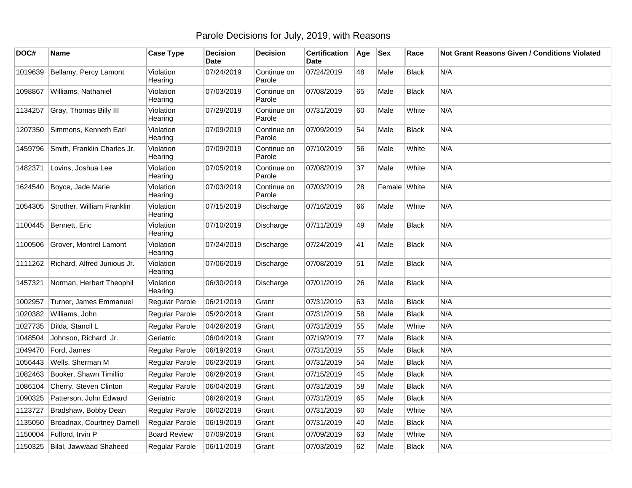## Parole Decisions for July, 2019, with Reasons

| DOC#    | <b>Name</b>                         | <b>Case Type</b>      | <b>Decision</b><br><b>Date</b> | <b>Decision</b>       | <b>Certification</b><br>Date | Age | <b>Sex</b> | Race         | Not Grant Reasons Given / Conditions Violated |
|---------|-------------------------------------|-----------------------|--------------------------------|-----------------------|------------------------------|-----|------------|--------------|-----------------------------------------------|
| 1019639 | Bellamy, Percy Lamont               | Violation<br>Hearing  | 07/24/2019                     | Continue on<br>Parole | 07/24/2019                   | 48  | Male       | <b>Black</b> | N/A                                           |
| 1098867 | Williams, Nathaniel                 | Violation<br>Hearing  | 07/03/2019                     | Continue on<br>Parole | 07/08/2019                   | 65  | Male       | <b>Black</b> | N/A                                           |
| 1134257 | Gray, Thomas Billy III              | Violation<br>Hearing  | 07/29/2019                     | Continue on<br>Parole | 07/31/2019                   | 60  | Male       | White        | N/A                                           |
| 1207350 | Simmons, Kenneth Earl               | Violation<br>Hearing  | 07/09/2019                     | Continue on<br>Parole | 07/09/2019                   | 54  | Male       | <b>Black</b> | N/A                                           |
| 1459796 | Smith, Franklin Charles Jr.         | Violation<br>Hearing  | 07/09/2019                     | Continue on<br>Parole | 07/10/2019                   | 56  | Male       | White        | N/A                                           |
| 1482371 | Lovins, Joshua Lee                  | Violation<br>Hearing  | 07/05/2019                     | Continue on<br>Parole | 07/08/2019                   | 37  | Male       | White        | N/A                                           |
| 1624540 | Boyce, Jade Marie                   | Violation<br>Hearing  | 07/03/2019                     | Continue on<br>Parole | 07/03/2019                   | 28  | Female     | White        | N/A                                           |
| 1054305 | Strother, William Franklin          | Violation<br>Hearing  | 07/15/2019                     | Discharge             | 07/16/2019                   | 66  | Male       | White        | N/A                                           |
| 1100445 | Bennett, Eric                       | Violation<br>Hearing  | 07/10/2019                     | Discharge             | 07/11/2019                   | 49  | Male       | <b>Black</b> | N/A                                           |
| 1100506 | Grover, Montrel Lamont              | Violation<br>Hearing  | 07/24/2019                     | Discharge             | 07/24/2019                   | 41  | Male       | <b>Black</b> | N/A                                           |
|         | 1111262 Richard, Alfred Junious Jr. | Violation<br>Hearing  | 07/06/2019                     | Discharge             | 07/08/2019                   | 51  | Male       | Black        | N/A                                           |
| 1457321 | Norman, Herbert Theophil            | Violation<br>Hearing  | 06/30/2019                     | Discharge             | 07/01/2019                   | 26  | Male       | <b>Black</b> | N/A                                           |
| 1002957 | Turner, James Emmanuel              | Regular Parole        | 06/21/2019                     | Grant                 | 07/31/2019                   | 63  | Male       | <b>Black</b> | N/A                                           |
| 1020382 | Williams, John                      | Regular Parole        | 05/20/2019                     | Grant                 | 07/31/2019                   | 58  | Male       | <b>Black</b> | N/A                                           |
| 1027735 | Dilda, Stancil L                    | Regular Parole        | 04/26/2019                     | Grant                 | 07/31/2019                   | 55  | Male       | White        | N/A                                           |
| 1048504 | Johnson, Richard Jr.                | Geriatric             | 06/04/2019                     | Grant                 | 07/19/2019                   | 77  | Male       | <b>Black</b> | N/A                                           |
| 1049470 | Ford, James                         | Regular Parole        | 06/19/2019                     | Grant                 | 07/31/2019                   | 55  | Male       | <b>Black</b> | N/A                                           |
| 1056443 | Wells, Sherman M                    | Regular Parole        | 06/23/2019                     | Grant                 | 07/31/2019                   | 54  | Male       | <b>Black</b> | N/A                                           |
| 1082463 | Booker, Shawn Timillio              | Regular Parole        | 06/28/2019                     | Grant                 | 07/15/2019                   | 45  | Male       | <b>Black</b> | N/A                                           |
| 1086104 | Cherry, Steven Clinton              | Regular Parole        | 06/04/2019                     | Grant                 | 07/31/2019                   | 58  | Male       | <b>Black</b> | N/A                                           |
| 1090325 | Patterson, John Edward              | Geriatric             | 06/26/2019                     | Grant                 | 07/31/2019                   | 65  | Male       | <b>Black</b> | N/A                                           |
| 1123727 | Bradshaw, Bobby Dean                | Regular Parole        | 06/02/2019                     | Grant                 | 07/31/2019                   | 60  | Male       | White        | N/A                                           |
| 1135050 | Broadnax, Courtney Darnell          | <b>Regular Parole</b> | 06/19/2019                     | Grant                 | 07/31/2019                   | 40  | Male       | <b>Black</b> | N/A                                           |
| 1150004 | Fulford, Irvin P                    | <b>Board Review</b>   | 07/09/2019                     | Grant                 | 07/09/2019                   | 63  | Male       | White        | N/A                                           |
| 1150325 | Bilal, Jawwaad Shaheed              | Regular Parole        | 06/11/2019                     | Grant                 | 07/03/2019                   | 62  | Male       | <b>Black</b> | N/A                                           |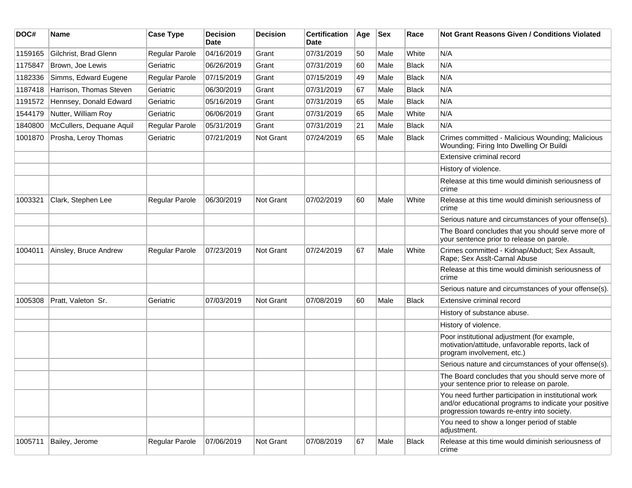| DOC#    | Name                     | <b>Case Type</b> | <b>Decision</b><br>Date | <b>Decision</b> | <b>Certification</b><br>Date | Age | <b>Sex</b> | Race         | <b>Not Grant Reasons Given / Conditions Violated</b>                                                                                                        |
|---------|--------------------------|------------------|-------------------------|-----------------|------------------------------|-----|------------|--------------|-------------------------------------------------------------------------------------------------------------------------------------------------------------|
| 1159165 | Gilchrist, Brad Glenn    | Regular Parole   | 04/16/2019              | Grant           | 07/31/2019                   | 50  | Male       | White        | N/A                                                                                                                                                         |
| 1175847 | Brown, Joe Lewis         | Geriatric        | 06/26/2019              | Grant           | 07/31/2019                   | 60  | Male       | Black        | N/A                                                                                                                                                         |
| 1182336 | Simms, Edward Eugene     | Regular Parole   | 07/15/2019              | Grant           | 07/15/2019                   | 49  | Male       | Black        | N/A                                                                                                                                                         |
| 1187418 | Harrison, Thomas Steven  | Geriatric        | 06/30/2019              | Grant           | 07/31/2019                   | 67  | Male       | Black        | N/A                                                                                                                                                         |
| 1191572 | Hennsey, Donald Edward   | Geriatric        | 05/16/2019              | Grant           | 07/31/2019                   | 65  | Male       | <b>Black</b> | N/A                                                                                                                                                         |
| 1544179 | Nutter, William Roy      | Geriatric        | 06/06/2019              | Grant           | 07/31/2019                   | 65  | Male       | White        | N/A                                                                                                                                                         |
| 1840800 | McCullers, Dequane Aquil | Regular Parole   | 05/31/2019              | Grant           | 07/31/2019                   | 21  | Male       | <b>Black</b> | N/A                                                                                                                                                         |
| 1001870 | Prosha, Leroy Thomas     | Geriatric        | 07/21/2019              | Not Grant       | 07/24/2019                   | 65  | Male       | Black        | Crimes committed - Malicious Wounding; Malicious<br>Wounding; Firing Into Dwelling Or Buildi                                                                |
|         |                          |                  |                         |                 |                              |     |            |              | Extensive criminal record                                                                                                                                   |
|         |                          |                  |                         |                 |                              |     |            |              | History of violence.                                                                                                                                        |
|         |                          |                  |                         |                 |                              |     |            |              | Release at this time would diminish seriousness of<br>crime                                                                                                 |
| 1003321 | Clark, Stephen Lee       | Regular Parole   | 06/30/2019              | Not Grant       | 07/02/2019                   | 60  | Male       | White        | Release at this time would diminish seriousness of<br>crime                                                                                                 |
|         |                          |                  |                         |                 |                              |     |            |              | Serious nature and circumstances of your offense(s).                                                                                                        |
|         |                          |                  |                         |                 |                              |     |            |              | The Board concludes that you should serve more of<br>your sentence prior to release on parole.                                                              |
| 1004011 | Ainsley, Bruce Andrew    | Regular Parole   | 07/23/2019              | Not Grant       | 07/24/2019                   | 67  | Male       | White        | Crimes committed - Kidnap/Abduct; Sex Assault,<br>Rape; Sex Asslt-Carnal Abuse                                                                              |
|         |                          |                  |                         |                 |                              |     |            |              | Release at this time would diminish seriousness of<br>crime                                                                                                 |
|         |                          |                  |                         |                 |                              |     |            |              | Serious nature and circumstances of your offense(s).                                                                                                        |
| 1005308 | Pratt, Valeton Sr.       | Geriatric        | 07/03/2019              | Not Grant       | 07/08/2019                   | 60  | Male       | Black        | Extensive criminal record                                                                                                                                   |
|         |                          |                  |                         |                 |                              |     |            |              | History of substance abuse.                                                                                                                                 |
|         |                          |                  |                         |                 |                              |     |            |              | History of violence.                                                                                                                                        |
|         |                          |                  |                         |                 |                              |     |            |              | Poor institutional adjustment (for example,<br>motivation/attitude, unfavorable reports, lack of<br>program involvement, etc.)                              |
|         |                          |                  |                         |                 |                              |     |            |              | Serious nature and circumstances of your offense(s).                                                                                                        |
|         |                          |                  |                         |                 |                              |     |            |              | The Board concludes that you should serve more of<br>your sentence prior to release on parole.                                                              |
|         |                          |                  |                         |                 |                              |     |            |              | You need further participation in institutional work<br>and/or educational programs to indicate your positive<br>progression towards re-entry into society. |
|         |                          |                  |                         |                 |                              |     |            |              | You need to show a longer period of stable<br>adjustment.                                                                                                   |
| 1005711 | Bailey, Jerome           | Regular Parole   | 07/06/2019              | Not Grant       | 07/08/2019                   | 67  | Male       | Black        | Release at this time would diminish seriousness of<br>crime                                                                                                 |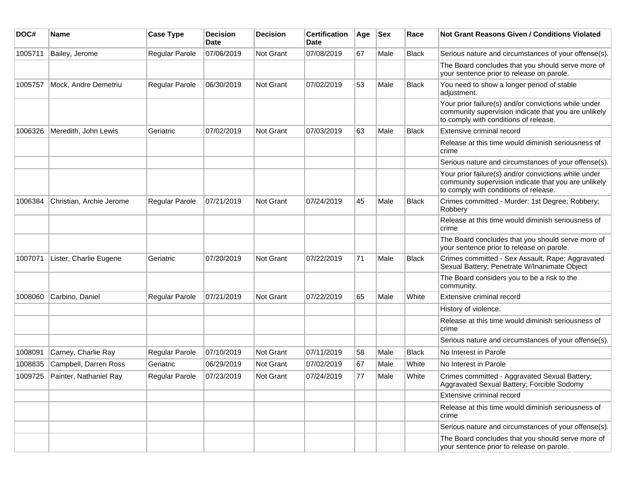| DOC#    | <b>Name</b>              | <b>Case Type</b>      | <b>Decision</b><br>Date | <b>Decision</b> | <b>Certification</b><br>Date | Age | <b>Sex</b> | Race         | Not Grant Reasons Given / Conditions Violated                                                                                                         |
|---------|--------------------------|-----------------------|-------------------------|-----------------|------------------------------|-----|------------|--------------|-------------------------------------------------------------------------------------------------------------------------------------------------------|
| 1005711 | Bailey, Jerome           | <b>Regular Parole</b> | 07/06/2019              | Not Grant       | 07/08/2019                   | 67  | Male       | <b>Black</b> | Serious nature and circumstances of your offense(s).                                                                                                  |
|         |                          |                       |                         |                 |                              |     |            |              | The Board concludes that you should serve more of<br>your sentence prior to release on parole.                                                        |
| 1005757 | Mock, Andre Demetriu     | Regular Parole        | 06/30/2019              | Not Grant       | 07/02/2019                   | 53  | Male       | <b>Black</b> | You need to show a longer period of stable<br>adjustment.                                                                                             |
|         |                          |                       |                         |                 |                              |     |            |              | Your prior failure(s) and/or convictions while under<br>community supervision indicate that you are unlikely<br>to comply with conditions of release. |
| 1006326 | Meredith, John Lewis     | Geriatric             | 07/02/2019              | Not Grant       | 07/03/2019                   | 63  | Male       | <b>Black</b> | Extensive criminal record                                                                                                                             |
|         |                          |                       |                         |                 |                              |     |            |              | Release at this time would diminish seriousness of<br>crime                                                                                           |
|         |                          |                       |                         |                 |                              |     |            |              | Serious nature and circumstances of your offense(s).                                                                                                  |
|         |                          |                       |                         |                 |                              |     |            |              | Your prior failure(s) and/or convictions while under<br>community supervision indicate that you are unlikely<br>to comply with conditions of release. |
| 1006384 | Christian, Archie Jerome | Regular Parole        | 07/21/2019              | Not Grant       | 07/24/2019                   | 45  | Male       | <b>Black</b> | Crimes committed - Murder: 1st Degree; Robbery;<br>Robbery                                                                                            |
|         |                          |                       |                         |                 |                              |     |            |              | Release at this time would diminish seriousness of<br>crime                                                                                           |
|         |                          |                       |                         |                 |                              |     |            |              | The Board concludes that you should serve more of<br>your sentence prior to release on parole.                                                        |
| 1007071 | Lister, Charlie Eugene   | Geriatric             | 07/20/2019              | Not Grant       | 07/22/2019                   | 71  | Male       | Black        | Crimes committed - Sex Assault, Rape; Aggravated<br>Sexual Battery; Penetrate W/Inanimate Object                                                      |
|         |                          |                       |                         |                 |                              |     |            |              | The Board considers you to be a risk to the<br>community.                                                                                             |
| 1008060 | Carbino, Daniel          | <b>Regular Parole</b> | 07/21/2019              | Not Grant       | 07/22/2019                   | 65  | Male       | White        | Extensive criminal record                                                                                                                             |
|         |                          |                       |                         |                 |                              |     |            |              | History of violence.                                                                                                                                  |
|         |                          |                       |                         |                 |                              |     |            |              | Release at this time would diminish seriousness of<br>crime                                                                                           |
|         |                          |                       |                         |                 |                              |     |            |              | Serious nature and circumstances of your offense(s).                                                                                                  |
| 1008091 | Carney, Charlie Ray      | <b>Regular Parole</b> | 07/10/2019              | Not Grant       | 07/11/2019                   | 58  | Male       | <b>Black</b> | No Interest in Parole                                                                                                                                 |
| 1008835 | Campbell, Darren Ross    | Geriatric             | 06/29/2019              | Not Grant       | 07/02/2019                   | 67  | Male       | White        | No Interest in Parole                                                                                                                                 |
| 1009725 | Painter, Nathaniel Ray   | Regular Parole        | 07/23/2019              | Not Grant       | 07/24/2019                   | 77  | Male       | White        | Crimes committed - Aggravated Sexual Battery;<br>Aggravated Sexual Battery; Forcible Sodomy                                                           |
|         |                          |                       |                         |                 |                              |     |            |              | Extensive criminal record                                                                                                                             |
|         |                          |                       |                         |                 |                              |     |            |              | Release at this time would diminish seriousness of<br>crime                                                                                           |
|         |                          |                       |                         |                 |                              |     |            |              | Serious nature and circumstances of your offense(s).                                                                                                  |
|         |                          |                       |                         |                 |                              |     |            |              | The Board concludes that you should serve more of<br>your sentence prior to release on parole.                                                        |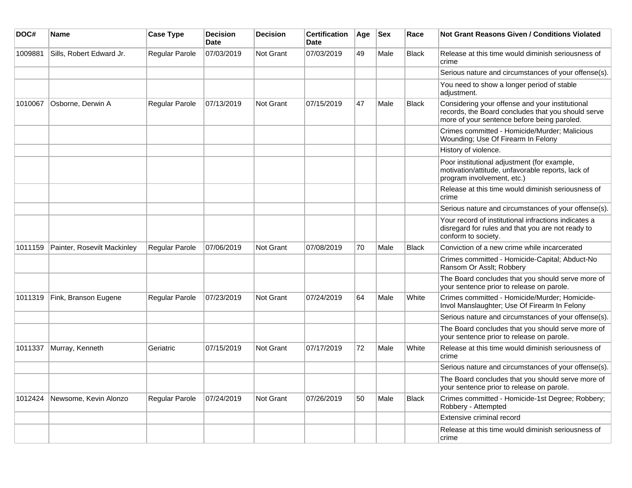| DOC#    | Name                        | <b>Case Type</b>      | <b>Decision</b><br><b>Date</b> | <b>Decision</b> | <b>Certification</b><br><b>Date</b> | Age | <b>Sex</b> | Race         | <b>Not Grant Reasons Given / Conditions Violated</b>                                                                                                 |
|---------|-----------------------------|-----------------------|--------------------------------|-----------------|-------------------------------------|-----|------------|--------------|------------------------------------------------------------------------------------------------------------------------------------------------------|
| 1009881 | Sills, Robert Edward Jr.    | Regular Parole        | 07/03/2019                     | Not Grant       | 07/03/2019                          | 49  | Male       | <b>Black</b> | Release at this time would diminish seriousness of<br>crime                                                                                          |
|         |                             |                       |                                |                 |                                     |     |            |              | Serious nature and circumstances of your offense(s).                                                                                                 |
|         |                             |                       |                                |                 |                                     |     |            |              | You need to show a longer period of stable<br>adjustment.                                                                                            |
| 1010067 | Osborne, Derwin A           | Regular Parole        | 07/13/2019                     | Not Grant       | 07/15/2019                          | 47  | Male       | <b>Black</b> | Considering your offense and your institutional<br>records, the Board concludes that you should serve<br>more of your sentence before being paroled. |
|         |                             |                       |                                |                 |                                     |     |            |              | Crimes committed - Homicide/Murder; Malicious<br>Wounding; Use Of Firearm In Felony                                                                  |
|         |                             |                       |                                |                 |                                     |     |            |              | History of violence.                                                                                                                                 |
|         |                             |                       |                                |                 |                                     |     |            |              | Poor institutional adjustment (for example,<br>motivation/attitude, unfavorable reports, lack of<br>program involvement, etc.)                       |
|         |                             |                       |                                |                 |                                     |     |            |              | Release at this time would diminish seriousness of<br>crime                                                                                          |
|         |                             |                       |                                |                 |                                     |     |            |              | Serious nature and circumstances of your offense(s).                                                                                                 |
|         |                             |                       |                                |                 |                                     |     |            |              | Your record of institutional infractions indicates a<br>disregard for rules and that you are not ready to<br>conform to society.                     |
| 1011159 | Painter, Rosevilt Mackinley | <b>Regular Parole</b> | 07/06/2019                     | Not Grant       | 07/08/2019                          | 70  | Male       | <b>Black</b> | Conviction of a new crime while incarcerated                                                                                                         |
|         |                             |                       |                                |                 |                                     |     |            |              | Crimes committed - Homicide-Capital; Abduct-No<br>Ransom Or Asslt; Robbery                                                                           |
|         |                             |                       |                                |                 |                                     |     |            |              | The Board concludes that you should serve more of<br>your sentence prior to release on parole.                                                       |
| 1011319 | Fink, Branson Eugene        | Regular Parole        | 07/23/2019                     | Not Grant       | 07/24/2019                          | 64  | Male       | White        | Crimes committed - Homicide/Murder; Homicide-<br>Invol Manslaughter; Use Of Firearm In Felony                                                        |
|         |                             |                       |                                |                 |                                     |     |            |              | Serious nature and circumstances of your offense(s).                                                                                                 |
|         |                             |                       |                                |                 |                                     |     |            |              | The Board concludes that you should serve more of<br>your sentence prior to release on parole.                                                       |
| 1011337 | Murray, Kenneth             | Geriatric             | 07/15/2019                     | Not Grant       | 07/17/2019                          | 72  | Male       | White        | Release at this time would diminish seriousness of<br>crime                                                                                          |
|         |                             |                       |                                |                 |                                     |     |            |              | Serious nature and circumstances of your offense(s).                                                                                                 |
|         |                             |                       |                                |                 |                                     |     |            |              | The Board concludes that you should serve more of<br>your sentence prior to release on parole.                                                       |
| 1012424 | Newsome, Kevin Alonzo       | <b>Regular Parole</b> | 07/24/2019                     | Not Grant       | 07/26/2019                          | 50  | Male       | <b>Black</b> | Crimes committed - Homicide-1st Degree; Robbery;<br>Robbery - Attempted                                                                              |
|         |                             |                       |                                |                 |                                     |     |            |              | Extensive criminal record                                                                                                                            |
|         |                             |                       |                                |                 |                                     |     |            |              | Release at this time would diminish seriousness of<br>crime                                                                                          |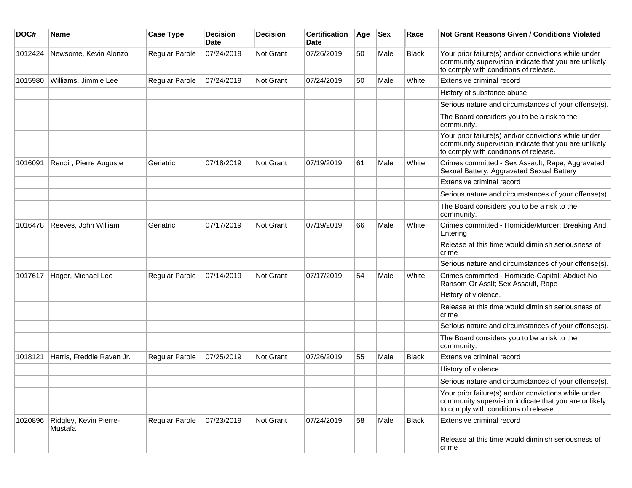| DOC#    | Name                              | <b>Case Type</b> | <b>Decision</b><br><b>Date</b> | <b>Decision</b>  | <b>Certification</b><br>Date | Age | <b>Sex</b> | Race         | Not Grant Reasons Given / Conditions Violated                                                                                                         |
|---------|-----------------------------------|------------------|--------------------------------|------------------|------------------------------|-----|------------|--------------|-------------------------------------------------------------------------------------------------------------------------------------------------------|
| 1012424 | Newsome, Kevin Alonzo             | Regular Parole   | 07/24/2019                     | Not Grant        | 07/26/2019                   | 50  | Male       | <b>Black</b> | Your prior failure(s) and/or convictions while under<br>community supervision indicate that you are unlikely<br>to comply with conditions of release. |
| 1015980 | Williams, Jimmie Lee              | Regular Parole   | 07/24/2019                     | Not Grant        | 07/24/2019                   | 50  | Male       | White        | Extensive criminal record                                                                                                                             |
|         |                                   |                  |                                |                  |                              |     |            |              | History of substance abuse.                                                                                                                           |
|         |                                   |                  |                                |                  |                              |     |            |              | Serious nature and circumstances of your offense(s).                                                                                                  |
|         |                                   |                  |                                |                  |                              |     |            |              | The Board considers you to be a risk to the<br>community.                                                                                             |
|         |                                   |                  |                                |                  |                              |     |            |              | Your prior failure(s) and/or convictions while under<br>community supervision indicate that you are unlikely<br>to comply with conditions of release. |
| 1016091 | Renoir, Pierre Auguste            | Geriatric        | 07/18/2019                     | Not Grant        | 07/19/2019                   | 61  | Male       | White        | Crimes committed - Sex Assault, Rape; Aggravated<br>Sexual Battery; Aggravated Sexual Battery                                                         |
|         |                                   |                  |                                |                  |                              |     |            |              | Extensive criminal record                                                                                                                             |
|         |                                   |                  |                                |                  |                              |     |            |              | Serious nature and circumstances of your offense(s).                                                                                                  |
|         |                                   |                  |                                |                  |                              |     |            |              | The Board considers you to be a risk to the<br>community.                                                                                             |
| 1016478 | Reeves, John William              | Geriatric        | 07/17/2019                     | Not Grant        | 07/19/2019                   | 66  | Male       | White        | Crimes committed - Homicide/Murder; Breaking And<br>Entering                                                                                          |
|         |                                   |                  |                                |                  |                              |     |            |              | Release at this time would diminish seriousness of<br>crime                                                                                           |
|         |                                   |                  |                                |                  |                              |     |            |              | Serious nature and circumstances of your offense(s).                                                                                                  |
| 1017617 | Hager, Michael Lee                | Regular Parole   | 07/14/2019                     | <b>Not Grant</b> | 07/17/2019                   | 54  | Male       | White        | Crimes committed - Homicide-Capital; Abduct-No<br>Ransom Or Asslt; Sex Assault, Rape                                                                  |
|         |                                   |                  |                                |                  |                              |     |            |              | History of violence.                                                                                                                                  |
|         |                                   |                  |                                |                  |                              |     |            |              | Release at this time would diminish seriousness of<br>crime                                                                                           |
|         |                                   |                  |                                |                  |                              |     |            |              | Serious nature and circumstances of your offense(s).                                                                                                  |
|         |                                   |                  |                                |                  |                              |     |            |              | The Board considers you to be a risk to the<br>community.                                                                                             |
| 1018121 | Harris, Freddie Raven Jr.         | Regular Parole   | 07/25/2019                     | Not Grant        | 07/26/2019                   | 55  | Male       | <b>Black</b> | Extensive criminal record                                                                                                                             |
|         |                                   |                  |                                |                  |                              |     |            |              | History of violence.                                                                                                                                  |
|         |                                   |                  |                                |                  |                              |     |            |              | Serious nature and circumstances of your offense(s).                                                                                                  |
|         |                                   |                  |                                |                  |                              |     |            |              | Your prior failure(s) and/or convictions while under<br>community supervision indicate that you are unlikely<br>to comply with conditions of release. |
| 1020896 | Ridgley, Kevin Pierre-<br>Mustafa | Regular Parole   | 07/23/2019                     | Not Grant        | 07/24/2019                   | 58  | Male       | <b>Black</b> | Extensive criminal record                                                                                                                             |
|         |                                   |                  |                                |                  |                              |     |            |              | Release at this time would diminish seriousness of<br>crime                                                                                           |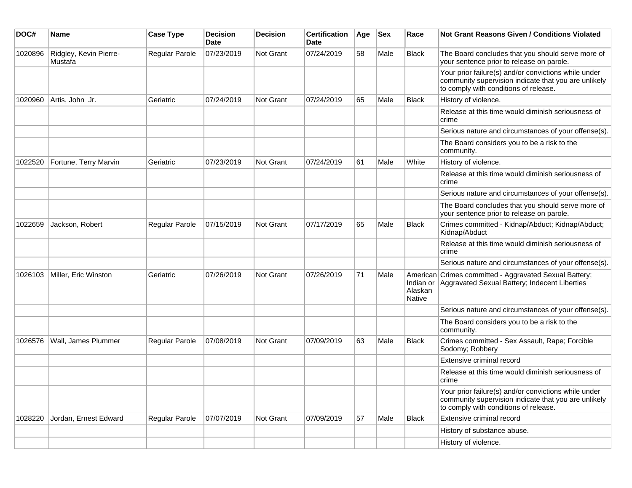| DOC#    | <b>Name</b>                       | <b>Case Type</b>      | <b>Decision</b><br>Date | <b>Decision</b> | <b>Certification</b><br>Date | Age | <b>Sex</b> | Race              | <b>Not Grant Reasons Given / Conditions Violated</b>                                                                                                  |
|---------|-----------------------------------|-----------------------|-------------------------|-----------------|------------------------------|-----|------------|-------------------|-------------------------------------------------------------------------------------------------------------------------------------------------------|
| 1020896 | Ridgley, Kevin Pierre-<br>Mustafa | Regular Parole        | 07/23/2019              | Not Grant       | 07/24/2019                   | 58  | Male       | Black             | The Board concludes that you should serve more of<br>your sentence prior to release on parole.                                                        |
|         |                                   |                       |                         |                 |                              |     |            |                   | Your prior failure(s) and/or convictions while under<br>community supervision indicate that you are unlikely<br>to comply with conditions of release. |
| 1020960 | Artis, John Jr.                   | Geriatric             | 07/24/2019              | Not Grant       | 07/24/2019                   | 65  | Male       | <b>Black</b>      | History of violence.                                                                                                                                  |
|         |                                   |                       |                         |                 |                              |     |            |                   | Release at this time would diminish seriousness of<br>crime                                                                                           |
|         |                                   |                       |                         |                 |                              |     |            |                   | Serious nature and circumstances of your offense(s).                                                                                                  |
|         |                                   |                       |                         |                 |                              |     |            |                   | The Board considers you to be a risk to the<br>community.                                                                                             |
| 1022520 | Fortune, Terry Marvin             | Geriatric             | 07/23/2019              | Not Grant       | 07/24/2019                   | 61  | Male       | White             | History of violence.                                                                                                                                  |
|         |                                   |                       |                         |                 |                              |     |            |                   | Release at this time would diminish seriousness of<br>crime                                                                                           |
|         |                                   |                       |                         |                 |                              |     |            |                   | Serious nature and circumstances of your offense(s).                                                                                                  |
|         |                                   |                       |                         |                 |                              |     |            |                   | The Board concludes that you should serve more of<br>your sentence prior to release on parole.                                                        |
| 1022659 | Jackson, Robert                   | Regular Parole        | 07/15/2019              | Not Grant       | 07/17/2019                   | 65  | Male       | <b>Black</b>      | Crimes committed - Kidnap/Abduct; Kidnap/Abduct;<br>Kidnap/Abduct                                                                                     |
|         |                                   |                       |                         |                 |                              |     |            |                   | Release at this time would diminish seriousness of<br>crime                                                                                           |
|         |                                   |                       |                         |                 |                              |     |            |                   | Serious nature and circumstances of your offense(s).                                                                                                  |
| 1026103 | Miller, Eric Winston              | Geriatric             | 07/26/2019              | Not Grant       | 07/26/2019                   | 71  | Male       | Alaskan<br>Native | American Crimes committed - Aggravated Sexual Battery;<br>Indian or Aggravated Sexual Battery; Indecent Liberties                                     |
|         |                                   |                       |                         |                 |                              |     |            |                   | Serious nature and circumstances of your offense(s).                                                                                                  |
|         |                                   |                       |                         |                 |                              |     |            |                   | The Board considers you to be a risk to the<br>community.                                                                                             |
| 1026576 | Wall, James Plummer               | <b>Regular Parole</b> | 07/08/2019              | Not Grant       | 07/09/2019                   | 63  | Male       | <b>Black</b>      | Crimes committed - Sex Assault, Rape; Forcible<br>Sodomy; Robbery                                                                                     |
|         |                                   |                       |                         |                 |                              |     |            |                   | Extensive criminal record                                                                                                                             |
|         |                                   |                       |                         |                 |                              |     |            |                   | Release at this time would diminish seriousness of<br>crime                                                                                           |
|         |                                   |                       |                         |                 |                              |     |            |                   | Your prior failure(s) and/or convictions while under<br>community supervision indicate that you are unlikely<br>to comply with conditions of release. |
| 1028220 | Jordan, Ernest Edward             | Regular Parole        | 07/07/2019              | Not Grant       | 07/09/2019                   | 57  | Male       | Black             | Extensive criminal record                                                                                                                             |
|         |                                   |                       |                         |                 |                              |     |            |                   | History of substance abuse.                                                                                                                           |
|         |                                   |                       |                         |                 |                              |     |            |                   | History of violence.                                                                                                                                  |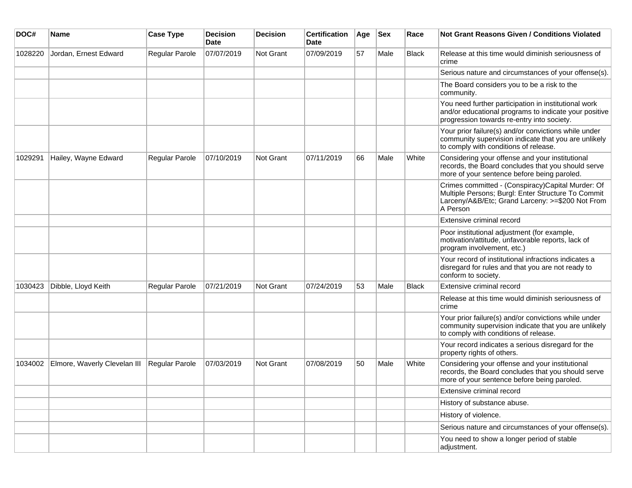| DOC#    | <b>Name</b>                  | <b>Case Type</b> | <b>Decision</b><br><b>Date</b> | <b>Decision</b> | <b>Certification</b><br><b>Date</b> | Age | <b>Sex</b> | Race         | <b>Not Grant Reasons Given / Conditions Violated</b>                                                                                                                    |
|---------|------------------------------|------------------|--------------------------------|-----------------|-------------------------------------|-----|------------|--------------|-------------------------------------------------------------------------------------------------------------------------------------------------------------------------|
| 1028220 | Jordan, Ernest Edward        | Regular Parole   | 07/07/2019                     | Not Grant       | 07/09/2019                          | 57  | Male       | Black        | Release at this time would diminish seriousness of<br>crime                                                                                                             |
|         |                              |                  |                                |                 |                                     |     |            |              | Serious nature and circumstances of your offense(s).                                                                                                                    |
|         |                              |                  |                                |                 |                                     |     |            |              | The Board considers you to be a risk to the<br>community.                                                                                                               |
|         |                              |                  |                                |                 |                                     |     |            |              | You need further participation in institutional work<br>and/or educational programs to indicate your positive<br>progression towards re-entry into society.             |
|         |                              |                  |                                |                 |                                     |     |            |              | Your prior failure(s) and/or convictions while under<br>community supervision indicate that you are unlikely<br>to comply with conditions of release.                   |
| 1029291 | Hailey, Wayne Edward         | Regular Parole   | 07/10/2019                     | Not Grant       | 07/11/2019                          | 66  | Male       | White        | Considering your offense and your institutional<br>records, the Board concludes that you should serve<br>more of your sentence before being paroled.                    |
|         |                              |                  |                                |                 |                                     |     |            |              | Crimes committed - (Conspiracy)Capital Murder: Of<br>Multiple Persons; Burgl: Enter Structure To Commit<br>Larceny/A&B/Etc; Grand Larceny: >=\$200 Not From<br>A Person |
|         |                              |                  |                                |                 |                                     |     |            |              | Extensive criminal record                                                                                                                                               |
|         |                              |                  |                                |                 |                                     |     |            |              | Poor institutional adjustment (for example,<br>motivation/attitude, unfavorable reports, lack of<br>program involvement, etc.)                                          |
|         |                              |                  |                                |                 |                                     |     |            |              | Your record of institutional infractions indicates a<br>disregard for rules and that you are not ready to<br>conform to society.                                        |
| 1030423 | Dibble, Lloyd Keith          | Regular Parole   | 07/21/2019                     | Not Grant       | 07/24/2019                          | 53  | Male       | <b>Black</b> | Extensive criminal record                                                                                                                                               |
|         |                              |                  |                                |                 |                                     |     |            |              | Release at this time would diminish seriousness of<br>crime                                                                                                             |
|         |                              |                  |                                |                 |                                     |     |            |              | Your prior failure(s) and/or convictions while under<br>community supervision indicate that you are unlikely<br>to comply with conditions of release.                   |
|         |                              |                  |                                |                 |                                     |     |            |              | Your record indicates a serious disregard for the<br>property rights of others.                                                                                         |
| 1034002 | Elmore, Waverly Clevelan III | Regular Parole   | 07/03/2019                     | Not Grant       | 07/08/2019                          | 50  | Male       | White        | Considering your offense and your institutional<br>records, the Board concludes that you should serve<br>more of your sentence before being paroled.                    |
|         |                              |                  |                                |                 |                                     |     |            |              | Extensive criminal record                                                                                                                                               |
|         |                              |                  |                                |                 |                                     |     |            |              | History of substance abuse.                                                                                                                                             |
|         |                              |                  |                                |                 |                                     |     |            |              | History of violence.                                                                                                                                                    |
|         |                              |                  |                                |                 |                                     |     |            |              | Serious nature and circumstances of your offense(s).                                                                                                                    |
|         |                              |                  |                                |                 |                                     |     |            |              | You need to show a longer period of stable<br>adjustment.                                                                                                               |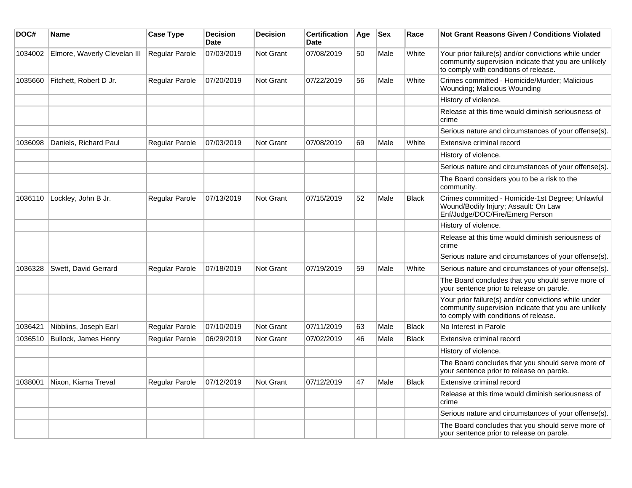| DOC#    | Name                         | <b>Case Type</b> | <b>Decision</b><br><b>Date</b> | <b>Decision</b>  | <b>Certification</b><br>Date | Age | <b>Sex</b> | Race         | Not Grant Reasons Given / Conditions Violated                                                                                                         |
|---------|------------------------------|------------------|--------------------------------|------------------|------------------------------|-----|------------|--------------|-------------------------------------------------------------------------------------------------------------------------------------------------------|
| 1034002 | Elmore, Waverly Clevelan III | Regular Parole   | 07/03/2019                     | Not Grant        | 07/08/2019                   | 50  | Male       | White        | Your prior failure(s) and/or convictions while under<br>community supervision indicate that you are unlikely<br>to comply with conditions of release. |
| 1035660 | Fitchett, Robert D Jr.       | Regular Parole   | 07/20/2019                     | Not Grant        | 07/22/2019                   | 56  | Male       | White        | Crimes committed - Homicide/Murder; Malicious<br>Wounding; Malicious Wounding                                                                         |
|         |                              |                  |                                |                  |                              |     |            |              | History of violence.                                                                                                                                  |
|         |                              |                  |                                |                  |                              |     |            |              | Release at this time would diminish seriousness of<br>crime                                                                                           |
|         |                              |                  |                                |                  |                              |     |            |              | Serious nature and circumstances of your offense(s).                                                                                                  |
| 1036098 | Daniels, Richard Paul        | Regular Parole   | 07/03/2019                     | Not Grant        | 07/08/2019                   | 69  | Male       | White        | Extensive criminal record                                                                                                                             |
|         |                              |                  |                                |                  |                              |     |            |              | History of violence.                                                                                                                                  |
|         |                              |                  |                                |                  |                              |     |            |              | Serious nature and circumstances of your offense(s).                                                                                                  |
|         |                              |                  |                                |                  |                              |     |            |              | The Board considers you to be a risk to the<br>community.                                                                                             |
| 1036110 | Lockley, John B Jr.          | Regular Parole   | 07/13/2019                     | Not Grant        | 07/15/2019                   | 52  | Male       | <b>Black</b> | Crimes committed - Homicide-1st Degree; Unlawful<br>Wound/Bodily Injury; Assault: On Law<br>Enf/Judge/DOC/Fire/Emerg Person                           |
|         |                              |                  |                                |                  |                              |     |            |              | History of violence.                                                                                                                                  |
|         |                              |                  |                                |                  |                              |     |            |              | Release at this time would diminish seriousness of<br>crime                                                                                           |
|         |                              |                  |                                |                  |                              |     |            |              | Serious nature and circumstances of your offense(s).                                                                                                  |
| 1036328 | Swett, David Gerrard         | Regular Parole   | 07/18/2019                     | <b>Not Grant</b> | 07/19/2019                   | 59  | Male       | White        | Serious nature and circumstances of your offense(s).                                                                                                  |
|         |                              |                  |                                |                  |                              |     |            |              | The Board concludes that you should serve more of<br>your sentence prior to release on parole.                                                        |
|         |                              |                  |                                |                  |                              |     |            |              | Your prior failure(s) and/or convictions while under<br>community supervision indicate that you are unlikely<br>to comply with conditions of release. |
| 1036421 | Nibblins, Joseph Earl        | Regular Parole   | 07/10/2019                     | Not Grant        | 07/11/2019                   | 63  | Male       | <b>Black</b> | No Interest in Parole                                                                                                                                 |
| 1036510 | Bullock, James Henry         | Regular Parole   | 06/29/2019                     | Not Grant        | 07/02/2019                   | 46  | Male       | <b>Black</b> | Extensive criminal record                                                                                                                             |
|         |                              |                  |                                |                  |                              |     |            |              | History of violence.                                                                                                                                  |
|         |                              |                  |                                |                  |                              |     |            |              | The Board concludes that you should serve more of<br>your sentence prior to release on parole.                                                        |
| 1038001 | Nixon, Kiama Treval          | Regular Parole   | 07/12/2019                     | Not Grant        | 07/12/2019                   | 47  | Male       | <b>Black</b> | Extensive criminal record                                                                                                                             |
|         |                              |                  |                                |                  |                              |     |            |              | Release at this time would diminish seriousness of<br>crime                                                                                           |
|         |                              |                  |                                |                  |                              |     |            |              | Serious nature and circumstances of your offense(s).                                                                                                  |
|         |                              |                  |                                |                  |                              |     |            |              | The Board concludes that you should serve more of<br>your sentence prior to release on parole.                                                        |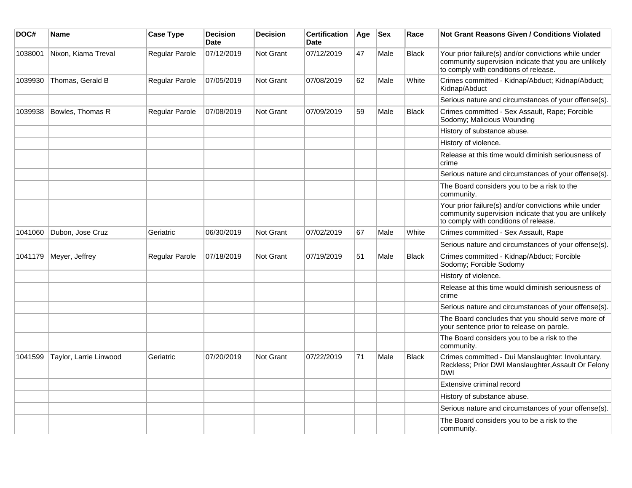| DOC#    | <b>Name</b>            | <b>Case Type</b> | <b>Decision</b><br>Date | <b>Decision</b>  | <b>Certification</b><br><b>Date</b> | Age | <b>Sex</b> | Race         | <b>Not Grant Reasons Given / Conditions Violated</b>                                                                                                  |
|---------|------------------------|------------------|-------------------------|------------------|-------------------------------------|-----|------------|--------------|-------------------------------------------------------------------------------------------------------------------------------------------------------|
| 1038001 | Nixon, Kiama Treval    | Regular Parole   | 07/12/2019              | Not Grant        | 07/12/2019                          | 47  | Male       | <b>Black</b> | Your prior failure(s) and/or convictions while under<br>community supervision indicate that you are unlikely<br>to comply with conditions of release. |
| 1039930 | Thomas, Gerald B       | Regular Parole   | 07/05/2019              | Not Grant        | 07/08/2019                          | 62  | Male       | White        | Crimes committed - Kidnap/Abduct; Kidnap/Abduct;<br>Kidnap/Abduct                                                                                     |
|         |                        |                  |                         |                  |                                     |     |            |              | Serious nature and circumstances of your offense(s).                                                                                                  |
| 1039938 | Bowles, Thomas R       | Regular Parole   | 07/08/2019              | Not Grant        | 07/09/2019                          | 59  | Male       | <b>Black</b> | Crimes committed - Sex Assault, Rape; Forcible<br>Sodomy; Malicious Wounding                                                                          |
|         |                        |                  |                         |                  |                                     |     |            |              | History of substance abuse.                                                                                                                           |
|         |                        |                  |                         |                  |                                     |     |            |              | History of violence.                                                                                                                                  |
|         |                        |                  |                         |                  |                                     |     |            |              | Release at this time would diminish seriousness of<br>crime                                                                                           |
|         |                        |                  |                         |                  |                                     |     |            |              | Serious nature and circumstances of your offense(s).                                                                                                  |
|         |                        |                  |                         |                  |                                     |     |            |              | The Board considers you to be a risk to the<br>community.                                                                                             |
|         |                        |                  |                         |                  |                                     |     |            |              | Your prior failure(s) and/or convictions while under<br>community supervision indicate that you are unlikely<br>to comply with conditions of release. |
| 1041060 | Dubon, Jose Cruz       | Geriatric        | 06/30/2019              | <b>Not Grant</b> | 07/02/2019                          | 67  | Male       | White        | Crimes committed - Sex Assault, Rape                                                                                                                  |
|         |                        |                  |                         |                  |                                     |     |            |              | Serious nature and circumstances of your offense(s).                                                                                                  |
| 1041179 | Meyer, Jeffrey         | Regular Parole   | 07/18/2019              | Not Grant        | 07/19/2019                          | 51  | Male       | <b>Black</b> | Crimes committed - Kidnap/Abduct; Forcible<br>Sodomy; Forcible Sodomy                                                                                 |
|         |                        |                  |                         |                  |                                     |     |            |              | History of violence.                                                                                                                                  |
|         |                        |                  |                         |                  |                                     |     |            |              | Release at this time would diminish seriousness of<br>crime                                                                                           |
|         |                        |                  |                         |                  |                                     |     |            |              | Serious nature and circumstances of your offense(s).                                                                                                  |
|         |                        |                  |                         |                  |                                     |     |            |              | The Board concludes that you should serve more of<br>your sentence prior to release on parole.                                                        |
|         |                        |                  |                         |                  |                                     |     |            |              | The Board considers you to be a risk to the<br>community.                                                                                             |
| 1041599 | Taylor, Larrie Linwood | Geriatric        | 07/20/2019              | Not Grant        | 07/22/2019                          | 71  | Male       | <b>Black</b> | Crimes committed - Dui Manslaughter: Involuntary,<br>Reckless; Prior DWI Manslaughter, Assault Or Felony<br><b>DWI</b>                                |
|         |                        |                  |                         |                  |                                     |     |            |              | Extensive criminal record                                                                                                                             |
|         |                        |                  |                         |                  |                                     |     |            |              | History of substance abuse.                                                                                                                           |
|         |                        |                  |                         |                  |                                     |     |            |              | Serious nature and circumstances of your offense(s).                                                                                                  |
|         |                        |                  |                         |                  |                                     |     |            |              | The Board considers you to be a risk to the<br>community.                                                                                             |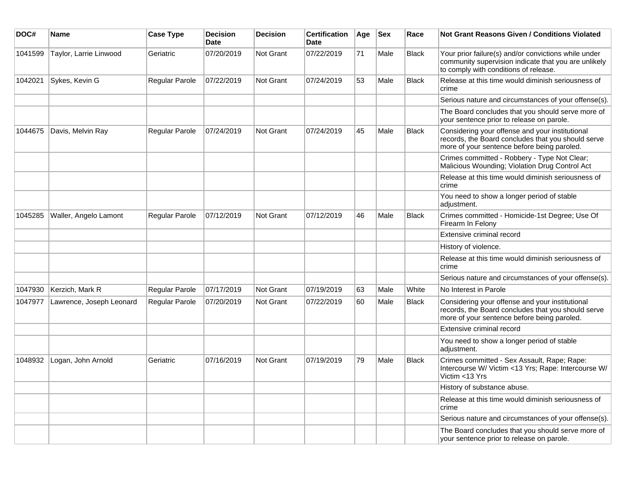| DOC#    | <b>Name</b>              | <b>Case Type</b>      | <b>Decision</b><br><b>Date</b> | <b>Decision</b>  | <b>Certification</b><br><b>Date</b> | Age | <b>Sex</b> | Race         | <b>Not Grant Reasons Given / Conditions Violated</b>                                                                                                  |
|---------|--------------------------|-----------------------|--------------------------------|------------------|-------------------------------------|-----|------------|--------------|-------------------------------------------------------------------------------------------------------------------------------------------------------|
| 1041599 | Taylor, Larrie Linwood   | Geriatric             | 07/20/2019                     | <b>Not Grant</b> | 07/22/2019                          | 71  | Male       | <b>Black</b> | Your prior failure(s) and/or convictions while under<br>community supervision indicate that you are unlikely<br>to comply with conditions of release. |
| 1042021 | Sykes, Kevin G           | Regular Parole        | 07/22/2019                     | Not Grant        | 07/24/2019                          | 53  | Male       | <b>Black</b> | Release at this time would diminish seriousness of<br>crime                                                                                           |
|         |                          |                       |                                |                  |                                     |     |            |              | Serious nature and circumstances of your offense(s).                                                                                                  |
|         |                          |                       |                                |                  |                                     |     |            |              | The Board concludes that you should serve more of<br>your sentence prior to release on parole.                                                        |
| 1044675 | Davis, Melvin Ray        | Regular Parole        | 07/24/2019                     | <b>Not Grant</b> | 07/24/2019                          | 45  | Male       | <b>Black</b> | Considering your offense and your institutional<br>records, the Board concludes that you should serve<br>more of your sentence before being paroled.  |
|         |                          |                       |                                |                  |                                     |     |            |              | Crimes committed - Robbery - Type Not Clear;<br>Malicious Wounding; Violation Drug Control Act                                                        |
|         |                          |                       |                                |                  |                                     |     |            |              | Release at this time would diminish seriousness of<br>crime                                                                                           |
|         |                          |                       |                                |                  |                                     |     |            |              | You need to show a longer period of stable<br>adjustment.                                                                                             |
| 1045285 | Waller, Angelo Lamont    | Regular Parole        | 07/12/2019                     | <b>Not Grant</b> | 07/12/2019                          | 46  | Male       | <b>Black</b> | Crimes committed - Homicide-1st Degree; Use Of<br>Firearm In Felony                                                                                   |
|         |                          |                       |                                |                  |                                     |     |            |              | Extensive criminal record                                                                                                                             |
|         |                          |                       |                                |                  |                                     |     |            |              | History of violence.                                                                                                                                  |
|         |                          |                       |                                |                  |                                     |     |            |              | Release at this time would diminish seriousness of<br>crime                                                                                           |
|         |                          |                       |                                |                  |                                     |     |            |              | Serious nature and circumstances of your offense(s).                                                                                                  |
| 1047930 | Kerzich, Mark R          | Regular Parole        | 07/17/2019                     | <b>Not Grant</b> | 07/19/2019                          | 63  | Male       | White        | No Interest in Parole                                                                                                                                 |
| 1047977 | Lawrence, Joseph Leonard | <b>Regular Parole</b> | 07/20/2019                     | <b>Not Grant</b> | 07/22/2019                          | 60  | Male       | <b>Black</b> | Considering your offense and your institutional<br>records, the Board concludes that you should serve<br>more of your sentence before being paroled.  |
|         |                          |                       |                                |                  |                                     |     |            |              | Extensive criminal record                                                                                                                             |
|         |                          |                       |                                |                  |                                     |     |            |              | You need to show a longer period of stable<br>adjustment.                                                                                             |
| 1048932 | Logan, John Arnold       | Geriatric             | 07/16/2019                     | Not Grant        | 07/19/2019                          | 79  | Male       | <b>Black</b> | Crimes committed - Sex Assault, Rape; Rape:<br>Intercourse W/ Victim <13 Yrs; Rape: Intercourse W/<br>Victim <13 Yrs                                  |
|         |                          |                       |                                |                  |                                     |     |            |              | History of substance abuse.                                                                                                                           |
|         |                          |                       |                                |                  |                                     |     |            |              | Release at this time would diminish seriousness of<br>crime                                                                                           |
|         |                          |                       |                                |                  |                                     |     |            |              | Serious nature and circumstances of your offense(s).                                                                                                  |
|         |                          |                       |                                |                  |                                     |     |            |              | The Board concludes that you should serve more of<br>your sentence prior to release on parole.                                                        |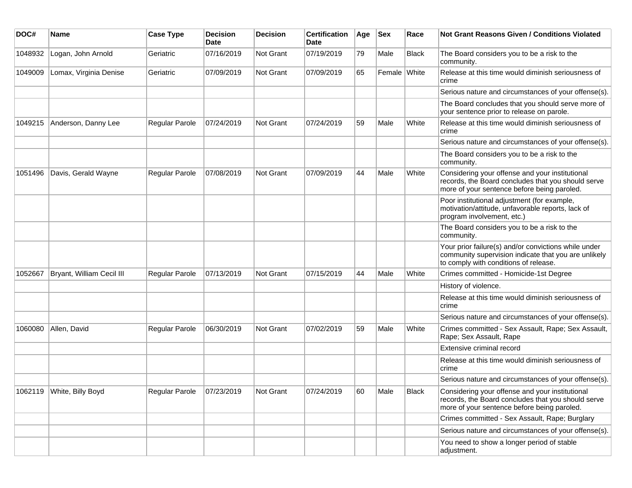| DOC#    | Name                      | <b>Case Type</b> | <b>Decision</b><br>Date | <b>Decision</b> | <b>Certification</b><br><b>Date</b> | Age | <b>Sex</b>   | Race         | Not Grant Reasons Given / Conditions Violated                                                                                                         |
|---------|---------------------------|------------------|-------------------------|-----------------|-------------------------------------|-----|--------------|--------------|-------------------------------------------------------------------------------------------------------------------------------------------------------|
| 1048932 | Logan, John Arnold        | Geriatric        | 07/16/2019              | Not Grant       | 07/19/2019                          | 79  | Male         | <b>Black</b> | The Board considers you to be a risk to the<br>community.                                                                                             |
| 1049009 | Lomax, Virginia Denise    | Geriatric        | 07/09/2019              | Not Grant       | 07/09/2019                          | 65  | Female White |              | Release at this time would diminish seriousness of<br>crime                                                                                           |
|         |                           |                  |                         |                 |                                     |     |              |              | Serious nature and circumstances of your offense(s).                                                                                                  |
|         |                           |                  |                         |                 |                                     |     |              |              | The Board concludes that you should serve more of<br>your sentence prior to release on parole.                                                        |
| 1049215 | Anderson, Danny Lee       | Regular Parole   | 07/24/2019              | Not Grant       | 07/24/2019                          | 59  | Male         | White        | Release at this time would diminish seriousness of<br>crime                                                                                           |
|         |                           |                  |                         |                 |                                     |     |              |              | Serious nature and circumstances of your offense(s).                                                                                                  |
|         |                           |                  |                         |                 |                                     |     |              |              | The Board considers you to be a risk to the<br>community.                                                                                             |
| 1051496 | Davis, Gerald Wayne       | Regular Parole   | 07/08/2019              | Not Grant       | 07/09/2019                          | 44  | Male         | White        | Considering your offense and your institutional<br>records, the Board concludes that you should serve<br>more of your sentence before being paroled.  |
|         |                           |                  |                         |                 |                                     |     |              |              | Poor institutional adjustment (for example,<br>motivation/attitude, unfavorable reports, lack of<br>program involvement, etc.)                        |
|         |                           |                  |                         |                 |                                     |     |              |              | The Board considers you to be a risk to the<br>community.                                                                                             |
|         |                           |                  |                         |                 |                                     |     |              |              | Your prior failure(s) and/or convictions while under<br>community supervision indicate that you are unlikely<br>to comply with conditions of release. |
| 1052667 | Bryant, William Cecil III | Regular Parole   | 07/13/2019              | Not Grant       | 07/15/2019                          | 44  | Male         | White        | Crimes committed - Homicide-1st Degree                                                                                                                |
|         |                           |                  |                         |                 |                                     |     |              |              | History of violence.                                                                                                                                  |
|         |                           |                  |                         |                 |                                     |     |              |              | Release at this time would diminish seriousness of<br>crime                                                                                           |
|         |                           |                  |                         |                 |                                     |     |              |              | Serious nature and circumstances of your offense(s).                                                                                                  |
| 1060080 | Allen, David              | Regular Parole   | 06/30/2019              | Not Grant       | 07/02/2019                          | 59  | Male         | White        | Crimes committed - Sex Assault, Rape; Sex Assault,<br>Rape; Sex Assault, Rape                                                                         |
|         |                           |                  |                         |                 |                                     |     |              |              | Extensive criminal record                                                                                                                             |
|         |                           |                  |                         |                 |                                     |     |              |              | Release at this time would diminish seriousness of<br>crime                                                                                           |
|         |                           |                  |                         |                 |                                     |     |              |              | Serious nature and circumstances of your offense(s).                                                                                                  |
| 1062119 | White, Billy Boyd         | Regular Parole   | 07/23/2019              | Not Grant       | 07/24/2019                          | 60  | Male         | Black        | Considering your offense and your institutional<br>records, the Board concludes that you should serve<br>more of your sentence before being paroled.  |
|         |                           |                  |                         |                 |                                     |     |              |              | Crimes committed - Sex Assault, Rape; Burglary                                                                                                        |
|         |                           |                  |                         |                 |                                     |     |              |              | Serious nature and circumstances of your offense(s).                                                                                                  |
|         |                           |                  |                         |                 |                                     |     |              |              | You need to show a longer period of stable<br>adjustment.                                                                                             |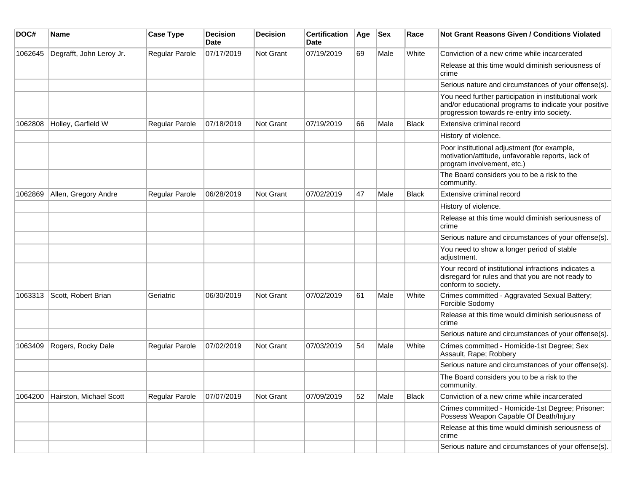| DOC#    | Name                     | <b>Case Type</b>      | <b>Decision</b><br>Date | <b>Decision</b>  | <b>Certification</b><br>Date | Age | <b>Sex</b> | Race         | <b>Not Grant Reasons Given / Conditions Violated</b>                                                                                                        |
|---------|--------------------------|-----------------------|-------------------------|------------------|------------------------------|-----|------------|--------------|-------------------------------------------------------------------------------------------------------------------------------------------------------------|
| 1062645 | Degrafft, John Leroy Jr. | <b>Regular Parole</b> | 07/17/2019              | Not Grant        | 07/19/2019                   | 69  | Male       | White        | Conviction of a new crime while incarcerated                                                                                                                |
|         |                          |                       |                         |                  |                              |     |            |              | Release at this time would diminish seriousness of<br>crime                                                                                                 |
|         |                          |                       |                         |                  |                              |     |            |              | Serious nature and circumstances of your offense(s).                                                                                                        |
|         |                          |                       |                         |                  |                              |     |            |              | You need further participation in institutional work<br>and/or educational programs to indicate your positive<br>progression towards re-entry into society. |
| 1062808 | Holley, Garfield W       | Regular Parole        | 07/18/2019              | <b>Not Grant</b> | 07/19/2019                   | 66  | Male       | Black        | Extensive criminal record                                                                                                                                   |
|         |                          |                       |                         |                  |                              |     |            |              | History of violence.                                                                                                                                        |
|         |                          |                       |                         |                  |                              |     |            |              | Poor institutional adjustment (for example,<br>motivation/attitude, unfavorable reports, lack of<br>program involvement, etc.)                              |
|         |                          |                       |                         |                  |                              |     |            |              | The Board considers you to be a risk to the<br>community.                                                                                                   |
| 1062869 | Allen, Gregory Andre     | <b>Regular Parole</b> | 06/28/2019              | <b>Not Grant</b> | 07/02/2019                   | 47  | Male       | <b>Black</b> | Extensive criminal record                                                                                                                                   |
|         |                          |                       |                         |                  |                              |     |            |              | History of violence.                                                                                                                                        |
|         |                          |                       |                         |                  |                              |     |            |              | Release at this time would diminish seriousness of<br>crime                                                                                                 |
|         |                          |                       |                         |                  |                              |     |            |              | Serious nature and circumstances of your offense(s).                                                                                                        |
|         |                          |                       |                         |                  |                              |     |            |              | You need to show a longer period of stable<br>adjustment.                                                                                                   |
|         |                          |                       |                         |                  |                              |     |            |              | Your record of institutional infractions indicates a<br>disregard for rules and that you are not ready to<br>conform to society.                            |
| 1063313 | Scott, Robert Brian      | Geriatric             | 06/30/2019              | <b>Not Grant</b> | 07/02/2019                   | 61  | Male       | White        | Crimes committed - Aggravated Sexual Battery;<br>Forcible Sodomy                                                                                            |
|         |                          |                       |                         |                  |                              |     |            |              | Release at this time would diminish seriousness of<br>crime                                                                                                 |
|         |                          |                       |                         |                  |                              |     |            |              | Serious nature and circumstances of your offense(s).                                                                                                        |
| 1063409 | Rogers, Rocky Dale       | <b>Regular Parole</b> | 07/02/2019              | <b>Not Grant</b> | 07/03/2019                   | 54  | Male       | White        | Crimes committed - Homicide-1st Degree; Sex<br>Assault, Rape; Robbery                                                                                       |
|         |                          |                       |                         |                  |                              |     |            |              | Serious nature and circumstances of your offense(s).                                                                                                        |
|         |                          |                       |                         |                  |                              |     |            |              | The Board considers you to be a risk to the<br>community.                                                                                                   |
| 1064200 | Hairston, Michael Scott  | <b>Regular Parole</b> | 07/07/2019              | Not Grant        | 07/09/2019                   | 52  | Male       | Black        | Conviction of a new crime while incarcerated                                                                                                                |
|         |                          |                       |                         |                  |                              |     |            |              | Crimes committed - Homicide-1st Degree; Prisoner:<br>Possess Weapon Capable Of Death/Injury                                                                 |
|         |                          |                       |                         |                  |                              |     |            |              | Release at this time would diminish seriousness of<br>crime                                                                                                 |
|         |                          |                       |                         |                  |                              |     |            |              | Serious nature and circumstances of your offense(s).                                                                                                        |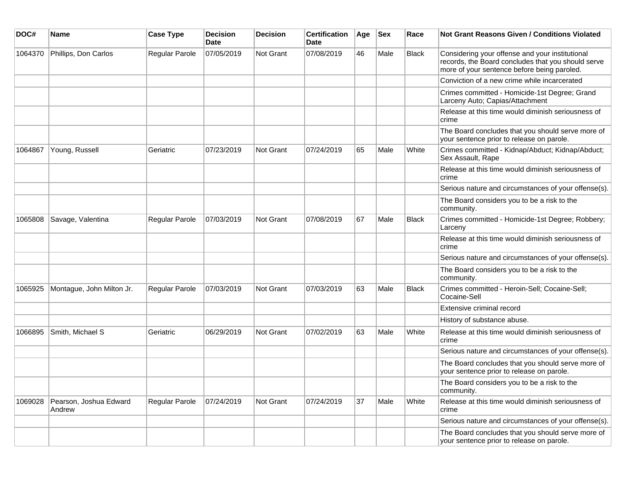| DOC#    | <b>Name</b>                      | <b>Case Type</b>      | <b>Decision</b><br><b>Date</b> | <b>Decision</b> | <b>Certification</b><br>Date | Age | <b>Sex</b> | Race         | Not Grant Reasons Given / Conditions Violated                                                                                                        |
|---------|----------------------------------|-----------------------|--------------------------------|-----------------|------------------------------|-----|------------|--------------|------------------------------------------------------------------------------------------------------------------------------------------------------|
| 1064370 | Phillips, Don Carlos             | Regular Parole        | 07/05/2019                     | Not Grant       | 07/08/2019                   | 46  | Male       | <b>Black</b> | Considering your offense and your institutional<br>records, the Board concludes that you should serve<br>more of your sentence before being paroled. |
|         |                                  |                       |                                |                 |                              |     |            |              | Conviction of a new crime while incarcerated                                                                                                         |
|         |                                  |                       |                                |                 |                              |     |            |              | Crimes committed - Homicide-1st Degree; Grand<br>Larceny Auto; Capias/Attachment                                                                     |
|         |                                  |                       |                                |                 |                              |     |            |              | Release at this time would diminish seriousness of<br>crime                                                                                          |
|         |                                  |                       |                                |                 |                              |     |            |              | The Board concludes that you should serve more of<br>your sentence prior to release on parole.                                                       |
| 1064867 | Young, Russell                   | Geriatric             | 07/23/2019                     | Not Grant       | 07/24/2019                   | 65  | Male       | White        | Crimes committed - Kidnap/Abduct; Kidnap/Abduct;<br>Sex Assault, Rape                                                                                |
|         |                                  |                       |                                |                 |                              |     |            |              | Release at this time would diminish seriousness of<br>crime                                                                                          |
|         |                                  |                       |                                |                 |                              |     |            |              | Serious nature and circumstances of your offense(s).                                                                                                 |
|         |                                  |                       |                                |                 |                              |     |            |              | The Board considers you to be a risk to the<br>community.                                                                                            |
| 1065808 | Savage, Valentina                | Regular Parole        | 07/03/2019                     | Not Grant       | 07/08/2019                   | 67  | Male       | Black        | Crimes committed - Homicide-1st Degree; Robbery;<br>Larceny                                                                                          |
|         |                                  |                       |                                |                 |                              |     |            |              | Release at this time would diminish seriousness of<br>crime                                                                                          |
|         |                                  |                       |                                |                 |                              |     |            |              | Serious nature and circumstances of your offense(s).                                                                                                 |
|         |                                  |                       |                                |                 |                              |     |            |              | The Board considers you to be a risk to the<br>community.                                                                                            |
| 1065925 | Montague, John Milton Jr.        | <b>Regular Parole</b> | 07/03/2019                     | Not Grant       | 07/03/2019                   | 63  | Male       | <b>Black</b> | Crimes committed - Heroin-Sell; Cocaine-Sell;<br>Cocaine-Sell                                                                                        |
|         |                                  |                       |                                |                 |                              |     |            |              | Extensive criminal record                                                                                                                            |
|         |                                  |                       |                                |                 |                              |     |            |              | History of substance abuse.                                                                                                                          |
| 1066895 | Smith, Michael S                 | Geriatric             | 06/29/2019                     | Not Grant       | 07/02/2019                   | 63  | Male       | White        | Release at this time would diminish seriousness of<br>crime                                                                                          |
|         |                                  |                       |                                |                 |                              |     |            |              | Serious nature and circumstances of your offense(s).                                                                                                 |
|         |                                  |                       |                                |                 |                              |     |            |              | The Board concludes that you should serve more of<br>your sentence prior to release on parole.                                                       |
|         |                                  |                       |                                |                 |                              |     |            |              | The Board considers you to be a risk to the<br>community.                                                                                            |
| 1069028 | Pearson, Joshua Edward<br>Andrew | Regular Parole        | 07/24/2019                     | Not Grant       | 07/24/2019                   | 37  | Male       | White        | Release at this time would diminish seriousness of<br>crime                                                                                          |
|         |                                  |                       |                                |                 |                              |     |            |              | Serious nature and circumstances of your offense(s).                                                                                                 |
|         |                                  |                       |                                |                 |                              |     |            |              | The Board concludes that you should serve more of<br>your sentence prior to release on parole.                                                       |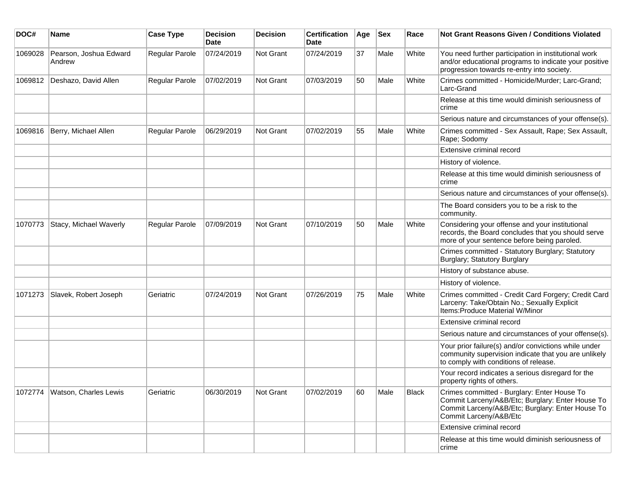| DOC#    | Name                             | <b>Case Type</b> | <b>Decision</b><br><b>Date</b> | <b>Decision</b> | <b>Certification</b><br>Date | Age | <b>Sex</b> | Race  | <b>Not Grant Reasons Given / Conditions Violated</b>                                                                                                                          |
|---------|----------------------------------|------------------|--------------------------------|-----------------|------------------------------|-----|------------|-------|-------------------------------------------------------------------------------------------------------------------------------------------------------------------------------|
| 1069028 | Pearson, Joshua Edward<br>Andrew | Regular Parole   | 07/24/2019                     | Not Grant       | 07/24/2019                   | 37  | Male       | White | You need further participation in institutional work<br>and/or educational programs to indicate your positive<br>progression towards re-entry into society.                   |
| 1069812 | Deshazo, David Allen             | Regular Parole   | 07/02/2019                     | Not Grant       | 07/03/2019                   | 50  | Male       | White | Crimes committed - Homicide/Murder; Larc-Grand;<br>Larc-Grand                                                                                                                 |
|         |                                  |                  |                                |                 |                              |     |            |       | Release at this time would diminish seriousness of<br>crime                                                                                                                   |
|         |                                  |                  |                                |                 |                              |     |            |       | Serious nature and circumstances of your offense(s).                                                                                                                          |
| 1069816 | Berry, Michael Allen             | Regular Parole   | 06/29/2019                     | Not Grant       | 07/02/2019                   | 55  | Male       | White | Crimes committed - Sex Assault, Rape; Sex Assault,<br>Rape; Sodomy                                                                                                            |
|         |                                  |                  |                                |                 |                              |     |            |       | Extensive criminal record                                                                                                                                                     |
|         |                                  |                  |                                |                 |                              |     |            |       | History of violence.                                                                                                                                                          |
|         |                                  |                  |                                |                 |                              |     |            |       | Release at this time would diminish seriousness of<br>crime                                                                                                                   |
|         |                                  |                  |                                |                 |                              |     |            |       | Serious nature and circumstances of your offense(s).                                                                                                                          |
|         |                                  |                  |                                |                 |                              |     |            |       | The Board considers you to be a risk to the<br>community.                                                                                                                     |
| 1070773 | Stacy, Michael Waverly           | Regular Parole   | 07/09/2019                     | Not Grant       | 07/10/2019                   | 50  | Male       | White | Considering your offense and your institutional<br>records, the Board concludes that you should serve<br>more of your sentence before being paroled.                          |
|         |                                  |                  |                                |                 |                              |     |            |       | Crimes committed - Statutory Burglary; Statutory<br>Burglary; Statutory Burglary                                                                                              |
|         |                                  |                  |                                |                 |                              |     |            |       | History of substance abuse.                                                                                                                                                   |
|         |                                  |                  |                                |                 |                              |     |            |       | History of violence.                                                                                                                                                          |
| 1071273 | Slavek, Robert Joseph            | Geriatric        | 07/24/2019                     | Not Grant       | 07/26/2019                   | 75  | Male       | White | Crimes committed - Credit Card Forgery; Credit Card<br>Larceny: Take/Obtain No.; Sexually Explicit<br>Items: Produce Material W/Minor                                         |
|         |                                  |                  |                                |                 |                              |     |            |       | Extensive criminal record                                                                                                                                                     |
|         |                                  |                  |                                |                 |                              |     |            |       | Serious nature and circumstances of your offense(s).                                                                                                                          |
|         |                                  |                  |                                |                 |                              |     |            |       | Your prior failure(s) and/or convictions while under<br>community supervision indicate that you are unlikely<br>to comply with conditions of release.                         |
|         |                                  |                  |                                |                 |                              |     |            |       | Your record indicates a serious disregard for the<br>property rights of others.                                                                                               |
| 1072774 | Watson, Charles Lewis            | Geriatric        | 06/30/2019                     | Not Grant       | 07/02/2019                   | 60  | Male       | Black | Crimes committed - Burglary: Enter House To<br>Commit Larceny/A&B/Etc; Burglary: Enter House To<br>Commit Larceny/A&B/Etc; Burglary: Enter House To<br>Commit Larceny/A&B/Etc |
|         |                                  |                  |                                |                 |                              |     |            |       | Extensive criminal record                                                                                                                                                     |
|         |                                  |                  |                                |                 |                              |     |            |       | Release at this time would diminish seriousness of<br>crime                                                                                                                   |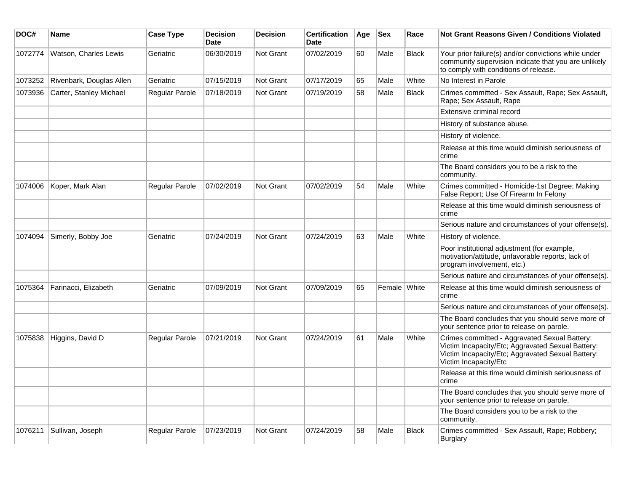| DOC#    | Name                     | <b>Case Type</b>      | <b>Decision</b><br><b>Date</b> | <b>Decision</b>  | <b>Certification</b><br><b>Date</b> | Age | <b>Sex</b>   | Race         | <b>Not Grant Reasons Given / Conditions Violated</b>                                                                                                                             |
|---------|--------------------------|-----------------------|--------------------------------|------------------|-------------------------------------|-----|--------------|--------------|----------------------------------------------------------------------------------------------------------------------------------------------------------------------------------|
| 1072774 | Watson, Charles Lewis    | Geriatric             | 06/30/2019                     | Not Grant        | 07/02/2019                          | 60  | Male         | <b>Black</b> | Your prior failure(s) and/or convictions while under<br>community supervision indicate that you are unlikely<br>to comply with conditions of release.                            |
| 1073252 | Rivenbark, Douglas Allen | Geriatric             | 07/15/2019                     | Not Grant        | 07/17/2019                          | 65  | Male         | White        | No Interest in Parole                                                                                                                                                            |
| 1073936 | Carter, Stanley Michael  | <b>Regular Parole</b> | 07/18/2019                     | Not Grant        | 07/19/2019                          | 58  | Male         | <b>Black</b> | Crimes committed - Sex Assault, Rape; Sex Assault,<br>Rape; Sex Assault, Rape                                                                                                    |
|         |                          |                       |                                |                  |                                     |     |              |              | Extensive criminal record                                                                                                                                                        |
|         |                          |                       |                                |                  |                                     |     |              |              | History of substance abuse.                                                                                                                                                      |
|         |                          |                       |                                |                  |                                     |     |              |              | History of violence.                                                                                                                                                             |
|         |                          |                       |                                |                  |                                     |     |              |              | Release at this time would diminish seriousness of<br>crime                                                                                                                      |
|         |                          |                       |                                |                  |                                     |     |              |              | The Board considers you to be a risk to the<br>community.                                                                                                                        |
| 1074006 | Koper, Mark Alan         | <b>Regular Parole</b> | 07/02/2019                     | <b>Not Grant</b> | 07/02/2019                          | 54  | Male         | White        | Crimes committed - Homicide-1st Degree; Making<br>False Report; Use Of Firearm In Felony                                                                                         |
|         |                          |                       |                                |                  |                                     |     |              |              | Release at this time would diminish seriousness of<br>crime                                                                                                                      |
|         |                          |                       |                                |                  |                                     |     |              |              | Serious nature and circumstances of your offense(s).                                                                                                                             |
| 1074094 | Simerly, Bobby Joe       | Geriatric             | 07/24/2019                     | Not Grant        | 07/24/2019                          | 63  | Male         | White        | History of violence.                                                                                                                                                             |
|         |                          |                       |                                |                  |                                     |     |              |              | Poor institutional adjustment (for example,<br>motivation/attitude, unfavorable reports, lack of<br>program involvement, etc.)                                                   |
|         |                          |                       |                                |                  |                                     |     |              |              | Serious nature and circumstances of your offense(s).                                                                                                                             |
| 1075364 | Farinacci, Elizabeth     | Geriatric             | 07/09/2019                     | <b>Not Grant</b> | 07/09/2019                          | 65  | Female White |              | Release at this time would diminish seriousness of<br>crime                                                                                                                      |
|         |                          |                       |                                |                  |                                     |     |              |              | Serious nature and circumstances of your offense(s).                                                                                                                             |
|         |                          |                       |                                |                  |                                     |     |              |              | The Board concludes that you should serve more of<br>your sentence prior to release on parole.                                                                                   |
| 1075838 | Higgins, David D         | Regular Parole        | 07/21/2019                     | Not Grant        | 07/24/2019                          | 61  | Male         | White        | Crimes committed - Aggravated Sexual Battery:<br>Victim Incapacity/Etc; Aggravated Sexual Battery:<br>Victim Incapacity/Etc; Aggravated Sexual Battery:<br>Victim Incapacity/Etc |
|         |                          |                       |                                |                  |                                     |     |              |              | Release at this time would diminish seriousness of<br>crime                                                                                                                      |
|         |                          |                       |                                |                  |                                     |     |              |              | The Board concludes that you should serve more of<br>your sentence prior to release on parole.                                                                                   |
|         |                          |                       |                                |                  |                                     |     |              |              | The Board considers you to be a risk to the<br>community.                                                                                                                        |
| 1076211 | Sullivan, Joseph         | <b>Regular Parole</b> | 07/23/2019                     | <b>Not Grant</b> | 07/24/2019                          | 58  | Male         | <b>Black</b> | Crimes committed - Sex Assault, Rape; Robbery;<br><b>Burglary</b>                                                                                                                |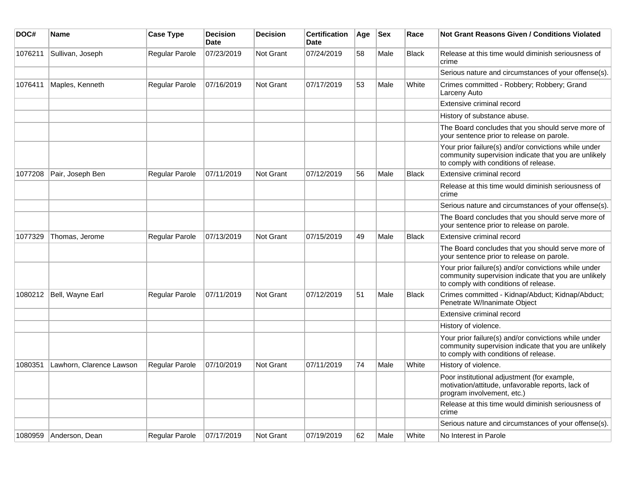| DOC#    | Name                     | <b>Case Type</b>      | <b>Decision</b><br><b>Date</b> | <b>Decision</b>  | <b>Certification</b><br>Date | Age | <b>Sex</b> | Race         | Not Grant Reasons Given / Conditions Violated                                                                                                         |
|---------|--------------------------|-----------------------|--------------------------------|------------------|------------------------------|-----|------------|--------------|-------------------------------------------------------------------------------------------------------------------------------------------------------|
| 1076211 | Sullivan, Joseph         | Regular Parole        | 07/23/2019                     | Not Grant        | 07/24/2019                   | 58  | Male       | <b>Black</b> | Release at this time would diminish seriousness of<br>crime                                                                                           |
|         |                          |                       |                                |                  |                              |     |            |              | Serious nature and circumstances of your offense(s).                                                                                                  |
| 1076411 | Maples, Kenneth          | Regular Parole        | 07/16/2019                     | Not Grant        | 07/17/2019                   | 53  | Male       | White        | Crimes committed - Robbery; Robbery; Grand<br>Larceny Auto                                                                                            |
|         |                          |                       |                                |                  |                              |     |            |              | Extensive criminal record                                                                                                                             |
|         |                          |                       |                                |                  |                              |     |            |              | History of substance abuse.                                                                                                                           |
|         |                          |                       |                                |                  |                              |     |            |              | The Board concludes that you should serve more of<br>your sentence prior to release on parole.                                                        |
|         |                          |                       |                                |                  |                              |     |            |              | Your prior failure(s) and/or convictions while under<br>community supervision indicate that you are unlikely<br>to comply with conditions of release. |
| 1077208 | Pair, Joseph Ben         | <b>Regular Parole</b> | 07/11/2019                     | <b>Not Grant</b> | 07/12/2019                   | 56  | Male       | <b>Black</b> | Extensive criminal record                                                                                                                             |
|         |                          |                       |                                |                  |                              |     |            |              | Release at this time would diminish seriousness of<br>crime                                                                                           |
|         |                          |                       |                                |                  |                              |     |            |              | Serious nature and circumstances of your offense(s).                                                                                                  |
|         |                          |                       |                                |                  |                              |     |            |              | The Board concludes that you should serve more of<br>your sentence prior to release on parole.                                                        |
| 1077329 | Thomas, Jerome           | <b>Regular Parole</b> | 07/13/2019                     | Not Grant        | 07/15/2019                   | 49  | Male       | <b>Black</b> | Extensive criminal record                                                                                                                             |
|         |                          |                       |                                |                  |                              |     |            |              | The Board concludes that you should serve more of<br>your sentence prior to release on parole.                                                        |
|         |                          |                       |                                |                  |                              |     |            |              | Your prior failure(s) and/or convictions while under<br>community supervision indicate that you are unlikely<br>to comply with conditions of release. |
|         | 1080212 Bell, Wayne Earl | Regular Parole        | 07/11/2019                     | <b>Not Grant</b> | 07/12/2019                   | 51  | Male       | <b>Black</b> | Crimes committed - Kidnap/Abduct; Kidnap/Abduct;<br>Penetrate W/Inanimate Object                                                                      |
|         |                          |                       |                                |                  |                              |     |            |              | Extensive criminal record                                                                                                                             |
|         |                          |                       |                                |                  |                              |     |            |              | History of violence.                                                                                                                                  |
|         |                          |                       |                                |                  |                              |     |            |              | Your prior failure(s) and/or convictions while under<br>community supervision indicate that you are unlikely<br>to comply with conditions of release. |
| 1080351 | Lawhorn, Clarence Lawson | Regular Parole        | 07/10/2019                     | Not Grant        | 07/11/2019                   | 74  | Male       | White        | History of violence.                                                                                                                                  |
|         |                          |                       |                                |                  |                              |     |            |              | Poor institutional adjustment (for example,<br>motivation/attitude, unfavorable reports, lack of<br>program involvement, etc.)                        |
|         |                          |                       |                                |                  |                              |     |            |              | Release at this time would diminish seriousness of<br>crime                                                                                           |
|         |                          |                       |                                |                  |                              |     |            |              | Serious nature and circumstances of your offense(s).                                                                                                  |
|         | 1080959 Anderson, Dean   | Regular Parole        | 07/17/2019                     | Not Grant        | 07/19/2019                   | 62  | Male       | White        | No Interest in Parole                                                                                                                                 |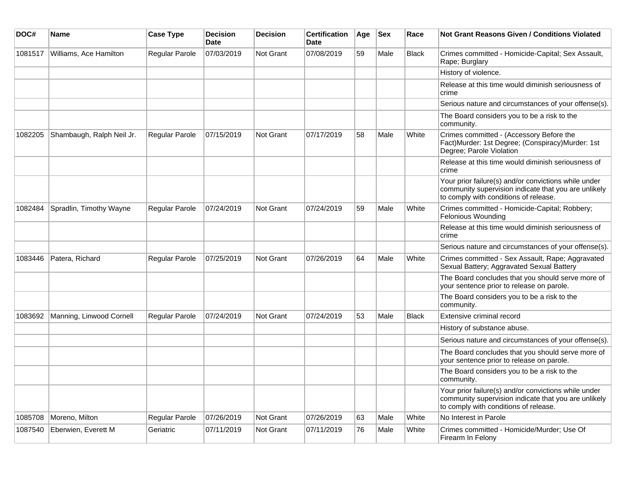| DOC#    | Name                             | <b>Case Type</b>      | <b>Decision</b><br><b>Date</b> | <b>Decision</b>  | <b>Certification</b><br><b>Date</b> | Age | $ $ Sex | Race         | <b>Not Grant Reasons Given / Conditions Violated</b>                                                                                                  |
|---------|----------------------------------|-----------------------|--------------------------------|------------------|-------------------------------------|-----|---------|--------------|-------------------------------------------------------------------------------------------------------------------------------------------------------|
| 1081517 | Williams, Ace Hamilton           | <b>Regular Parole</b> | 07/03/2019                     | <b>Not Grant</b> | 07/08/2019                          | 59  | Male    | <b>Black</b> | Crimes committed - Homicide-Capital; Sex Assault,<br>Rape; Burglary                                                                                   |
|         |                                  |                       |                                |                  |                                     |     |         |              | History of violence.                                                                                                                                  |
|         |                                  |                       |                                |                  |                                     |     |         |              | Release at this time would diminish seriousness of<br>crime                                                                                           |
|         |                                  |                       |                                |                  |                                     |     |         |              | Serious nature and circumstances of your offense(s).                                                                                                  |
|         |                                  |                       |                                |                  |                                     |     |         |              | The Board considers you to be a risk to the<br>community.                                                                                             |
| 1082205 | Shambaugh, Ralph Neil Jr.        | <b>Regular Parole</b> | 07/15/2019                     | <b>Not Grant</b> | 07/17/2019                          | 58  | Male    | White        | Crimes committed - (Accessory Before the<br>Fact)Murder: 1st Degree; (Conspiracy)Murder: 1st<br>Degree; Parole Violation                              |
|         |                                  |                       |                                |                  |                                     |     |         |              | Release at this time would diminish seriousness of<br>crime                                                                                           |
|         |                                  |                       |                                |                  |                                     |     |         |              | Your prior failure(s) and/or convictions while under<br>community supervision indicate that you are unlikely<br>to comply with conditions of release. |
| 1082484 | Spradlin, Timothy Wayne          | Regular Parole        | 07/24/2019                     | <b>Not Grant</b> | 07/24/2019                          | 59  | Male    | White        | Crimes committed - Homicide-Capital; Robbery;<br>Felonious Wounding                                                                                   |
|         |                                  |                       |                                |                  |                                     |     |         |              | Release at this time would diminish seriousness of<br>crime                                                                                           |
|         |                                  |                       |                                |                  |                                     |     |         |              | Serious nature and circumstances of your offense(s).                                                                                                  |
| 1083446 | Patera, Richard                  | <b>Regular Parole</b> | 07/25/2019                     | <b>Not Grant</b> | 07/26/2019                          | 64  | Male    | White        | Crimes committed - Sex Assault, Rape; Aggravated<br>Sexual Battery; Aggravated Sexual Battery                                                         |
|         |                                  |                       |                                |                  |                                     |     |         |              | The Board concludes that you should serve more of<br>your sentence prior to release on parole.                                                        |
|         |                                  |                       |                                |                  |                                     |     |         |              | The Board considers you to be a risk to the<br>community.                                                                                             |
|         | 1083692 Manning, Linwood Cornell | <b>Regular Parole</b> | 07/24/2019                     | <b>Not Grant</b> | 07/24/2019                          | 53  | Male    | <b>Black</b> | Extensive criminal record                                                                                                                             |
|         |                                  |                       |                                |                  |                                     |     |         |              | History of substance abuse.                                                                                                                           |
|         |                                  |                       |                                |                  |                                     |     |         |              | Serious nature and circumstances of your offense(s).                                                                                                  |
|         |                                  |                       |                                |                  |                                     |     |         |              | The Board concludes that you should serve more of<br>your sentence prior to release on parole.                                                        |
|         |                                  |                       |                                |                  |                                     |     |         |              | The Board considers you to be a risk to the<br>community.                                                                                             |
|         |                                  |                       |                                |                  |                                     |     |         |              | Your prior failure(s) and/or convictions while under<br>community supervision indicate that you are unlikely<br>to comply with conditions of release. |
| 1085708 | Moreno, Milton                   | <b>Regular Parole</b> | 07/26/2019                     | Not Grant        | 07/26/2019                          | 63  | Male    | White        | No Interest in Parole                                                                                                                                 |
| 1087540 | Eberwien, Everett M              | Geriatric             | 07/11/2019                     | <b>Not Grant</b> | 07/11/2019                          | 76  | Male    | White        | Crimes committed - Homicide/Murder; Use Of<br>Firearm In Felony                                                                                       |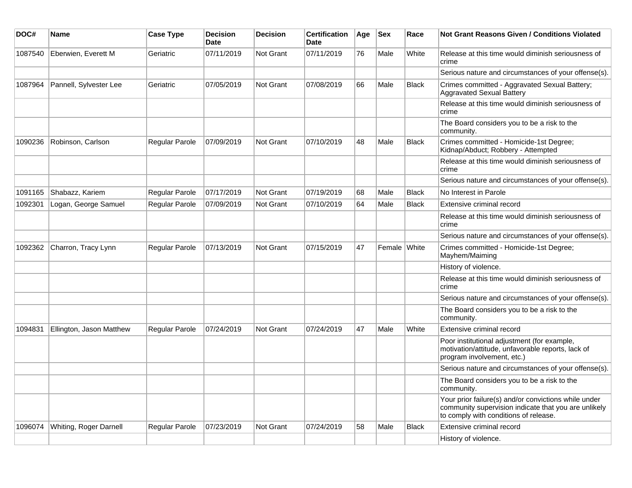| DOC#    | <b>Name</b>              | <b>Case Type</b>      | <b>Decision</b><br><b>Date</b> | <b>Decision</b>  | <b>Certification</b><br><b>Date</b> | Age | <b>Sex</b>   | Race         | <b>Not Grant Reasons Given / Conditions Violated</b>                                                                                                  |
|---------|--------------------------|-----------------------|--------------------------------|------------------|-------------------------------------|-----|--------------|--------------|-------------------------------------------------------------------------------------------------------------------------------------------------------|
| 1087540 | Eberwien, Everett M      | Geriatric             | 07/11/2019                     | Not Grant        | 07/11/2019                          | 76  | Male         | White        | Release at this time would diminish seriousness of<br>crime                                                                                           |
|         |                          |                       |                                |                  |                                     |     |              |              | Serious nature and circumstances of your offense(s).                                                                                                  |
| 1087964 | Pannell, Sylvester Lee   | Geriatric             | 07/05/2019                     | <b>Not Grant</b> | 07/08/2019                          | 66  | Male         | <b>Black</b> | Crimes committed - Aggravated Sexual Battery;<br><b>Aggravated Sexual Battery</b>                                                                     |
|         |                          |                       |                                |                  |                                     |     |              |              | Release at this time would diminish seriousness of<br>crime                                                                                           |
|         |                          |                       |                                |                  |                                     |     |              |              | The Board considers you to be a risk to the<br>community.                                                                                             |
| 1090236 | Robinson, Carlson        | Regular Parole        | 07/09/2019                     | Not Grant        | 07/10/2019                          | 48  | Male         | <b>Black</b> | Crimes committed - Homicide-1st Degree;<br>Kidnap/Abduct; Robbery - Attempted                                                                         |
|         |                          |                       |                                |                  |                                     |     |              |              | Release at this time would diminish seriousness of<br>crime                                                                                           |
|         |                          |                       |                                |                  |                                     |     |              |              | Serious nature and circumstances of your offense(s).                                                                                                  |
| 1091165 | Shabazz, Kariem          | Regular Parole        | 07/17/2019                     | Not Grant        | 07/19/2019                          | 68  | Male         | <b>Black</b> | No Interest in Parole                                                                                                                                 |
| 1092301 | Logan, George Samuel     | <b>Regular Parole</b> | 07/09/2019                     | Not Grant        | 07/10/2019                          | 64  | Male         | <b>Black</b> | Extensive criminal record                                                                                                                             |
|         |                          |                       |                                |                  |                                     |     |              |              | Release at this time would diminish seriousness of<br>crime                                                                                           |
|         |                          |                       |                                |                  |                                     |     |              |              | Serious nature and circumstances of your offense(s).                                                                                                  |
| 1092362 | Charron, Tracy Lynn      | <b>Regular Parole</b> | 07/13/2019                     | Not Grant        | 07/15/2019                          | 47  | Female White |              | Crimes committed - Homicide-1st Degree;<br>Mayhem/Maiming                                                                                             |
|         |                          |                       |                                |                  |                                     |     |              |              | History of violence.                                                                                                                                  |
|         |                          |                       |                                |                  |                                     |     |              |              | Release at this time would diminish seriousness of<br>crime                                                                                           |
|         |                          |                       |                                |                  |                                     |     |              |              | Serious nature and circumstances of your offense(s).                                                                                                  |
|         |                          |                       |                                |                  |                                     |     |              |              | The Board considers you to be a risk to the<br>community.                                                                                             |
| 1094831 | Ellington, Jason Matthew | <b>Regular Parole</b> | 07/24/2019                     | Not Grant        | 07/24/2019                          | 47  | Male         | White        | Extensive criminal record                                                                                                                             |
|         |                          |                       |                                |                  |                                     |     |              |              | Poor institutional adjustment (for example,<br>motivation/attitude, unfavorable reports, lack of<br>program involvement, etc.)                        |
|         |                          |                       |                                |                  |                                     |     |              |              | Serious nature and circumstances of your offense(s).                                                                                                  |
|         |                          |                       |                                |                  |                                     |     |              |              | The Board considers you to be a risk to the<br>community.                                                                                             |
|         |                          |                       |                                |                  |                                     |     |              |              | Your prior failure(s) and/or convictions while under<br>community supervision indicate that you are unlikely<br>to comply with conditions of release. |
| 1096074 | Whiting, Roger Darnell   | <b>Regular Parole</b> | 07/23/2019                     | <b>Not Grant</b> | 07/24/2019                          | 58  | Male         | <b>Black</b> | Extensive criminal record                                                                                                                             |
|         |                          |                       |                                |                  |                                     |     |              |              | History of violence.                                                                                                                                  |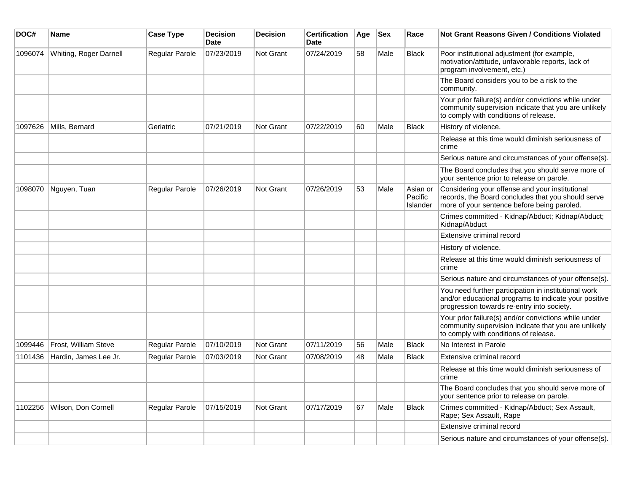| DOC#    | Name                   | <b>Case Type</b> | <b>Decision</b><br><b>Date</b> | <b>Decision</b>  | <b>Certification</b><br><b>Date</b> | Age | <b>Sex</b> | Race                            | <b>Not Grant Reasons Given / Conditions Violated</b>                                                                                                        |
|---------|------------------------|------------------|--------------------------------|------------------|-------------------------------------|-----|------------|---------------------------------|-------------------------------------------------------------------------------------------------------------------------------------------------------------|
| 1096074 | Whiting, Roger Darnell | Regular Parole   | 07/23/2019                     | Not Grant        | 07/24/2019                          | 58  | Male       | <b>Black</b>                    | Poor institutional adjustment (for example,<br>motivation/attitude, unfavorable reports, lack of<br>program involvement, etc.)                              |
|         |                        |                  |                                |                  |                                     |     |            |                                 | The Board considers you to be a risk to the<br>community.                                                                                                   |
|         |                        |                  |                                |                  |                                     |     |            |                                 | Your prior failure(s) and/or convictions while under<br>community supervision indicate that you are unlikely<br>to comply with conditions of release.       |
| 1097626 | Mills, Bernard         | Geriatric        | 07/21/2019                     | Not Grant        | 07/22/2019                          | 60  | Male       | <b>Black</b>                    | History of violence.                                                                                                                                        |
|         |                        |                  |                                |                  |                                     |     |            |                                 | Release at this time would diminish seriousness of<br>crime                                                                                                 |
|         |                        |                  |                                |                  |                                     |     |            |                                 | Serious nature and circumstances of your offense(s).                                                                                                        |
|         |                        |                  |                                |                  |                                     |     |            |                                 | The Board concludes that you should serve more of<br>your sentence prior to release on parole.                                                              |
| 1098070 | Nguyen, Tuan           | Regular Parole   | 07/26/2019                     | Not Grant        | 07/26/2019                          | 53  | Male       | Asian or<br>Pacific<br>Islander | Considering your offense and your institutional<br>records, the Board concludes that you should serve<br>more of your sentence before being paroled.        |
|         |                        |                  |                                |                  |                                     |     |            |                                 | Crimes committed - Kidnap/Abduct; Kidnap/Abduct;<br>Kidnap/Abduct                                                                                           |
|         |                        |                  |                                |                  |                                     |     |            |                                 | Extensive criminal record                                                                                                                                   |
|         |                        |                  |                                |                  |                                     |     |            |                                 | History of violence.                                                                                                                                        |
|         |                        |                  |                                |                  |                                     |     |            |                                 | Release at this time would diminish seriousness of<br>crime                                                                                                 |
|         |                        |                  |                                |                  |                                     |     |            |                                 | Serious nature and circumstances of your offense(s).                                                                                                        |
|         |                        |                  |                                |                  |                                     |     |            |                                 | You need further participation in institutional work<br>and/or educational programs to indicate your positive<br>progression towards re-entry into society. |
|         |                        |                  |                                |                  |                                     |     |            |                                 | Your prior failure(s) and/or convictions while under<br>community supervision indicate that you are unlikely<br>to comply with conditions of release.       |
| 1099446 | Frost, William Steve   | Regular Parole   | 07/10/2019                     | Not Grant        | 07/11/2019                          | 56  | Male       | <b>Black</b>                    | No Interest in Parole                                                                                                                                       |
| 1101436 | Hardin, James Lee Jr.  | Regular Parole   | 07/03/2019                     | <b>Not Grant</b> | 07/08/2019                          | 48  | Male       | <b>Black</b>                    | Extensive criminal record                                                                                                                                   |
|         |                        |                  |                                |                  |                                     |     |            |                                 | Release at this time would diminish seriousness of<br>crime                                                                                                 |
|         |                        |                  |                                |                  |                                     |     |            |                                 | The Board concludes that you should serve more of<br>your sentence prior to release on parole.                                                              |
| 1102256 | Wilson, Don Cornell    | Regular Parole   | 07/15/2019                     | <b>Not Grant</b> | 07/17/2019                          | 67  | Male       | <b>Black</b>                    | Crimes committed - Kidnap/Abduct; Sex Assault,<br>Rape; Sex Assault, Rape                                                                                   |
|         |                        |                  |                                |                  |                                     |     |            |                                 | Extensive criminal record                                                                                                                                   |
|         |                        |                  |                                |                  |                                     |     |            |                                 | Serious nature and circumstances of your offense(s).                                                                                                        |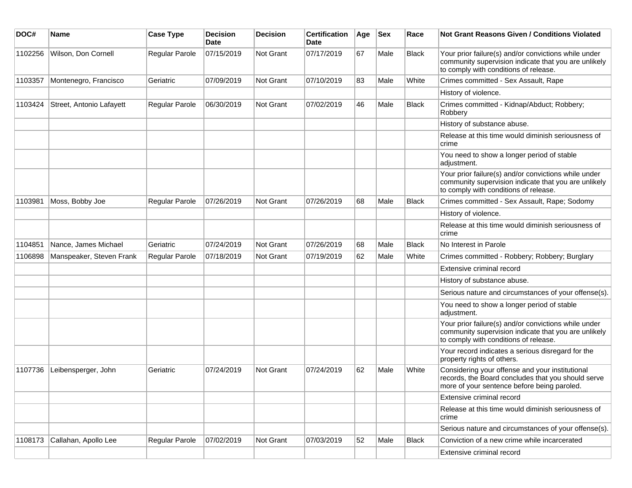| DOC#    | <b>Name</b>              | <b>Case Type</b>      | <b>Decision</b><br>Date | <b>Decision</b>  | <b>Certification</b><br><b>Date</b> | Age | <b>Sex</b> | Race         | <b>Not Grant Reasons Given / Conditions Violated</b>                                                                                                  |
|---------|--------------------------|-----------------------|-------------------------|------------------|-------------------------------------|-----|------------|--------------|-------------------------------------------------------------------------------------------------------------------------------------------------------|
| 1102256 | Wilson, Don Cornell      | Regular Parole        | 07/15/2019              | Not Grant        | 07/17/2019                          | 67  | Male       | <b>Black</b> | Your prior failure(s) and/or convictions while under<br>community supervision indicate that you are unlikely<br>to comply with conditions of release. |
| 1103357 | Montenegro, Francisco    | Geriatric             | 07/09/2019              | Not Grant        | 07/10/2019                          | 83  | Male       | White        | Crimes committed - Sex Assault, Rape                                                                                                                  |
|         |                          |                       |                         |                  |                                     |     |            |              | History of violence.                                                                                                                                  |
| 1103424 | Street, Antonio Lafayett | Regular Parole        | 06/30/2019              | Not Grant        | 07/02/2019                          | 46  | Male       | <b>Black</b> | Crimes committed - Kidnap/Abduct; Robbery;<br>Robbery                                                                                                 |
|         |                          |                       |                         |                  |                                     |     |            |              | History of substance abuse.                                                                                                                           |
|         |                          |                       |                         |                  |                                     |     |            |              | Release at this time would diminish seriousness of<br>crime                                                                                           |
|         |                          |                       |                         |                  |                                     |     |            |              | You need to show a longer period of stable<br>adjustment.                                                                                             |
|         |                          |                       |                         |                  |                                     |     |            |              | Your prior failure(s) and/or convictions while under<br>community supervision indicate that you are unlikely<br>to comply with conditions of release. |
| 1103981 | Moss, Bobby Joe          | <b>Regular Parole</b> | 07/26/2019              | Not Grant        | 07/26/2019                          | 68  | Male       | <b>Black</b> | Crimes committed - Sex Assault, Rape; Sodomy                                                                                                          |
|         |                          |                       |                         |                  |                                     |     |            |              | History of violence.                                                                                                                                  |
|         |                          |                       |                         |                  |                                     |     |            |              | Release at this time would diminish seriousness of<br>crime                                                                                           |
| 1104851 | Nance, James Michael     | Geriatric             | 07/24/2019              | Not Grant        | 07/26/2019                          | 68  | Male       | <b>Black</b> | No Interest in Parole                                                                                                                                 |
| 1106898 | Manspeaker, Steven Frank | Regular Parole        | 07/18/2019              | <b>Not Grant</b> | 07/19/2019                          | 62  | Male       | White        | Crimes committed - Robbery; Robbery; Burglary                                                                                                         |
|         |                          |                       |                         |                  |                                     |     |            |              | Extensive criminal record                                                                                                                             |
|         |                          |                       |                         |                  |                                     |     |            |              | History of substance abuse.                                                                                                                           |
|         |                          |                       |                         |                  |                                     |     |            |              | Serious nature and circumstances of your offense(s).                                                                                                  |
|         |                          |                       |                         |                  |                                     |     |            |              | You need to show a longer period of stable<br>adjustment.                                                                                             |
|         |                          |                       |                         |                  |                                     |     |            |              | Your prior failure(s) and/or convictions while under<br>community supervision indicate that you are unlikely<br>to comply with conditions of release. |
|         |                          |                       |                         |                  |                                     |     |            |              | Your record indicates a serious disregard for the<br>property rights of others.                                                                       |
| 1107736 | Leibensperger, John      | Geriatric             | 07/24/2019              | <b>Not Grant</b> | 07/24/2019                          | 62  | Male       | White        | Considering your offense and your institutional<br>records, the Board concludes that you should serve<br>more of your sentence before being paroled.  |
|         |                          |                       |                         |                  |                                     |     |            |              | Extensive criminal record                                                                                                                             |
|         |                          |                       |                         |                  |                                     |     |            |              | Release at this time would diminish seriousness of<br>crime                                                                                           |
|         |                          |                       |                         |                  |                                     |     |            |              | Serious nature and circumstances of your offense(s).                                                                                                  |
| 1108173 | Callahan, Apollo Lee     | Regular Parole        | 07/02/2019              | Not Grant        | 07/03/2019                          | 52  | Male       | Black        | Conviction of a new crime while incarcerated                                                                                                          |
|         |                          |                       |                         |                  |                                     |     |            |              | Extensive criminal record                                                                                                                             |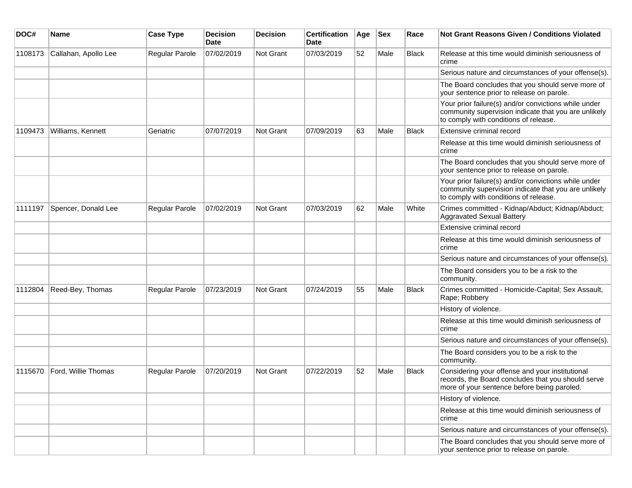| DOC#    | <b>Name</b>          | <b>Case Type</b> | <b>Decision</b><br>Date | <b>Decision</b> | <b>Certification</b><br>Date | Age | Sex  | Race         | Not Grant Reasons Given / Conditions Violated                                                                                                         |
|---------|----------------------|------------------|-------------------------|-----------------|------------------------------|-----|------|--------------|-------------------------------------------------------------------------------------------------------------------------------------------------------|
| 1108173 | Callahan, Apollo Lee | Regular Parole   | 07/02/2019              | Not Grant       | 07/03/2019                   | 52  | Male | <b>Black</b> | Release at this time would diminish seriousness of<br>crime                                                                                           |
|         |                      |                  |                         |                 |                              |     |      |              | Serious nature and circumstances of your offense(s).                                                                                                  |
|         |                      |                  |                         |                 |                              |     |      |              | The Board concludes that you should serve more of<br>your sentence prior to release on parole.                                                        |
|         |                      |                  |                         |                 |                              |     |      |              | Your prior failure(s) and/or convictions while under<br>community supervision indicate that you are unlikely<br>to comply with conditions of release. |
| 1109473 | Williams, Kennett    | Geriatric        | 07/07/2019              | Not Grant       | 07/09/2019                   | 63  | Male | <b>Black</b> | Extensive criminal record                                                                                                                             |
|         |                      |                  |                         |                 |                              |     |      |              | Release at this time would diminish seriousness of<br>crime                                                                                           |
|         |                      |                  |                         |                 |                              |     |      |              | The Board concludes that you should serve more of<br>your sentence prior to release on parole.                                                        |
|         |                      |                  |                         |                 |                              |     |      |              | Your prior failure(s) and/or convictions while under<br>community supervision indicate that you are unlikely<br>to comply with conditions of release. |
| 1111197 | Spencer, Donald Lee  | Regular Parole   | 07/02/2019              | Not Grant       | 07/03/2019                   | 62  | Male | White        | Crimes committed - Kidnap/Abduct; Kidnap/Abduct;<br><b>Aggravated Sexual Battery</b>                                                                  |
|         |                      |                  |                         |                 |                              |     |      |              | Extensive criminal record                                                                                                                             |
|         |                      |                  |                         |                 |                              |     |      |              | Release at this time would diminish seriousness of<br>crime                                                                                           |
|         |                      |                  |                         |                 |                              |     |      |              | Serious nature and circumstances of your offense(s).                                                                                                  |
|         |                      |                  |                         |                 |                              |     |      |              | The Board considers you to be a risk to the<br>community.                                                                                             |
| 1112804 | Reed-Bey, Thomas     | Regular Parole   | 07/23/2019              | Not Grant       | 07/24/2019                   | 55  | Male | <b>Black</b> | Crimes committed - Homicide-Capital; Sex Assault,<br>Rape; Robbery                                                                                    |
|         |                      |                  |                         |                 |                              |     |      |              | History of violence.                                                                                                                                  |
|         |                      |                  |                         |                 |                              |     |      |              | Release at this time would diminish seriousness of<br>crime                                                                                           |
|         |                      |                  |                         |                 |                              |     |      |              | Serious nature and circumstances of your offense(s).                                                                                                  |
|         |                      |                  |                         |                 |                              |     |      |              | The Board considers you to be a risk to the<br>community.                                                                                             |
| 1115670 | Ford, Willie Thomas  | Regular Parole   | 07/20/2019              | Not Grant       | 07/22/2019                   | 52  | Male | <b>Black</b> | Considering your offense and your institutional<br>records, the Board concludes that you should serve<br>more of your sentence before being paroled.  |
|         |                      |                  |                         |                 |                              |     |      |              | History of violence.                                                                                                                                  |
|         |                      |                  |                         |                 |                              |     |      |              | Release at this time would diminish seriousness of<br>crime                                                                                           |
|         |                      |                  |                         |                 |                              |     |      |              | Serious nature and circumstances of your offense(s).                                                                                                  |
|         |                      |                  |                         |                 |                              |     |      |              | The Board concludes that you should serve more of<br>your sentence prior to release on parole.                                                        |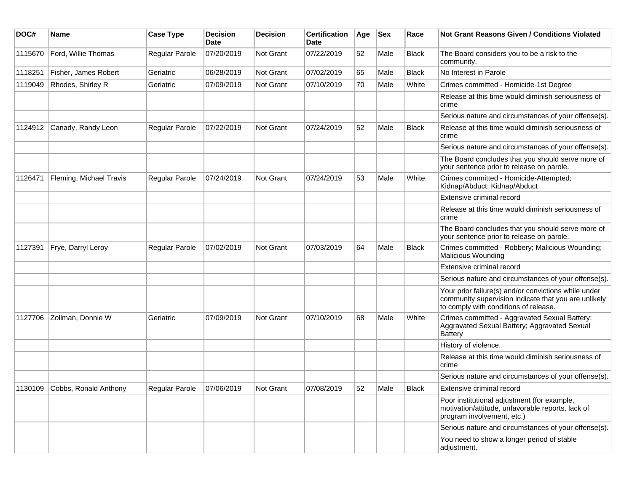| DOC#    | Name                          | <b>Case Type</b>      | <b>Decision</b><br><b>Date</b> | <b>Decision</b>  | <b>Certification</b><br>Date | Age | <b>Sex</b> | Race         | <b>Not Grant Reasons Given / Conditions Violated</b>                                                                                                  |
|---------|-------------------------------|-----------------------|--------------------------------|------------------|------------------------------|-----|------------|--------------|-------------------------------------------------------------------------------------------------------------------------------------------------------|
| 1115670 | Ford, Willie Thomas           | Regular Parole        | 07/20/2019                     | Not Grant        | 07/22/2019                   | 52  | Male       | <b>Black</b> | The Board considers you to be a risk to the<br>community.                                                                                             |
| 1118251 | Fisher, James Robert          | Geriatric             | 06/28/2019                     | Not Grant        | 07/02/2019                   | 65  | Male       | <b>Black</b> | No Interest in Parole                                                                                                                                 |
| 1119049 | Rhodes, Shirley R             | Geriatric             | 07/09/2019                     | Not Grant        | 07/10/2019                   | 70  | Male       | White        | Crimes committed - Homicide-1st Degree                                                                                                                |
|         |                               |                       |                                |                  |                              |     |            |              | Release at this time would diminish seriousness of<br>crime                                                                                           |
|         |                               |                       |                                |                  |                              |     |            |              | Serious nature and circumstances of your offense(s).                                                                                                  |
| 1124912 | Canady, Randy Leon            | Regular Parole        | 07/22/2019                     | Not Grant        | 07/24/2019                   | 52  | Male       | <b>Black</b> | Release at this time would diminish seriousness of<br>crime                                                                                           |
|         |                               |                       |                                |                  |                              |     |            |              | Serious nature and circumstances of your offense(s).                                                                                                  |
|         |                               |                       |                                |                  |                              |     |            |              | The Board concludes that you should serve more of<br>your sentence prior to release on parole.                                                        |
| 1126471 | Fleming, Michael Travis       | <b>Regular Parole</b> | 07/24/2019                     | <b>Not Grant</b> | 07/24/2019                   | 53  | Male       | White        | Crimes committed - Homicide-Attempted;<br>Kidnap/Abduct; Kidnap/Abduct                                                                                |
|         |                               |                       |                                |                  |                              |     |            |              | Extensive criminal record                                                                                                                             |
|         |                               |                       |                                |                  |                              |     |            |              | Release at this time would diminish seriousness of<br>crime                                                                                           |
|         |                               |                       |                                |                  |                              |     |            |              | The Board concludes that you should serve more of<br>your sentence prior to release on parole.                                                        |
| 1127391 | Frye, Darryl Leroy            | Regular Parole        | 07/02/2019                     | <b>Not Grant</b> | 07/03/2019                   | 64  | Male       | Black        | Crimes committed - Robbery; Malicious Wounding;<br>Malicious Wounding                                                                                 |
|         |                               |                       |                                |                  |                              |     |            |              | Extensive criminal record                                                                                                                             |
|         |                               |                       |                                |                  |                              |     |            |              | Serious nature and circumstances of your offense(s).                                                                                                  |
|         |                               |                       |                                |                  |                              |     |            |              | Your prior failure(s) and/or convictions while under<br>community supervision indicate that you are unlikely<br>to comply with conditions of release. |
| 1127706 | Zollman, Donnie W             | Geriatric             | 07/09/2019                     | <b>Not Grant</b> | 07/10/2019                   | 68  | Male       | White        | Crimes committed - Aggravated Sexual Battery;<br>Aggravated Sexual Battery; Aggravated Sexual<br><b>Battery</b>                                       |
|         |                               |                       |                                |                  |                              |     |            |              | History of violence.                                                                                                                                  |
|         |                               |                       |                                |                  |                              |     |            |              | Release at this time would diminish seriousness of<br>crime                                                                                           |
|         |                               |                       |                                |                  |                              |     |            |              | Serious nature and circumstances of your offense(s).                                                                                                  |
|         | 1130109 Cobbs, Ronald Anthony | Regular Parole        | 07/06/2019                     | Not Grant        | 07/08/2019                   | 52  | Male       | <b>Black</b> | Extensive criminal record                                                                                                                             |
|         |                               |                       |                                |                  |                              |     |            |              | Poor institutional adjustment (for example,<br>motivation/attitude, unfavorable reports, lack of<br>program involvement, etc.)                        |
|         |                               |                       |                                |                  |                              |     |            |              | Serious nature and circumstances of your offense(s).                                                                                                  |
|         |                               |                       |                                |                  |                              |     |            |              | You need to show a longer period of stable<br>adjustment.                                                                                             |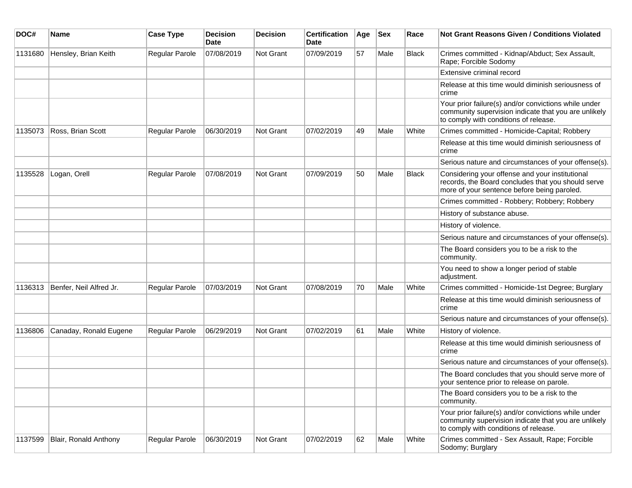| DOC#    | <b>Name</b>             | <b>Case Type</b>      | <b>Decision</b><br><b>Date</b> | <b>Decision</b>  | <b>Certification</b><br>Date | Age | <b>Sex</b> | Race         | Not Grant Reasons Given / Conditions Violated                                                                                                         |
|---------|-------------------------|-----------------------|--------------------------------|------------------|------------------------------|-----|------------|--------------|-------------------------------------------------------------------------------------------------------------------------------------------------------|
| 1131680 | Hensley, Brian Keith    | Regular Parole        | 07/08/2019                     | <b>Not Grant</b> | 07/09/2019                   | 57  | Male       | <b>Black</b> | Crimes committed - Kidnap/Abduct; Sex Assault,<br>Rape; Forcible Sodomy                                                                               |
|         |                         |                       |                                |                  |                              |     |            |              | Extensive criminal record                                                                                                                             |
|         |                         |                       |                                |                  |                              |     |            |              | Release at this time would diminish seriousness of<br>crime                                                                                           |
|         |                         |                       |                                |                  |                              |     |            |              | Your prior failure(s) and/or convictions while under<br>community supervision indicate that you are unlikely<br>to comply with conditions of release. |
| 1135073 | Ross, Brian Scott       | Regular Parole        | 06/30/2019                     | <b>Not Grant</b> | 07/02/2019                   | 49  | Male       | White        | Crimes committed - Homicide-Capital; Robbery                                                                                                          |
|         |                         |                       |                                |                  |                              |     |            |              | Release at this time would diminish seriousness of<br>crime                                                                                           |
|         |                         |                       |                                |                  |                              |     |            |              | Serious nature and circumstances of your offense(s).                                                                                                  |
| 1135528 | Logan, Orell            | <b>Regular Parole</b> | 07/08/2019                     | <b>Not Grant</b> | 07/09/2019                   | 50  | Male       | <b>Black</b> | Considering your offense and your institutional<br>records, the Board concludes that you should serve<br>more of your sentence before being paroled.  |
|         |                         |                       |                                |                  |                              |     |            |              | Crimes committed - Robbery; Robbery; Robbery                                                                                                          |
|         |                         |                       |                                |                  |                              |     |            |              | History of substance abuse.                                                                                                                           |
|         |                         |                       |                                |                  |                              |     |            |              | History of violence.                                                                                                                                  |
|         |                         |                       |                                |                  |                              |     |            |              | Serious nature and circumstances of your offense(s).                                                                                                  |
|         |                         |                       |                                |                  |                              |     |            |              | The Board considers you to be a risk to the<br>community.                                                                                             |
|         |                         |                       |                                |                  |                              |     |            |              | You need to show a longer period of stable<br>adjustment.                                                                                             |
| 1136313 | Benfer, Neil Alfred Jr. | Regular Parole        | 07/03/2019                     | <b>Not Grant</b> | 07/08/2019                   | 70  | Male       | White        | Crimes committed - Homicide-1st Degree; Burglary                                                                                                      |
|         |                         |                       |                                |                  |                              |     |            |              | Release at this time would diminish seriousness of<br>crime                                                                                           |
|         |                         |                       |                                |                  |                              |     |            |              | Serious nature and circumstances of your offense(s).                                                                                                  |
| 1136806 | Canaday, Ronald Eugene  | Regular Parole        | 06/29/2019                     | Not Grant        | 07/02/2019                   | 61  | Male       | White        | History of violence.                                                                                                                                  |
|         |                         |                       |                                |                  |                              |     |            |              | Release at this time would diminish seriousness of<br>crime                                                                                           |
|         |                         |                       |                                |                  |                              |     |            |              | Serious nature and circumstances of your offense(s).                                                                                                  |
|         |                         |                       |                                |                  |                              |     |            |              | The Board concludes that you should serve more of<br>your sentence prior to release on parole.                                                        |
|         |                         |                       |                                |                  |                              |     |            |              | The Board considers you to be a risk to the<br>community.                                                                                             |
|         |                         |                       |                                |                  |                              |     |            |              | Your prior failure(s) and/or convictions while under<br>community supervision indicate that you are unlikely<br>to comply with conditions of release. |
| 1137599 | Blair, Ronald Anthony   | Regular Parole        | 06/30/2019                     | Not Grant        | 07/02/2019                   | 62  | Male       | White        | Crimes committed - Sex Assault, Rape; Forcible<br>Sodomy; Burglary                                                                                    |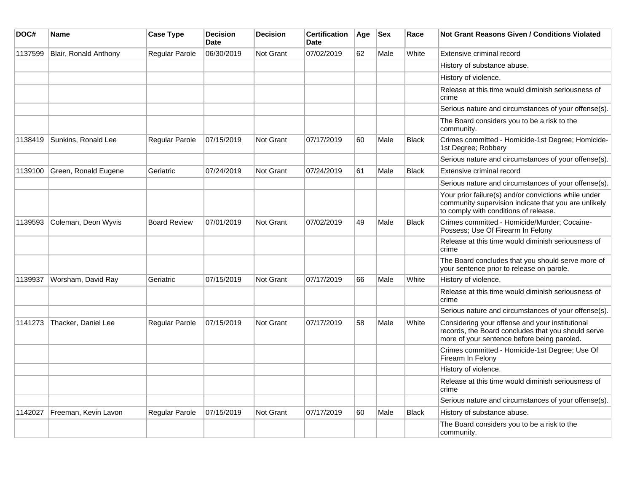| DOC#    | <b>Name</b>           | <b>Case Type</b>    | <b>Decision</b><br><b>Date</b> | <b>Decision</b>  | <b>Certification</b><br>Date | Age | <b>Sex</b> | Race         | <b>Not Grant Reasons Given / Conditions Violated</b>                                                                                                  |
|---------|-----------------------|---------------------|--------------------------------|------------------|------------------------------|-----|------------|--------------|-------------------------------------------------------------------------------------------------------------------------------------------------------|
| 1137599 | Blair, Ronald Anthony | Regular Parole      | 06/30/2019                     | <b>Not Grant</b> | 07/02/2019                   | 62  | Male       | White        | Extensive criminal record                                                                                                                             |
|         |                       |                     |                                |                  |                              |     |            |              | History of substance abuse.                                                                                                                           |
|         |                       |                     |                                |                  |                              |     |            |              | History of violence.                                                                                                                                  |
|         |                       |                     |                                |                  |                              |     |            |              | Release at this time would diminish seriousness of<br>crime                                                                                           |
|         |                       |                     |                                |                  |                              |     |            |              | Serious nature and circumstances of your offense(s).                                                                                                  |
|         |                       |                     |                                |                  |                              |     |            |              | The Board considers you to be a risk to the<br>community.                                                                                             |
| 1138419 | Sunkins, Ronald Lee   | Regular Parole      | 07/15/2019                     | <b>Not Grant</b> | 07/17/2019                   | 60  | Male       | <b>Black</b> | Crimes committed - Homicide-1st Degree; Homicide-<br>1st Degree; Robbery                                                                              |
|         |                       |                     |                                |                  |                              |     |            |              | Serious nature and circumstances of your offense(s).                                                                                                  |
| 1139100 | Green, Ronald Eugene  | Geriatric           | 07/24/2019                     | <b>Not Grant</b> | 07/24/2019                   | 61  | Male       | <b>Black</b> | Extensive criminal record                                                                                                                             |
|         |                       |                     |                                |                  |                              |     |            |              | Serious nature and circumstances of your offense(s).                                                                                                  |
|         |                       |                     |                                |                  |                              |     |            |              | Your prior failure(s) and/or convictions while under<br>community supervision indicate that you are unlikely<br>to comply with conditions of release. |
| 1139593 | Coleman, Deon Wyvis   | <b>Board Review</b> | 07/01/2019                     | Not Grant        | 07/02/2019                   | 49  | Male       | <b>Black</b> | Crimes committed - Homicide/Murder; Cocaine-<br>Possess; Use Of Firearm In Felony                                                                     |
|         |                       |                     |                                |                  |                              |     |            |              | Release at this time would diminish seriousness of<br>crime                                                                                           |
|         |                       |                     |                                |                  |                              |     |            |              | The Board concludes that you should serve more of<br>your sentence prior to release on parole.                                                        |
| 1139937 | Worsham, David Ray    | Geriatric           | 07/15/2019                     | <b>Not Grant</b> | 07/17/2019                   | 66  | Male       | White        | History of violence.                                                                                                                                  |
|         |                       |                     |                                |                  |                              |     |            |              | Release at this time would diminish seriousness of<br>crime                                                                                           |
|         |                       |                     |                                |                  |                              |     |            |              | Serious nature and circumstances of your offense(s).                                                                                                  |
| 1141273 | Thacker, Daniel Lee   | Regular Parole      | 07/15/2019                     | <b>Not Grant</b> | 07/17/2019                   | 58  | Male       | White        | Considering your offense and your institutional<br>records, the Board concludes that you should serve<br>more of your sentence before being paroled.  |
|         |                       |                     |                                |                  |                              |     |            |              | Crimes committed - Homicide-1st Degree; Use Of<br>Firearm In Felony                                                                                   |
|         |                       |                     |                                |                  |                              |     |            |              | History of violence.                                                                                                                                  |
|         |                       |                     |                                |                  |                              |     |            |              | Release at this time would diminish seriousness of<br>crime                                                                                           |
|         |                       |                     |                                |                  |                              |     |            |              | Serious nature and circumstances of your offense(s).                                                                                                  |
| 1142027 | Freeman, Kevin Lavon  | Regular Parole      | 07/15/2019                     | Not Grant        | 07/17/2019                   | 60  | Male       | <b>Black</b> | History of substance abuse.                                                                                                                           |
|         |                       |                     |                                |                  |                              |     |            |              | The Board considers you to be a risk to the<br>community.                                                                                             |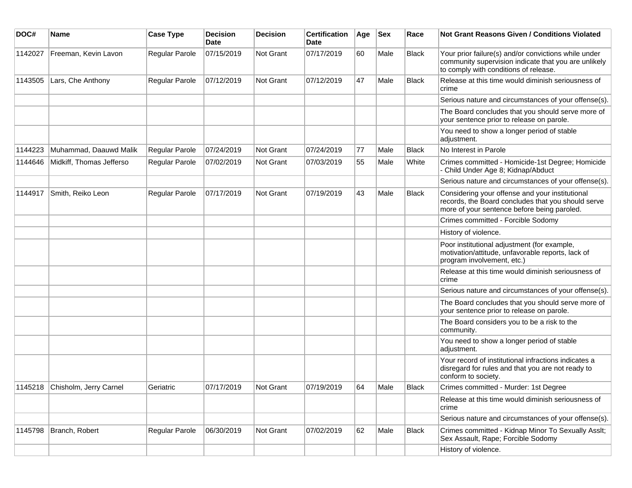| DOC#    | <b>Name</b>                    | <b>Case Type</b> | <b>Decision</b><br><b>Date</b> | <b>Decision</b> | <b>Certification</b><br>Date | Age | <b>Sex</b> | Race         | <b>Not Grant Reasons Given / Conditions Violated</b>                                                                                                  |
|---------|--------------------------------|------------------|--------------------------------|-----------------|------------------------------|-----|------------|--------------|-------------------------------------------------------------------------------------------------------------------------------------------------------|
| 1142027 | Freeman, Kevin Lavon           | Regular Parole   | 07/15/2019                     | Not Grant       | 07/17/2019                   | 60  | Male       | <b>Black</b> | Your prior failure(s) and/or convictions while under<br>community supervision indicate that you are unlikely<br>to comply with conditions of release. |
| 1143505 | Lars, Che Anthony              | Regular Parole   | 07/12/2019                     | Not Grant       | 07/12/2019                   | 47  | Male       | <b>Black</b> | Release at this time would diminish seriousness of<br>crime                                                                                           |
|         |                                |                  |                                |                 |                              |     |            |              | Serious nature and circumstances of your offense(s).                                                                                                  |
|         |                                |                  |                                |                 |                              |     |            |              | The Board concludes that you should serve more of<br>your sentence prior to release on parole.                                                        |
|         |                                |                  |                                |                 |                              |     |            |              | You need to show a longer period of stable<br>adjustment.                                                                                             |
| 1144223 | Muhammad, Daauwd Malik         | Regular Parole   | 07/24/2019                     | Not Grant       | 07/24/2019                   | 77  | Male       | <b>Black</b> | No Interest in Parole                                                                                                                                 |
| 1144646 | Midkiff, Thomas Jefferso       | Regular Parole   | 07/02/2019                     | Not Grant       | 07/03/2019                   | 55  | Male       | White        | Crimes committed - Homicide-1st Degree; Homicide<br>- Child Under Age 8; Kidnap/Abduct                                                                |
|         |                                |                  |                                |                 |                              |     |            |              | Serious nature and circumstances of your offense(s).                                                                                                  |
| 1144917 | Smith, Reiko Leon              | Regular Parole   | 07/17/2019                     | Not Grant       | 07/19/2019                   | 43  | Male       | <b>Black</b> | Considering your offense and your institutional<br>records, the Board concludes that you should serve<br>more of your sentence before being paroled.  |
|         |                                |                  |                                |                 |                              |     |            |              | Crimes committed - Forcible Sodomy                                                                                                                    |
|         |                                |                  |                                |                 |                              |     |            |              | History of violence.                                                                                                                                  |
|         |                                |                  |                                |                 |                              |     |            |              | Poor institutional adjustment (for example,<br>motivation/attitude, unfavorable reports, lack of<br>program involvement, etc.)                        |
|         |                                |                  |                                |                 |                              |     |            |              | Release at this time would diminish seriousness of<br>crime                                                                                           |
|         |                                |                  |                                |                 |                              |     |            |              | Serious nature and circumstances of your offense(s).                                                                                                  |
|         |                                |                  |                                |                 |                              |     |            |              | The Board concludes that you should serve more of<br>your sentence prior to release on parole.                                                        |
|         |                                |                  |                                |                 |                              |     |            |              | The Board considers you to be a risk to the<br>community.                                                                                             |
|         |                                |                  |                                |                 |                              |     |            |              | You need to show a longer period of stable<br>adjustment.                                                                                             |
|         |                                |                  |                                |                 |                              |     |            |              | Your record of institutional infractions indicates a<br>disregard for rules and that you are not ready to<br>conform to society.                      |
|         | 1145218 Chisholm, Jerry Carnel | Geriatric        | 07/17/2019                     | Not Grant       | 07/19/2019                   | 64  | Male       | <b>Black</b> | Crimes committed - Murder: 1st Degree                                                                                                                 |
|         |                                |                  |                                |                 |                              |     |            |              | Release at this time would diminish seriousness of<br>crime                                                                                           |
|         |                                |                  |                                |                 |                              |     |            |              | Serious nature and circumstances of your offense(s).                                                                                                  |
| 1145798 | Branch, Robert                 | Regular Parole   | 06/30/2019                     | Not Grant       | 07/02/2019                   | 62  | Male       | <b>Black</b> | Crimes committed - Kidnap Minor To Sexually Asslt;<br>Sex Assault, Rape; Forcible Sodomy                                                              |
|         |                                |                  |                                |                 |                              |     |            |              | History of violence.                                                                                                                                  |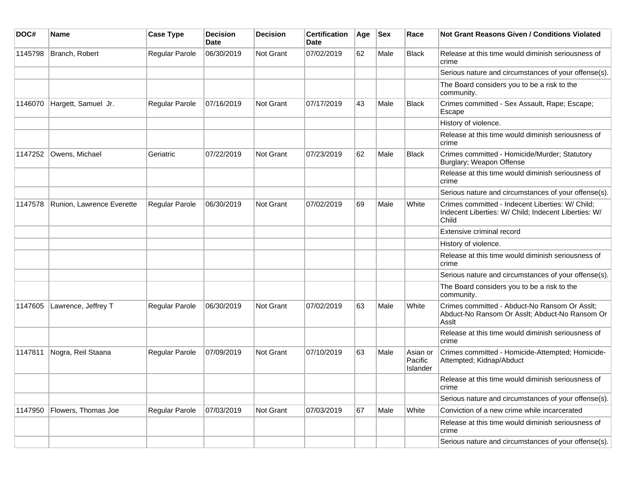| DOC#    | Name                      | <b>Case Type</b> | <b>Decision</b><br><b>Date</b> | <b>Decision</b> | <b>Certification</b><br>Date | Age | Sex  | Race                            | Not Grant Reasons Given / Conditions Violated                                                                     |
|---------|---------------------------|------------------|--------------------------------|-----------------|------------------------------|-----|------|---------------------------------|-------------------------------------------------------------------------------------------------------------------|
| 1145798 | Branch, Robert            | Regular Parole   | 06/30/2019                     | Not Grant       | 07/02/2019                   | 62  | Male | <b>Black</b>                    | Release at this time would diminish seriousness of<br>crime                                                       |
|         |                           |                  |                                |                 |                              |     |      |                                 | Serious nature and circumstances of your offense(s).                                                              |
|         |                           |                  |                                |                 |                              |     |      |                                 | The Board considers you to be a risk to the<br>community.                                                         |
| 1146070 | Hargett, Samuel Jr.       | Regular Parole   | 07/16/2019                     | Not Grant       | 07/17/2019                   | 43  | Male | <b>Black</b>                    | Crimes committed - Sex Assault, Rape; Escape;<br>Escape                                                           |
|         |                           |                  |                                |                 |                              |     |      |                                 | History of violence.                                                                                              |
|         |                           |                  |                                |                 |                              |     |      |                                 | Release at this time would diminish seriousness of<br>crime                                                       |
| 1147252 | Owens, Michael            | Geriatric        | 07/22/2019                     | Not Grant       | 07/23/2019                   | 62  | Male | <b>Black</b>                    | Crimes committed - Homicide/Murder; Statutory<br>Burglary; Weapon Offense                                         |
|         |                           |                  |                                |                 |                              |     |      |                                 | Release at this time would diminish seriousness of<br>crime                                                       |
|         |                           |                  |                                |                 |                              |     |      |                                 | Serious nature and circumstances of your offense(s).                                                              |
| 1147578 | Runion, Lawrence Everette | Regular Parole   | 06/30/2019                     | Not Grant       | 07/02/2019                   | 69  | Male | White                           | Crimes committed - Indecent Liberties: W/ Child;<br>Indecent Liberties: W/ Child; Indecent Liberties: W/<br>Child |
|         |                           |                  |                                |                 |                              |     |      |                                 | Extensive criminal record                                                                                         |
|         |                           |                  |                                |                 |                              |     |      |                                 | History of violence.                                                                                              |
|         |                           |                  |                                |                 |                              |     |      |                                 | Release at this time would diminish seriousness of<br>crime                                                       |
|         |                           |                  |                                |                 |                              |     |      |                                 | Serious nature and circumstances of your offense(s).                                                              |
|         |                           |                  |                                |                 |                              |     |      |                                 | The Board considers you to be a risk to the<br>community.                                                         |
| 1147605 | Lawrence, Jeffrey T       | Regular Parole   | 06/30/2019                     | Not Grant       | 07/02/2019                   | 63  | Male | White                           | Crimes committed - Abduct-No Ransom Or Asslt;<br>Abduct-No Ransom Or Asslt; Abduct-No Ransom Or<br>Asslt          |
|         |                           |                  |                                |                 |                              |     |      |                                 | Release at this time would diminish seriousness of<br>crime                                                       |
| 1147811 | Nogra, Reil Staana        | Regular Parole   | 07/09/2019                     | Not Grant       | 07/10/2019                   | 63  | Male | Asian or<br>Pacific<br>Islander | Crimes committed - Homicide-Attempted; Homicide-<br>Attempted; Kidnap/Abduct                                      |
|         |                           |                  |                                |                 |                              |     |      |                                 | Release at this time would diminish seriousness of<br>crime                                                       |
|         |                           |                  |                                |                 |                              |     |      |                                 | Serious nature and circumstances of your offense(s).                                                              |
| 1147950 | Flowers, Thomas Joe       | Regular Parole   | 07/03/2019                     | Not Grant       | 07/03/2019                   | 67  | Male | White                           | Conviction of a new crime while incarcerated                                                                      |
|         |                           |                  |                                |                 |                              |     |      |                                 | Release at this time would diminish seriousness of<br>crime                                                       |
|         |                           |                  |                                |                 |                              |     |      |                                 | Serious nature and circumstances of your offense(s).                                                              |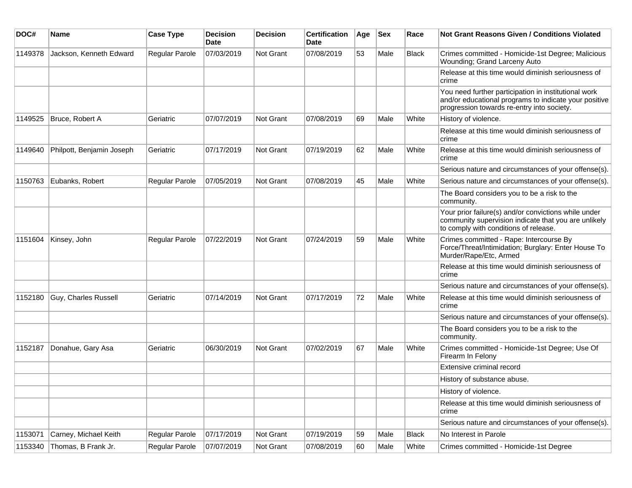| DOC#    | Name                      | <b>Case Type</b> | <b>Decision</b><br>Date | <b>Decision</b>  | <b>Certification</b><br>Date | Age | <b>Sex</b> | Race         | Not Grant Reasons Given / Conditions Violated                                                                                                               |
|---------|---------------------------|------------------|-------------------------|------------------|------------------------------|-----|------------|--------------|-------------------------------------------------------------------------------------------------------------------------------------------------------------|
| 1149378 | Jackson, Kenneth Edward   | Regular Parole   | 07/03/2019              | Not Grant        | 07/08/2019                   | 53  | Male       | Black        | Crimes committed - Homicide-1st Degree; Malicious<br>Wounding; Grand Larceny Auto                                                                           |
|         |                           |                  |                         |                  |                              |     |            |              | Release at this time would diminish seriousness of<br>crime                                                                                                 |
|         |                           |                  |                         |                  |                              |     |            |              | You need further participation in institutional work<br>and/or educational programs to indicate your positive<br>progression towards re-entry into society. |
| 1149525 | Bruce, Robert A           | Geriatric        | 07/07/2019              | Not Grant        | 07/08/2019                   | 69  | Male       | White        | History of violence.                                                                                                                                        |
|         |                           |                  |                         |                  |                              |     |            |              | Release at this time would diminish seriousness of<br>crime                                                                                                 |
| 1149640 | Philpott, Benjamin Joseph | Geriatric        | 07/17/2019              | Not Grant        | 07/19/2019                   | 62  | Male       | White        | Release at this time would diminish seriousness of<br>crime                                                                                                 |
|         |                           |                  |                         |                  |                              |     |            |              | Serious nature and circumstances of your offense(s).                                                                                                        |
| 1150763 | Eubanks, Robert           | Regular Parole   | 07/05/2019              | <b>Not Grant</b> | 07/08/2019                   | 45  | Male       | White        | Serious nature and circumstances of your offense(s).                                                                                                        |
|         |                           |                  |                         |                  |                              |     |            |              | The Board considers you to be a risk to the<br>community.                                                                                                   |
|         |                           |                  |                         |                  |                              |     |            |              | Your prior failure(s) and/or convictions while under<br>community supervision indicate that you are unlikely<br>to comply with conditions of release.       |
| 1151604 | Kinsey, John              | Regular Parole   | 07/22/2019              | Not Grant        | 07/24/2019                   | 59  | Male       | White        | Crimes committed - Rape: Intercourse By<br>Force/Threat/Intimidation; Burglary: Enter House To<br>Murder/Rape/Etc, Armed                                    |
|         |                           |                  |                         |                  |                              |     |            |              | Release at this time would diminish seriousness of<br>crime                                                                                                 |
|         |                           |                  |                         |                  |                              |     |            |              | Serious nature and circumstances of your offense(s).                                                                                                        |
| 1152180 | Guy, Charles Russell      | Geriatric        | 07/14/2019              | <b>Not Grant</b> | 07/17/2019                   | 72  | Male       | White        | Release at this time would diminish seriousness of<br>crime                                                                                                 |
|         |                           |                  |                         |                  |                              |     |            |              | Serious nature and circumstances of your offense(s).                                                                                                        |
|         |                           |                  |                         |                  |                              |     |            |              | The Board considers you to be a risk to the<br>community.                                                                                                   |
| 1152187 | Donahue, Gary Asa         | Geriatric        | 06/30/2019              | <b>Not Grant</b> | 07/02/2019                   | 67  | Male       | White        | Crimes committed - Homicide-1st Degree; Use Of<br>Firearm In Felony                                                                                         |
|         |                           |                  |                         |                  |                              |     |            |              | Extensive criminal record                                                                                                                                   |
|         |                           |                  |                         |                  |                              |     |            |              | History of substance abuse.                                                                                                                                 |
|         |                           |                  |                         |                  |                              |     |            |              | History of violence.                                                                                                                                        |
|         |                           |                  |                         |                  |                              |     |            |              | Release at this time would diminish seriousness of<br>crime                                                                                                 |
|         |                           |                  |                         |                  |                              |     |            |              | Serious nature and circumstances of your offense(s).                                                                                                        |
| 1153071 | Carney, Michael Keith     | Regular Parole   | 07/17/2019              | Not Grant        | 07/19/2019                   | 59  | Male       | <b>Black</b> | No Interest in Parole                                                                                                                                       |
| 1153340 | Thomas, B Frank Jr.       | Regular Parole   | 07/07/2019              | Not Grant        | 07/08/2019                   | 60  | Male       | White        | Crimes committed - Homicide-1st Degree                                                                                                                      |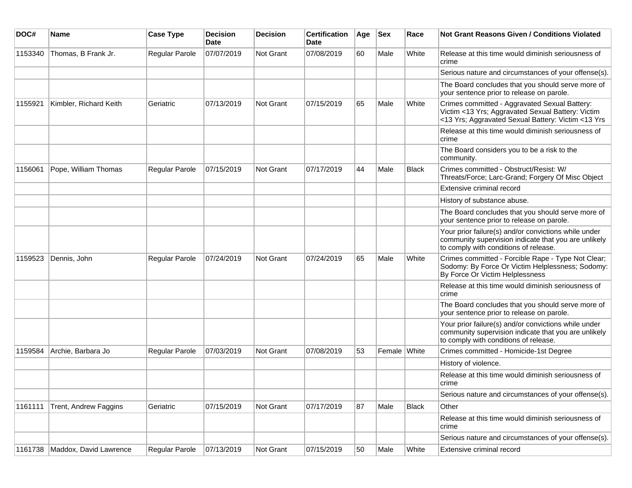| DOC#    | <b>Name</b>            | <b>Case Type</b>      | <b>Decision</b><br>Date | <b>Decision</b> | <b>Certification</b><br>Date | Age | <b>Sex</b>   | Race         | Not Grant Reasons Given / Conditions Violated                                                                                                            |
|---------|------------------------|-----------------------|-------------------------|-----------------|------------------------------|-----|--------------|--------------|----------------------------------------------------------------------------------------------------------------------------------------------------------|
| 1153340 | Thomas, B Frank Jr.    | Regular Parole        | 07/07/2019              | Not Grant       | 07/08/2019                   | 60  | Male         | White        | Release at this time would diminish seriousness of<br>crime                                                                                              |
|         |                        |                       |                         |                 |                              |     |              |              | Serious nature and circumstances of your offense(s).                                                                                                     |
|         |                        |                       |                         |                 |                              |     |              |              | The Board concludes that you should serve more of<br>your sentence prior to release on parole.                                                           |
| 1155921 | Kimbler, Richard Keith | Geriatric             | 07/13/2019              | Not Grant       | 07/15/2019                   | 65  | Male         | White        | Crimes committed - Aggravated Sexual Battery:<br>Victim <13 Yrs; Aggravated Sexual Battery: Victim<br><13 Yrs; Aggravated Sexual Battery: Victim <13 Yrs |
|         |                        |                       |                         |                 |                              |     |              |              | Release at this time would diminish seriousness of<br>crime                                                                                              |
|         |                        |                       |                         |                 |                              |     |              |              | The Board considers you to be a risk to the<br>community.                                                                                                |
| 1156061 | Pope, William Thomas   | Regular Parole        | 07/15/2019              | Not Grant       | 07/17/2019                   | 44  | Male         | <b>Black</b> | Crimes committed - Obstruct/Resist: W/<br>Threats/Force; Larc-Grand; Forgery Of Misc Object                                                              |
|         |                        |                       |                         |                 |                              |     |              |              | Extensive criminal record                                                                                                                                |
|         |                        |                       |                         |                 |                              |     |              |              | History of substance abuse.                                                                                                                              |
|         |                        |                       |                         |                 |                              |     |              |              | The Board concludes that you should serve more of<br>your sentence prior to release on parole.                                                           |
|         |                        |                       |                         |                 |                              |     |              |              | Your prior failure(s) and/or convictions while under<br>community supervision indicate that you are unlikely<br>to comply with conditions of release.    |
| 1159523 | Dennis, John           | <b>Regular Parole</b> | 07/24/2019              | Not Grant       | 07/24/2019                   | 65  | Male         | White        | Crimes committed - Forcible Rape - Type Not Clear;<br>Sodomy: By Force Or Victim Helplessness; Sodomy:<br>By Force Or Victim Helplessness                |
|         |                        |                       |                         |                 |                              |     |              |              | Release at this time would diminish seriousness of<br>crime                                                                                              |
|         |                        |                       |                         |                 |                              |     |              |              | The Board concludes that you should serve more of<br>your sentence prior to release on parole.                                                           |
|         |                        |                       |                         |                 |                              |     |              |              | Your prior failure(s) and/or convictions while under<br>community supervision indicate that you are unlikely<br>to comply with conditions of release.    |
| 1159584 | Archie, Barbara Jo     | <b>Regular Parole</b> | 07/03/2019              | Not Grant       | 07/08/2019                   | 53  | Female White |              | Crimes committed - Homicide-1st Degree                                                                                                                   |
|         |                        |                       |                         |                 |                              |     |              |              | History of violence.                                                                                                                                     |
|         |                        |                       |                         |                 |                              |     |              |              | Release at this time would diminish seriousness of<br>crime                                                                                              |
|         |                        |                       |                         |                 |                              |     |              |              | Serious nature and circumstances of your offense(s).                                                                                                     |
| 1161111 | Trent, Andrew Faggins  | Geriatric             | 07/15/2019              | Not Grant       | 07/17/2019                   | 87  | Male         | <b>Black</b> | Other                                                                                                                                                    |
|         |                        |                       |                         |                 |                              |     |              |              | Release at this time would diminish seriousness of<br>crime                                                                                              |
|         |                        |                       |                         |                 |                              |     |              |              | Serious nature and circumstances of your offense(s).                                                                                                     |
| 1161738 | Maddox, David Lawrence | Regular Parole        | 07/13/2019              | Not Grant       | 07/15/2019                   | 50  | Male         | White        | Extensive criminal record                                                                                                                                |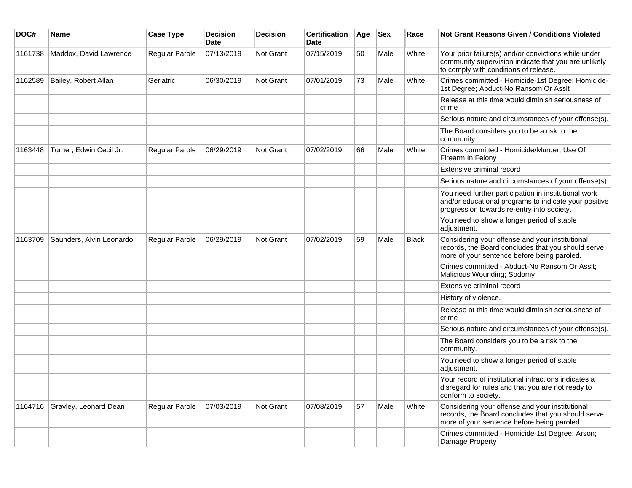| DOC#    | <b>Name</b>              | <b>Case Type</b>      | <b>Decision</b><br><b>Date</b> | <b>Decision</b> | <b>Certification</b><br>Date | Age | <b>Sex</b> | Race         | Not Grant Reasons Given / Conditions Violated                                                                                                               |
|---------|--------------------------|-----------------------|--------------------------------|-----------------|------------------------------|-----|------------|--------------|-------------------------------------------------------------------------------------------------------------------------------------------------------------|
| 1161738 | Maddox, David Lawrence   | Regular Parole        | 07/13/2019                     | Not Grant       | 07/15/2019                   | 50  | Male       | White        | Your prior failure(s) and/or convictions while under<br>community supervision indicate that you are unlikely<br>to comply with conditions of release.       |
| 1162589 | Bailey, Robert Allan     | Geriatric             | 06/30/2019                     | Not Grant       | 07/01/2019                   | 73  | Male       | White        | Crimes committed - Homicide-1st Degree; Homicide-<br>1st Degree; Abduct-No Ransom Or Asslt                                                                  |
|         |                          |                       |                                |                 |                              |     |            |              | Release at this time would diminish seriousness of<br>crime                                                                                                 |
|         |                          |                       |                                |                 |                              |     |            |              | Serious nature and circumstances of your offense(s).                                                                                                        |
|         |                          |                       |                                |                 |                              |     |            |              | The Board considers you to be a risk to the<br>community.                                                                                                   |
| 1163448 | Turner, Edwin Cecil Jr.  | Regular Parole        | 06/29/2019                     | Not Grant       | 07/02/2019                   | 66  | Male       | White        | Crimes committed - Homicide/Murder; Use Of<br>Firearm In Felony                                                                                             |
|         |                          |                       |                                |                 |                              |     |            |              | Extensive criminal record                                                                                                                                   |
|         |                          |                       |                                |                 |                              |     |            |              | Serious nature and circumstances of your offense(s).                                                                                                        |
|         |                          |                       |                                |                 |                              |     |            |              | You need further participation in institutional work<br>and/or educational programs to indicate your positive<br>progression towards re-entry into society. |
|         |                          |                       |                                |                 |                              |     |            |              | You need to show a longer period of stable<br>adjustment.                                                                                                   |
| 1163709 | Saunders, Alvin Leonardo | <b>Regular Parole</b> | 06/29/2019                     | Not Grant       | 07/02/2019                   | 59  | Male       | <b>Black</b> | Considering your offense and your institutional<br>records, the Board concludes that you should serve<br>more of your sentence before being paroled.        |
|         |                          |                       |                                |                 |                              |     |            |              | Crimes committed - Abduct-No Ransom Or Asslt;<br>Malicious Wounding; Sodomy                                                                                 |
|         |                          |                       |                                |                 |                              |     |            |              | Extensive criminal record                                                                                                                                   |
|         |                          |                       |                                |                 |                              |     |            |              | History of violence.                                                                                                                                        |
|         |                          |                       |                                |                 |                              |     |            |              | Release at this time would diminish seriousness of<br>crime                                                                                                 |
|         |                          |                       |                                |                 |                              |     |            |              | Serious nature and circumstances of your offense(s).                                                                                                        |
|         |                          |                       |                                |                 |                              |     |            |              | The Board considers you to be a risk to the<br>community.                                                                                                   |
|         |                          |                       |                                |                 |                              |     |            |              | You need to show a longer period of stable<br>adjustment.                                                                                                   |
|         |                          |                       |                                |                 |                              |     |            |              | Your record of institutional infractions indicates a<br>disregard for rules and that you are not ready to<br>conform to society.                            |
| 1164716 | Gravley, Leonard Dean    | Regular Parole        | 07/03/2019                     | Not Grant       | 07/08/2019                   | 57  | Male       | White        | Considering your offense and your institutional<br>records, the Board concludes that you should serve<br>more of your sentence before being paroled.        |
|         |                          |                       |                                |                 |                              |     |            |              | Crimes committed - Homicide-1st Degree; Arson;<br>Damage Property                                                                                           |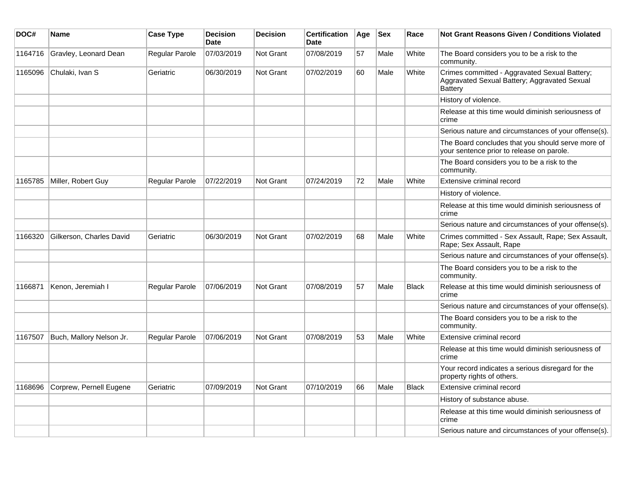| DOC#    | Name                     | <b>Case Type</b>      | <b>Decision</b><br><b>Date</b> | <b>Decision</b>  | <b>Certification</b><br><b>Date</b> | Age | <b>Sex</b> | Race         | <b>Not Grant Reasons Given / Conditions Violated</b>                                                            |
|---------|--------------------------|-----------------------|--------------------------------|------------------|-------------------------------------|-----|------------|--------------|-----------------------------------------------------------------------------------------------------------------|
| 1164716 | Gravley, Leonard Dean    | Regular Parole        | 07/03/2019                     | Not Grant        | 07/08/2019                          | 57  | Male       | White        | The Board considers you to be a risk to the<br>community.                                                       |
| 1165096 | Chulaki, Ivan S          | Geriatric             | 06/30/2019                     | <b>Not Grant</b> | 07/02/2019                          | 60  | Male       | White        | Crimes committed - Aggravated Sexual Battery;<br>Aggravated Sexual Battery; Aggravated Sexual<br><b>Battery</b> |
|         |                          |                       |                                |                  |                                     |     |            |              | History of violence.                                                                                            |
|         |                          |                       |                                |                  |                                     |     |            |              | Release at this time would diminish seriousness of<br>crime                                                     |
|         |                          |                       |                                |                  |                                     |     |            |              | Serious nature and circumstances of your offense(s).                                                            |
|         |                          |                       |                                |                  |                                     |     |            |              | The Board concludes that you should serve more of<br>your sentence prior to release on parole.                  |
|         |                          |                       |                                |                  |                                     |     |            |              | The Board considers you to be a risk to the<br>community.                                                       |
| 1165785 | Miller, Robert Guy       | Regular Parole        | 07/22/2019                     | Not Grant        | 07/24/2019                          | 72  | Male       | White        | Extensive criminal record                                                                                       |
|         |                          |                       |                                |                  |                                     |     |            |              | History of violence.                                                                                            |
|         |                          |                       |                                |                  |                                     |     |            |              | Release at this time would diminish seriousness of<br>crime                                                     |
|         |                          |                       |                                |                  |                                     |     |            |              | Serious nature and circumstances of your offense(s).                                                            |
| 1166320 | Gilkerson, Charles David | Geriatric             | 06/30/2019                     | <b>Not Grant</b> | 07/02/2019                          | 68  | Male       | White        | Crimes committed - Sex Assault, Rape; Sex Assault,<br>Rape; Sex Assault, Rape                                   |
|         |                          |                       |                                |                  |                                     |     |            |              | Serious nature and circumstances of your offense(s).                                                            |
|         |                          |                       |                                |                  |                                     |     |            |              | The Board considers you to be a risk to the<br>community.                                                       |
| 1166871 | Kenon, Jeremiah I        | <b>Regular Parole</b> | 07/06/2019                     | Not Grant        | 07/08/2019                          | 57  | Male       | <b>Black</b> | Release at this time would diminish seriousness of<br>crime                                                     |
|         |                          |                       |                                |                  |                                     |     |            |              | Serious nature and circumstances of your offense(s).                                                            |
|         |                          |                       |                                |                  |                                     |     |            |              | The Board considers you to be a risk to the<br>community.                                                       |
| 1167507 | Buch, Mallory Nelson Jr. | Regular Parole        | 07/06/2019                     | Not Grant        | 07/08/2019                          | 53  | Male       | White        | Extensive criminal record                                                                                       |
|         |                          |                       |                                |                  |                                     |     |            |              | Release at this time would diminish seriousness of<br>crime                                                     |
|         |                          |                       |                                |                  |                                     |     |            |              | Your record indicates a serious disregard for the<br>property rights of others.                                 |
| 1168696 | Corprew, Pernell Eugene  | Geriatric             | 07/09/2019                     | Not Grant        | 07/10/2019                          | 66  | Male       | <b>Black</b> | Extensive criminal record                                                                                       |
|         |                          |                       |                                |                  |                                     |     |            |              | History of substance abuse.                                                                                     |
|         |                          |                       |                                |                  |                                     |     |            |              | Release at this time would diminish seriousness of<br>crime                                                     |
|         |                          |                       |                                |                  |                                     |     |            |              | Serious nature and circumstances of your offense(s).                                                            |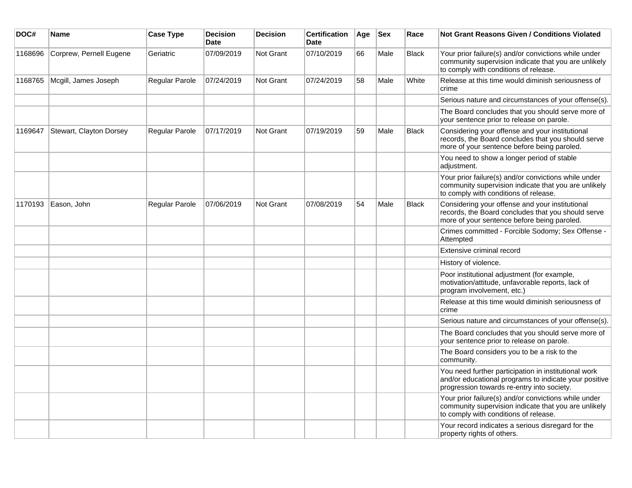| DOC#    | Name                    | <b>Case Type</b> | <b>Decision</b><br><b>Date</b> | <b>Decision</b> | <b>Certification</b><br><b>Date</b> | Age | <b>Sex</b> | Race         | Not Grant Reasons Given / Conditions Violated                                                                                                               |
|---------|-------------------------|------------------|--------------------------------|-----------------|-------------------------------------|-----|------------|--------------|-------------------------------------------------------------------------------------------------------------------------------------------------------------|
| 1168696 | Corprew, Pernell Eugene | Geriatric        | 07/09/2019                     | Not Grant       | 07/10/2019                          | 66  | Male       | <b>Black</b> | Your prior failure(s) and/or convictions while under<br>community supervision indicate that you are unlikely<br>to comply with conditions of release.       |
| 1168765 | Mcgill, James Joseph    | Regular Parole   | 07/24/2019                     | Not Grant       | 07/24/2019                          | 58  | Male       | White        | Release at this time would diminish seriousness of<br>crime                                                                                                 |
|         |                         |                  |                                |                 |                                     |     |            |              | Serious nature and circumstances of your offense(s).                                                                                                        |
|         |                         |                  |                                |                 |                                     |     |            |              | The Board concludes that you should serve more of<br>your sentence prior to release on parole.                                                              |
| 1169647 | Stewart, Clayton Dorsey | Regular Parole   | 07/17/2019                     | Not Grant       | 07/19/2019                          | 59  | Male       | <b>Black</b> | Considering your offense and your institutional<br>records, the Board concludes that you should serve<br>more of your sentence before being paroled.        |
|         |                         |                  |                                |                 |                                     |     |            |              | You need to show a longer period of stable<br>adjustment.                                                                                                   |
|         |                         |                  |                                |                 |                                     |     |            |              | Your prior failure(s) and/or convictions while under<br>community supervision indicate that you are unlikely<br>to comply with conditions of release.       |
| 1170193 | Eason, John             | Regular Parole   | 07/06/2019                     | Not Grant       | 07/08/2019                          | 54  | Male       | <b>Black</b> | Considering your offense and your institutional<br>records, the Board concludes that you should serve<br>more of your sentence before being paroled.        |
|         |                         |                  |                                |                 |                                     |     |            |              | Crimes committed - Forcible Sodomy; Sex Offense -<br>Attempted                                                                                              |
|         |                         |                  |                                |                 |                                     |     |            |              | Extensive criminal record                                                                                                                                   |
|         |                         |                  |                                |                 |                                     |     |            |              | History of violence.                                                                                                                                        |
|         |                         |                  |                                |                 |                                     |     |            |              | Poor institutional adjustment (for example,<br>motivation/attitude, unfavorable reports, lack of<br>program involvement, etc.)                              |
|         |                         |                  |                                |                 |                                     |     |            |              | Release at this time would diminish seriousness of<br>crime                                                                                                 |
|         |                         |                  |                                |                 |                                     |     |            |              | Serious nature and circumstances of your offense(s).                                                                                                        |
|         |                         |                  |                                |                 |                                     |     |            |              | The Board concludes that you should serve more of<br>your sentence prior to release on parole.                                                              |
|         |                         |                  |                                |                 |                                     |     |            |              | The Board considers you to be a risk to the<br>community.                                                                                                   |
|         |                         |                  |                                |                 |                                     |     |            |              | You need further participation in institutional work<br>and/or educational programs to indicate your positive<br>progression towards re-entry into society. |
|         |                         |                  |                                |                 |                                     |     |            |              | Your prior failure(s) and/or convictions while under<br>community supervision indicate that you are unlikely<br>to comply with conditions of release.       |
|         |                         |                  |                                |                 |                                     |     |            |              | Your record indicates a serious disregard for the<br>property rights of others.                                                                             |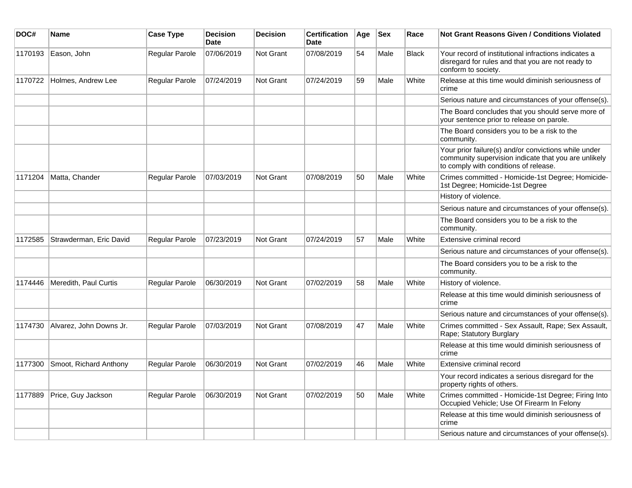| DOC#    | Name                    | <b>Case Type</b>      | <b>Decision</b><br><b>Date</b> | <b>Decision</b>  | <b>Certification</b><br>Date | Age | <b>Sex</b> | Race         | Not Grant Reasons Given / Conditions Violated                                                                                                         |
|---------|-------------------------|-----------------------|--------------------------------|------------------|------------------------------|-----|------------|--------------|-------------------------------------------------------------------------------------------------------------------------------------------------------|
| 1170193 | Eason, John             | Regular Parole        | 07/06/2019                     | <b>Not Grant</b> | 07/08/2019                   | 54  | Male       | <b>Black</b> | Your record of institutional infractions indicates a<br>disregard for rules and that you are not ready to<br>conform to society.                      |
| 1170722 | Holmes, Andrew Lee      | Regular Parole        | 07/24/2019                     | Not Grant        | 07/24/2019                   | 59  | Male       | White        | Release at this time would diminish seriousness of<br>crime                                                                                           |
|         |                         |                       |                                |                  |                              |     |            |              | Serious nature and circumstances of your offense(s).                                                                                                  |
|         |                         |                       |                                |                  |                              |     |            |              | The Board concludes that you should serve more of<br>your sentence prior to release on parole.                                                        |
|         |                         |                       |                                |                  |                              |     |            |              | The Board considers you to be a risk to the<br>community.                                                                                             |
|         |                         |                       |                                |                  |                              |     |            |              | Your prior failure(s) and/or convictions while under<br>community supervision indicate that you are unlikely<br>to comply with conditions of release. |
| 1171204 | Matta, Chander          | Regular Parole        | 07/03/2019                     | <b>Not Grant</b> | 07/08/2019                   | 50  | Male       | White        | Crimes committed - Homicide-1st Degree; Homicide-<br>1st Degree; Homicide-1st Degree                                                                  |
|         |                         |                       |                                |                  |                              |     |            |              | History of violence.                                                                                                                                  |
|         |                         |                       |                                |                  |                              |     |            |              | Serious nature and circumstances of your offense(s).                                                                                                  |
|         |                         |                       |                                |                  |                              |     |            |              | The Board considers you to be a risk to the<br>community.                                                                                             |
| 1172585 | Strawderman, Eric David | <b>Regular Parole</b> | 07/23/2019                     | <b>Not Grant</b> | 07/24/2019                   | 57  | Male       | White        | Extensive criminal record                                                                                                                             |
|         |                         |                       |                                |                  |                              |     |            |              | Serious nature and circumstances of your offense(s).                                                                                                  |
|         |                         |                       |                                |                  |                              |     |            |              | The Board considers you to be a risk to the<br>community.                                                                                             |
| 1174446 | Meredith, Paul Curtis   | Regular Parole        | 06/30/2019                     | <b>Not Grant</b> | 07/02/2019                   | 58  | Male       | White        | History of violence.                                                                                                                                  |
|         |                         |                       |                                |                  |                              |     |            |              | Release at this time would diminish seriousness of<br>crime                                                                                           |
|         |                         |                       |                                |                  |                              |     |            |              | Serious nature and circumstances of your offense(s).                                                                                                  |
| 1174730 | Alvarez, John Downs Jr. | Regular Parole        | 07/03/2019                     | <b>Not Grant</b> | 07/08/2019                   | 47  | Male       | White        | Crimes committed - Sex Assault, Rape; Sex Assault,<br>Rape; Statutory Burglary                                                                        |
|         |                         |                       |                                |                  |                              |     |            |              | Release at this time would diminish seriousness of<br>crime                                                                                           |
| 1177300 | Smoot, Richard Anthony  | Regular Parole        | 06/30/2019                     | Not Grant        | 07/02/2019                   | 46  | Male       | White        | Extensive criminal record                                                                                                                             |
|         |                         |                       |                                |                  |                              |     |            |              | Your record indicates a serious disregard for the<br>property rights of others.                                                                       |
| 1177889 | Price, Guy Jackson      | Regular Parole        | 06/30/2019                     | <b>Not Grant</b> | 07/02/2019                   | 50  | Male       | White        | Crimes committed - Homicide-1st Degree; Firing Into<br>Occupied Vehicle; Use Of Firearm In Felony                                                     |
|         |                         |                       |                                |                  |                              |     |            |              | Release at this time would diminish seriousness of<br>crime                                                                                           |
|         |                         |                       |                                |                  |                              |     |            |              | Serious nature and circumstances of your offense(s).                                                                                                  |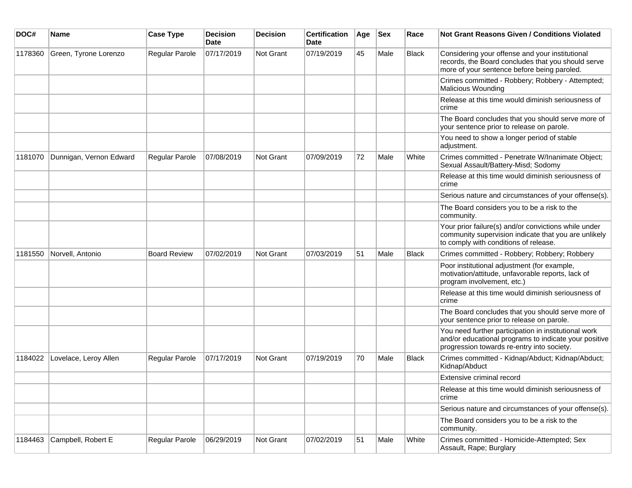| DOC#    | <b>Name</b>             | <b>Case Type</b>    | Decision<br><b>Date</b> | <b>Decision</b>  | <b>Certification</b><br>Date | Age | <b>Sex</b> | Race         | <b>Not Grant Reasons Given / Conditions Violated</b>                                                                                                        |
|---------|-------------------------|---------------------|-------------------------|------------------|------------------------------|-----|------------|--------------|-------------------------------------------------------------------------------------------------------------------------------------------------------------|
| 1178360 | Green, Tyrone Lorenzo   | Regular Parole      | 07/17/2019              | Not Grant        | 07/19/2019                   | 45  | Male       | Black        | Considering your offense and your institutional<br>records, the Board concludes that you should serve<br>more of your sentence before being paroled.        |
|         |                         |                     |                         |                  |                              |     |            |              | Crimes committed - Robbery; Robbery - Attempted;<br>Malicious Wounding                                                                                      |
|         |                         |                     |                         |                  |                              |     |            |              | Release at this time would diminish seriousness of<br>crime                                                                                                 |
|         |                         |                     |                         |                  |                              |     |            |              | The Board concludes that you should serve more of<br>your sentence prior to release on parole.                                                              |
|         |                         |                     |                         |                  |                              |     |            |              | You need to show a longer period of stable<br>adjustment.                                                                                                   |
| 1181070 | Dunnigan, Vernon Edward | Regular Parole      | 07/08/2019              | Not Grant        | 07/09/2019                   | 72  | Male       | White        | Crimes committed - Penetrate W/Inanimate Object;<br>Sexual Assault/Battery-Misd; Sodomy                                                                     |
|         |                         |                     |                         |                  |                              |     |            |              | Release at this time would diminish seriousness of<br>crime                                                                                                 |
|         |                         |                     |                         |                  |                              |     |            |              | Serious nature and circumstances of your offense(s).                                                                                                        |
|         |                         |                     |                         |                  |                              |     |            |              | The Board considers you to be a risk to the<br>community.                                                                                                   |
|         |                         |                     |                         |                  |                              |     |            |              | Your prior failure(s) and/or convictions while under<br>community supervision indicate that you are unlikely<br>to comply with conditions of release.       |
| 1181550 | Norvell, Antonio        | <b>Board Review</b> | 07/02/2019              | Not Grant        | 07/03/2019                   | 51  | Male       | <b>Black</b> | Crimes committed - Robbery; Robbery; Robbery                                                                                                                |
|         |                         |                     |                         |                  |                              |     |            |              | Poor institutional adjustment (for example,<br>motivation/attitude, unfavorable reports, lack of<br>program involvement, etc.)                              |
|         |                         |                     |                         |                  |                              |     |            |              | Release at this time would diminish seriousness of<br>crime                                                                                                 |
|         |                         |                     |                         |                  |                              |     |            |              | The Board concludes that you should serve more of<br>your sentence prior to release on parole.                                                              |
|         |                         |                     |                         |                  |                              |     |            |              | You need further participation in institutional work<br>and/or educational programs to indicate your positive<br>progression towards re-entry into society. |
| 1184022 | Lovelace, Leroy Allen   | Regular Parole      | 07/17/2019              | <b>Not Grant</b> | 07/19/2019                   | 70  | Male       | Black        | Crimes committed - Kidnap/Abduct; Kidnap/Abduct;<br>Kidnap/Abduct                                                                                           |
|         |                         |                     |                         |                  |                              |     |            |              | Extensive criminal record                                                                                                                                   |
|         |                         |                     |                         |                  |                              |     |            |              | Release at this time would diminish seriousness of<br>crime                                                                                                 |
|         |                         |                     |                         |                  |                              |     |            |              | Serious nature and circumstances of your offense(s).                                                                                                        |
|         |                         |                     |                         |                  |                              |     |            |              | The Board considers you to be a risk to the<br>community.                                                                                                   |
| 1184463 | Campbell, Robert E      | Regular Parole      | 06/29/2019              | Not Grant        | 07/02/2019                   | 51  | Male       | White        | Crimes committed - Homicide-Attempted; Sex<br>Assault, Rape; Burglary                                                                                       |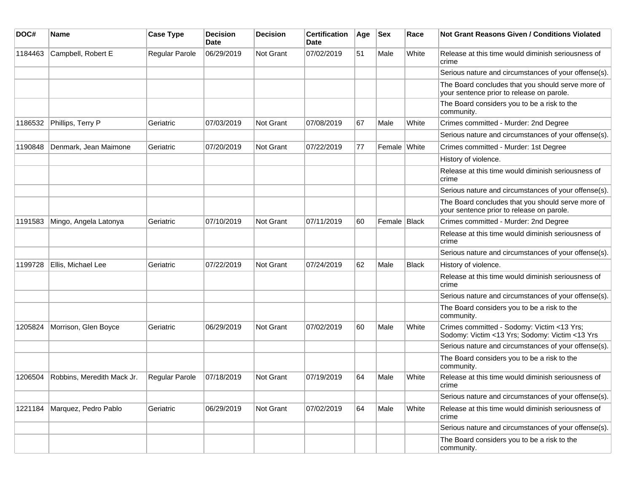| DOC#    | <b>Name</b>                | <b>Case Type</b> | <b>Decision</b><br>Date | <b>Decision</b> | <b>Certification</b><br><b>Date</b> | Age | <b>Sex</b>    | Race         | <b>Not Grant Reasons Given / Conditions Violated</b>                                           |
|---------|----------------------------|------------------|-------------------------|-----------------|-------------------------------------|-----|---------------|--------------|------------------------------------------------------------------------------------------------|
| 1184463 | Campbell, Robert E         | Regular Parole   | 06/29/2019              | Not Grant       | 07/02/2019                          | 51  | Male          | White        | Release at this time would diminish seriousness of<br>crime                                    |
|         |                            |                  |                         |                 |                                     |     |               |              | Serious nature and circumstances of your offense(s).                                           |
|         |                            |                  |                         |                 |                                     |     |               |              | The Board concludes that you should serve more of<br>your sentence prior to release on parole. |
|         |                            |                  |                         |                 |                                     |     |               |              | The Board considers you to be a risk to the<br>community.                                      |
| 1186532 | Phillips, Terry P          | Geriatric        | 07/03/2019              | Not Grant       | 07/08/2019                          | 67  | Male          | White        | Crimes committed - Murder: 2nd Degree                                                          |
|         |                            |                  |                         |                 |                                     |     |               |              | Serious nature and circumstances of your offense(s).                                           |
| 1190848 | Denmark, Jean Maimone      | Geriatric        | 07/20/2019              | Not Grant       | 07/22/2019                          | 77  | Female White  |              | Crimes committed - Murder: 1st Degree                                                          |
|         |                            |                  |                         |                 |                                     |     |               |              | History of violence.                                                                           |
|         |                            |                  |                         |                 |                                     |     |               |              | Release at this time would diminish seriousness of<br>crime                                    |
|         |                            |                  |                         |                 |                                     |     |               |              | Serious nature and circumstances of your offense(s).                                           |
|         |                            |                  |                         |                 |                                     |     |               |              | The Board concludes that you should serve more of<br>your sentence prior to release on parole. |
| 1191583 | Mingo, Angela Latonya      | Geriatric        | 07/10/2019              | Not Grant       | 07/11/2019                          | 60  | Female Bllack |              | Crimes committed - Murder: 2nd Degree                                                          |
|         |                            |                  |                         |                 |                                     |     |               |              | Release at this time would diminish seriousness of<br>crime                                    |
|         |                            |                  |                         |                 |                                     |     |               |              | Serious nature and circumstances of your offense(s).                                           |
| 1199728 | Ellis, Michael Lee         | Geriatric        | 07/22/2019              | Not Grant       | 07/24/2019                          | 62  | Male          | <b>Black</b> | History of violence.                                                                           |
|         |                            |                  |                         |                 |                                     |     |               |              | Release at this time would diminish seriousness of<br>crime                                    |
|         |                            |                  |                         |                 |                                     |     |               |              | Serious nature and circumstances of your offense(s).                                           |
|         |                            |                  |                         |                 |                                     |     |               |              | The Board considers you to be a risk to the<br>community.                                      |
| 1205824 | Morrison, Glen Boyce       | Geriatric        | 06/29/2019              | Not Grant       | 07/02/2019                          | 60  | Male          | White        | Crimes committed - Sodomy: Victim <13 Yrs;<br>Sodomy: Victim <13 Yrs; Sodomy: Victim <13 Yrs   |
|         |                            |                  |                         |                 |                                     |     |               |              | Serious nature and circumstances of your offense(s).                                           |
|         |                            |                  |                         |                 |                                     |     |               |              | The Board considers you to be a risk to the<br>community.                                      |
| 1206504 | Robbins, Meredith Mack Jr. | Regular Parole   | 07/18/2019              | Not Grant       | 07/19/2019                          | 64  | Male          | White        | Release at this time would diminish seriousness of<br>crime                                    |
|         |                            |                  |                         |                 |                                     |     |               |              | Serious nature and circumstances of your offense(s).                                           |
| 1221184 | Marquez, Pedro Pablo       | Geriatric        | 06/29/2019              | Not Grant       | 07/02/2019                          | 64  | Male          | White        | Release at this time would diminish seriousness of<br>crime                                    |
|         |                            |                  |                         |                 |                                     |     |               |              | Serious nature and circumstances of your offense(s).                                           |
|         |                            |                  |                         |                 |                                     |     |               |              | The Board considers you to be a risk to the<br>community.                                      |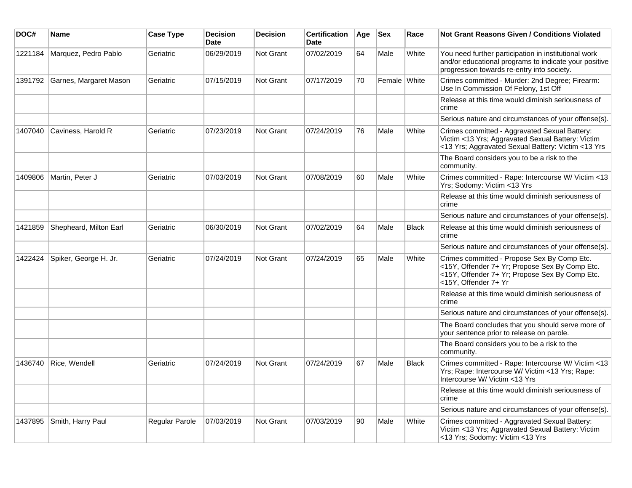| DOC#    | Name                   | <b>Case Type</b> | <b>Decision</b><br><b>Date</b> | <b>Decision</b>  | <b>Certification</b><br><b>Date</b> | Age | <b>Sex</b>   | Race         | <b>Not Grant Reasons Given / Conditions Violated</b>                                                                                                                    |
|---------|------------------------|------------------|--------------------------------|------------------|-------------------------------------|-----|--------------|--------------|-------------------------------------------------------------------------------------------------------------------------------------------------------------------------|
| 1221184 | Marquez, Pedro Pablo   | Geriatric        | 06/29/2019                     | Not Grant        | 07/02/2019                          | 64  | Male         | White        | You need further participation in institutional work<br>and/or educational programs to indicate your positive<br>progression towards re-entry into society.             |
| 1391792 | Garnes, Margaret Mason | Geriatric        | 07/15/2019                     | Not Grant        | 07/17/2019                          | 70  | Female White |              | Crimes committed - Murder: 2nd Degree; Firearm:<br>Use In Commission Of Felony, 1st Off                                                                                 |
|         |                        |                  |                                |                  |                                     |     |              |              | Release at this time would diminish seriousness of<br>crime                                                                                                             |
|         |                        |                  |                                |                  |                                     |     |              |              | Serious nature and circumstances of your offense(s).                                                                                                                    |
| 1407040 | Caviness, Harold R     | Geriatric        | 07/23/2019                     | Not Grant        | 07/24/2019                          | 76  | Male         | White        | Crimes committed - Aggravated Sexual Battery:<br>Victim <13 Yrs; Aggravated Sexual Battery: Victim<br><13 Yrs; Aggravated Sexual Battery: Victim <13 Yrs                |
|         |                        |                  |                                |                  |                                     |     |              |              | The Board considers you to be a risk to the<br>community.                                                                                                               |
| 1409806 | Martin, Peter J        | Geriatric        | 07/03/2019                     | Not Grant        | 07/08/2019                          | 60  | Male         | White        | Crimes committed - Rape: Intercourse W/ Victim <13<br>Yrs; Sodomy: Victim <13 Yrs                                                                                       |
|         |                        |                  |                                |                  |                                     |     |              |              | Release at this time would diminish seriousness of<br>crime                                                                                                             |
|         |                        |                  |                                |                  |                                     |     |              |              | Serious nature and circumstances of your offense(s).                                                                                                                    |
| 1421859 | Shepheard, Milton Earl | Geriatric        | 06/30/2019                     | <b>Not Grant</b> | 07/02/2019                          | 64  | Male         | <b>Black</b> | Release at this time would diminish seriousness of<br>crime                                                                                                             |
|         |                        |                  |                                |                  |                                     |     |              |              | Serious nature and circumstances of your offense(s).                                                                                                                    |
| 1422424 | Spiker, George H. Jr.  | Geriatric        | 07/24/2019                     | Not Grant        | 07/24/2019                          | 65  | Male         | White        | Crimes committed - Propose Sex By Comp Etc.<br><15Y, Offender 7+ Yr; Propose Sex By Comp Etc.<br><15Y, Offender 7+ Yr; Propose Sex By Comp Etc.<br><15Y, Offender 7+ Yr |
|         |                        |                  |                                |                  |                                     |     |              |              | Release at this time would diminish seriousness of<br>crime                                                                                                             |
|         |                        |                  |                                |                  |                                     |     |              |              | Serious nature and circumstances of your offense(s).                                                                                                                    |
|         |                        |                  |                                |                  |                                     |     |              |              | The Board concludes that you should serve more of<br>your sentence prior to release on parole.                                                                          |
|         |                        |                  |                                |                  |                                     |     |              |              | The Board considers you to be a risk to the<br>community.                                                                                                               |
| 1436740 | Rice, Wendell          | Geriatric        | 07/24/2019                     | <b>Not Grant</b> | 07/24/2019                          | 67  | Male         | <b>Black</b> | Crimes committed - Rape: Intercourse W/ Victim <13<br>Yrs; Rape: Intercourse W/ Victim <13 Yrs; Rape:<br>Intercourse W/ Victim <13 Yrs                                  |
|         |                        |                  |                                |                  |                                     |     |              |              | Release at this time would diminish seriousness of<br>crime                                                                                                             |
|         |                        |                  |                                |                  |                                     |     |              |              | Serious nature and circumstances of your offense(s).                                                                                                                    |
| 1437895 | Smith, Harry Paul      | Regular Parole   | 07/03/2019                     | Not Grant        | 07/03/2019                          | 90  | Male         | White        | Crimes committed - Aggravated Sexual Battery:<br>Victim <13 Yrs; Aggravated Sexual Battery: Victim<br><13 Yrs; Sodomy: Victim <13 Yrs                                   |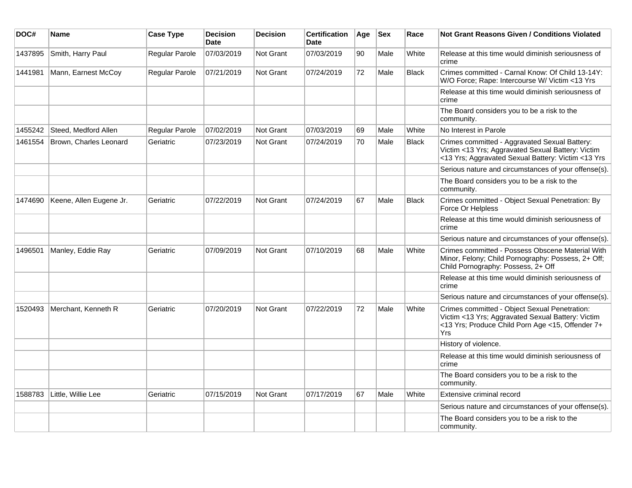| DOC#    | Name                    | <b>Case Type</b> | <b>Decision</b><br><b>Date</b> | <b>Decision</b> | <b>Certification</b><br><b>Date</b> | Age | <b>Sex</b> | Race         | <b>Not Grant Reasons Given / Conditions Violated</b>                                                                                                          |
|---------|-------------------------|------------------|--------------------------------|-----------------|-------------------------------------|-----|------------|--------------|---------------------------------------------------------------------------------------------------------------------------------------------------------------|
| 1437895 | Smith, Harry Paul       | Regular Parole   | 07/03/2019                     | Not Grant       | 07/03/2019                          | 90  | Male       | White        | Release at this time would diminish seriousness of<br>crime                                                                                                   |
| 1441981 | Mann, Earnest McCoy     | Regular Parole   | 07/21/2019                     | Not Grant       | 07/24/2019                          | 72  | Male       | <b>Black</b> | Crimes committed - Carnal Know: Of Child 13-14Y:<br>W/O Force; Rape: Intercourse W/ Victim <13 Yrs                                                            |
|         |                         |                  |                                |                 |                                     |     |            |              | Release at this time would diminish seriousness of<br>crime                                                                                                   |
|         |                         |                  |                                |                 |                                     |     |            |              | The Board considers you to be a risk to the<br>community.                                                                                                     |
| 1455242 | Steed, Medford Allen    | Regular Parole   | 07/02/2019                     | Not Grant       | 07/03/2019                          | 69  | Male       | White        | No Interest in Parole                                                                                                                                         |
| 1461554 | Brown, Charles Leonard  | Geriatric        | 07/23/2019                     | Not Grant       | 07/24/2019                          | 70  | Male       | <b>Black</b> | Crimes committed - Aggravated Sexual Battery:<br>Victim <13 Yrs; Aggravated Sexual Battery: Victim<br><13 Yrs; Aggravated Sexual Battery: Victim <13 Yrs      |
|         |                         |                  |                                |                 |                                     |     |            |              | Serious nature and circumstances of your offense(s).                                                                                                          |
|         |                         |                  |                                |                 |                                     |     |            |              | The Board considers you to be a risk to the<br>community.                                                                                                     |
| 1474690 | Keene, Allen Eugene Jr. | Geriatric        | 07/22/2019                     | Not Grant       | 07/24/2019                          | 67  | Male       | <b>Black</b> | Crimes committed - Object Sexual Penetration: By<br>Force Or Helpless                                                                                         |
|         |                         |                  |                                |                 |                                     |     |            |              | Release at this time would diminish seriousness of<br>crime                                                                                                   |
|         |                         |                  |                                |                 |                                     |     |            |              | Serious nature and circumstances of your offense(s).                                                                                                          |
| 1496501 | Manley, Eddie Ray       | Geriatric        | 07/09/2019                     | Not Grant       | 07/10/2019                          | 68  | Male       | White        | Crimes committed - Possess Obscene Material With<br>Minor, Felony; Child Pornography: Possess, 2+ Off;<br>Child Pornography: Possess, 2+ Off                  |
|         |                         |                  |                                |                 |                                     |     |            |              | Release at this time would diminish seriousness of<br>crime                                                                                                   |
|         |                         |                  |                                |                 |                                     |     |            |              | Serious nature and circumstances of your offense(s).                                                                                                          |
| 1520493 | Merchant, Kenneth R     | Geriatric        | 07/20/2019                     | Not Grant       | 07/22/2019                          | 72  | Male       | White        | Crimes committed - Object Sexual Penetration:<br>Victim <13 Yrs; Aggravated Sexual Battery: Victim<br><13 Yrs; Produce Child Porn Age <15, Offender 7+<br>Yrs |
|         |                         |                  |                                |                 |                                     |     |            |              | History of violence.                                                                                                                                          |
|         |                         |                  |                                |                 |                                     |     |            |              | Release at this time would diminish seriousness of<br>crime                                                                                                   |
|         |                         |                  |                                |                 |                                     |     |            |              | The Board considers you to be a risk to the<br>community.                                                                                                     |
| 1588783 | Little, Willie Lee      | Geriatric        | 07/15/2019                     | Not Grant       | 07/17/2019                          | 67  | Male       | White        | Extensive criminal record                                                                                                                                     |
|         |                         |                  |                                |                 |                                     |     |            |              | Serious nature and circumstances of your offense(s).                                                                                                          |
|         |                         |                  |                                |                 |                                     |     |            |              | The Board considers you to be a risk to the<br>community.                                                                                                     |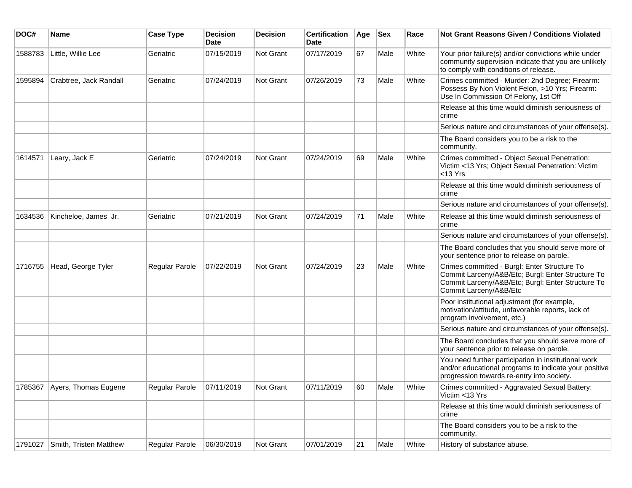| DOC#    | <b>Name</b>                  | <b>Case Type</b> | Decision<br><b>Date</b> | <b>Decision</b> | <b>Certification</b><br><b>Date</b> | Age | <b>Sex</b> | Race  | Not Grant Reasons Given / Conditions Violated                                                                                                                                    |
|---------|------------------------------|------------------|-------------------------|-----------------|-------------------------------------|-----|------------|-------|----------------------------------------------------------------------------------------------------------------------------------------------------------------------------------|
| 1588783 | Little, Willie Lee           | Geriatric        | 07/15/2019              | Not Grant       | 07/17/2019                          | 67  | Male       | White | Your prior failure(s) and/or convictions while under<br>community supervision indicate that you are unlikely<br>to comply with conditions of release.                            |
| 1595894 | Crabtree, Jack Randall       | Geriatric        | 07/24/2019              | Not Grant       | 07/26/2019                          | 73  | Male       | White | Crimes committed - Murder: 2nd Degree; Firearm:<br>Possess By Non Violent Felon, >10 Yrs; Firearm:<br>Use In Commission Of Felony, 1st Off                                       |
|         |                              |                  |                         |                 |                                     |     |            |       | Release at this time would diminish seriousness of<br>crime                                                                                                                      |
|         |                              |                  |                         |                 |                                     |     |            |       | Serious nature and circumstances of your offense(s).                                                                                                                             |
|         |                              |                  |                         |                 |                                     |     |            |       | The Board considers you to be a risk to the<br>community.                                                                                                                        |
| 1614571 | Leary, Jack E                | Geriatric        | 07/24/2019              | Not Grant       | 07/24/2019                          | 69  | Male       | White | Crimes committed - Object Sexual Penetration:<br>Victim <13 Yrs; Object Sexual Penetration: Victim<br>$<$ 13 Yrs                                                                 |
|         |                              |                  |                         |                 |                                     |     |            |       | Release at this time would diminish seriousness of<br>crime                                                                                                                      |
|         |                              |                  |                         |                 |                                     |     |            |       | Serious nature and circumstances of your offense(s).                                                                                                                             |
| 1634536 | Kincheloe, James Jr.         | Geriatric        | 07/21/2019              | Not Grant       | 07/24/2019                          | 71  | Male       | White | Release at this time would diminish seriousness of<br>crime                                                                                                                      |
|         |                              |                  |                         |                 |                                     |     |            |       | Serious nature and circumstances of your offense(s).                                                                                                                             |
|         |                              |                  |                         |                 |                                     |     |            |       | The Board concludes that you should serve more of<br>your sentence prior to release on parole.                                                                                   |
| 1716755 | Head, George Tyler           | Regular Parole   | 07/22/2019              | Not Grant       | 07/24/2019                          | 23  | Male       | White | Crimes committed - Burgl: Enter Structure To<br>Commit Larceny/A&B/Etc; Burgl: Enter Structure To<br>Commit Larceny/A&B/Etc; Burgl: Enter Structure To<br>Commit Larceny/A&B/Etc |
|         |                              |                  |                         |                 |                                     |     |            |       | Poor institutional adjustment (for example,<br>motivation/attitude, unfavorable reports, lack of<br>program involvement, etc.)                                                   |
|         |                              |                  |                         |                 |                                     |     |            |       | Serious nature and circumstances of your offense(s).                                                                                                                             |
|         |                              |                  |                         |                 |                                     |     |            |       | The Board concludes that you should serve more of<br>your sentence prior to release on parole.                                                                                   |
|         |                              |                  |                         |                 |                                     |     |            |       | You need further participation in institutional work<br>and/or educational programs to indicate your positive<br>progression towards re-entry into society.                      |
|         | 1785367 Ayers, Thomas Eugene | Regular Parole   | 07/11/2019              | Not Grant       | 07/11/2019                          | 60  | Male       | White | Crimes committed - Aggravated Sexual Battery:<br>Victim <13 Yrs                                                                                                                  |
|         |                              |                  |                         |                 |                                     |     |            |       | Release at this time would diminish seriousness of<br>crime                                                                                                                      |
|         |                              |                  |                         |                 |                                     |     |            |       | The Board considers you to be a risk to the<br>community.                                                                                                                        |
| 1791027 | Smith, Tristen Matthew       | Regular Parole   | 06/30/2019              | Not Grant       | 07/01/2019                          | 21  | Male       | White | History of substance abuse.                                                                                                                                                      |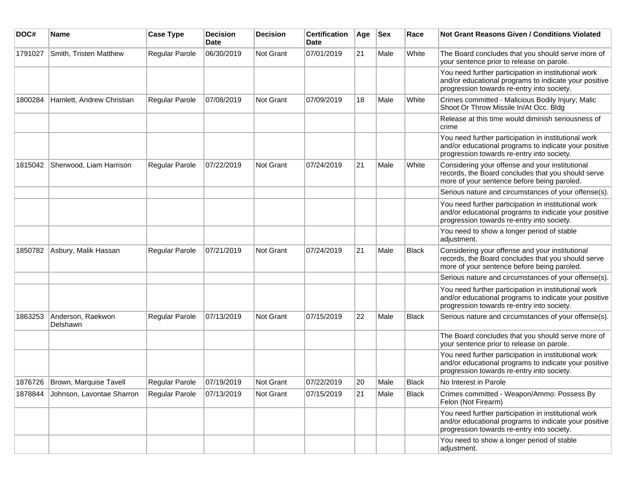| DOC#    | <b>Name</b>                   | <b>Case Type</b>      | <b>Decision</b><br><b>Date</b> | <b>Decision</b> | <b>Certification</b><br>Date | Age | <b>Sex</b> | Race         | Not Grant Reasons Given / Conditions Violated                                                                                                               |
|---------|-------------------------------|-----------------------|--------------------------------|-----------------|------------------------------|-----|------------|--------------|-------------------------------------------------------------------------------------------------------------------------------------------------------------|
| 1791027 | Smith, Tristen Matthew        | Regular Parole        | 06/30/2019                     | Not Grant       | 07/01/2019                   | 21  | Male       | White        | The Board concludes that you should serve more of<br>your sentence prior to release on parole.                                                              |
|         |                               |                       |                                |                 |                              |     |            |              | You need further participation in institutional work<br>and/or educational programs to indicate your positive<br>progression towards re-entry into society. |
| 1800284 | Hamlett, Andrew Christian     | Regular Parole        | 07/08/2019                     | Not Grant       | 07/09/2019                   | 18  | Male       | White        | Crimes committed - Malicious Bodily Injury; Malic<br>Shoot Or Throw Missile In/At Occ. Bldg                                                                 |
|         |                               |                       |                                |                 |                              |     |            |              | Release at this time would diminish seriousness of<br>crime                                                                                                 |
|         |                               |                       |                                |                 |                              |     |            |              | You need further participation in institutional work<br>and/or educational programs to indicate your positive<br>progression towards re-entry into society. |
| 1815042 | Sherwood, Liam Harrison       | <b>Regular Parole</b> | 07/22/2019                     | Not Grant       | 07/24/2019                   | 21  | Male       | White        | Considering your offense and your institutional<br>records, the Board concludes that you should serve<br>more of your sentence before being paroled.        |
|         |                               |                       |                                |                 |                              |     |            |              | Serious nature and circumstances of your offense(s).                                                                                                        |
|         |                               |                       |                                |                 |                              |     |            |              | You need further participation in institutional work<br>and/or educational programs to indicate your positive<br>progression towards re-entry into society. |
|         |                               |                       |                                |                 |                              |     |            |              | You need to show a longer period of stable<br>adjustment.                                                                                                   |
| 1850782 | Asbury, Malik Hassan          | <b>Regular Parole</b> | 07/21/2019                     | Not Grant       | 07/24/2019                   | 21  | Male       | <b>Black</b> | Considering your offense and your institutional<br>records, the Board concludes that you should serve<br>more of your sentence before being paroled.        |
|         |                               |                       |                                |                 |                              |     |            |              | Serious nature and circumstances of your offense(s).                                                                                                        |
|         |                               |                       |                                |                 |                              |     |            |              | You need further participation in institutional work<br>and/or educational programs to indicate your positive<br>progression towards re-entry into society. |
| 1863253 | Anderson, Raekwon<br>Delshawn | Regular Parole        | 07/13/2019                     | Not Grant       | 07/15/2019                   | 22  | Male       | <b>Black</b> | Serious nature and circumstances of your offense(s).                                                                                                        |
|         |                               |                       |                                |                 |                              |     |            |              | The Board concludes that you should serve more of<br>your sentence prior to release on parole.                                                              |
|         |                               |                       |                                |                 |                              |     |            |              | You need further participation in institutional work<br>and/or educational programs to indicate your positive<br>progression towards re-entry into society. |
| 1876726 | Brown, Marquise Tavell        | <b>Regular Parole</b> | 07/19/2019                     | Not Grant       | 07/22/2019                   | 20  | Male       | <b>Black</b> | No Interest in Parole                                                                                                                                       |
| 1878844 | Johnson, Lavontae Sharron     | Regular Parole        | 07/13/2019                     | Not Grant       | 07/15/2019                   | 21  | Male       | Black        | Crimes committed - Weapon/Ammo: Possess By<br>Felon (Not Firearm)                                                                                           |
|         |                               |                       |                                |                 |                              |     |            |              | You need further participation in institutional work<br>and/or educational programs to indicate your positive<br>progression towards re-entry into society. |
|         |                               |                       |                                |                 |                              |     |            |              | You need to show a longer period of stable<br>adjustment.                                                                                                   |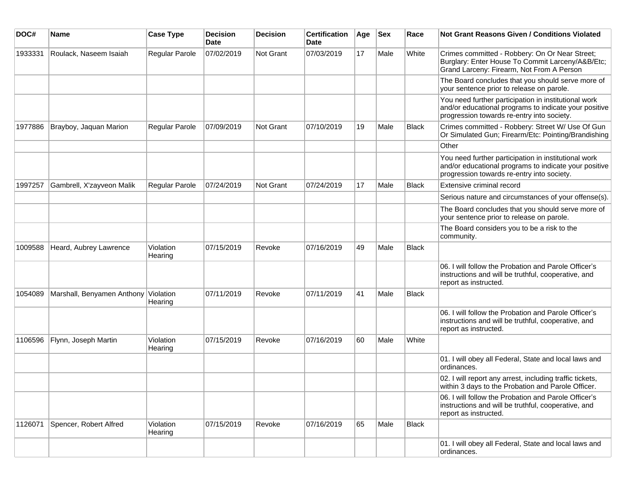| DOC#    | Name                       | <b>Case Type</b>      | <b>Decision</b><br><b>Date</b> | <b>Decision</b>  | <b>Certification</b><br>Date | Age | <b>Sex</b> | Race         | <b>Not Grant Reasons Given / Conditions Violated</b>                                                                                                        |
|---------|----------------------------|-----------------------|--------------------------------|------------------|------------------------------|-----|------------|--------------|-------------------------------------------------------------------------------------------------------------------------------------------------------------|
| 1933331 | Roulack, Naseem Isaiah     | Regular Parole        | 07/02/2019                     | <b>Not Grant</b> | 07/03/2019                   | 17  | Male       | White        | Crimes committed - Robbery: On Or Near Street;<br>Burglary: Enter House To Commit Larceny/A&B/Etc;<br>Grand Larceny: Firearm, Not From A Person             |
|         |                            |                       |                                |                  |                              |     |            |              | The Board concludes that you should serve more of<br>your sentence prior to release on parole.                                                              |
|         |                            |                       |                                |                  |                              |     |            |              | You need further participation in institutional work<br>and/or educational programs to indicate your positive<br>progression towards re-entry into society. |
| 1977886 | Brayboy, Jaquan Marion     | <b>Regular Parole</b> | 07/09/2019                     | <b>Not Grant</b> | 07/10/2019                   | 19  | Male       | <b>Black</b> | Crimes committed - Robbery: Street W/ Use Of Gun<br>Or Simulated Gun; Firearm/Etc: Pointing/Brandishing                                                     |
|         |                            |                       |                                |                  |                              |     |            |              | Other                                                                                                                                                       |
|         |                            |                       |                                |                  |                              |     |            |              | You need further participation in institutional work<br>and/or educational programs to indicate your positive<br>progression towards re-entry into society. |
| 1997257 | Gambrell, X'zayveon Malik  | Regular Parole        | 07/24/2019                     | Not Grant        | 07/24/2019                   | 17  | Male       | <b>Black</b> | Extensive criminal record                                                                                                                                   |
|         |                            |                       |                                |                  |                              |     |            |              | Serious nature and circumstances of your offense(s).                                                                                                        |
|         |                            |                       |                                |                  |                              |     |            |              | The Board concludes that you should serve more of<br>your sentence prior to release on parole.                                                              |
|         |                            |                       |                                |                  |                              |     |            |              | The Board considers you to be a risk to the<br>community.                                                                                                   |
| 1009588 | Heard, Aubrey Lawrence     | Violation<br>Hearing  | 07/15/2019                     | Revoke           | 07/16/2019                   | 49  | Male       | Black        |                                                                                                                                                             |
|         |                            |                       |                                |                  |                              |     |            |              | 06. I will follow the Probation and Parole Officer's<br>instructions and will be truthful, cooperative, and<br>report as instructed.                        |
| 1054089 | Marshall, Benyamen Anthony | Violation<br>Hearing  | 07/11/2019                     | Revoke           | 07/11/2019                   | 41  | Male       | Black        |                                                                                                                                                             |
|         |                            |                       |                                |                  |                              |     |            |              | 06. I will follow the Probation and Parole Officer's<br>instructions and will be truthful, cooperative, and<br>report as instructed.                        |
| 1106596 | Flynn, Joseph Martin       | Violation<br>Hearing  | 07/15/2019                     | Revoke           | 07/16/2019                   | 60  | Male       | White        |                                                                                                                                                             |
|         |                            |                       |                                |                  |                              |     |            |              | 01. I will obey all Federal, State and local laws and<br>ordinances.                                                                                        |
|         |                            |                       |                                |                  |                              |     |            |              | 02. I will report any arrest, including traffic tickets,<br>within 3 days to the Probation and Parole Officer.                                              |
|         |                            |                       |                                |                  |                              |     |            |              | 06. I will follow the Probation and Parole Officer's<br>instructions and will be truthful, cooperative, and<br>report as instructed.                        |
| 1126071 | Spencer, Robert Alfred     | Violation<br>Hearing  | 07/15/2019                     | Revoke           | 07/16/2019                   | 65  | Male       | Black        |                                                                                                                                                             |
|         |                            |                       |                                |                  |                              |     |            |              | 01. I will obey all Federal, State and local laws and<br>ordinances.                                                                                        |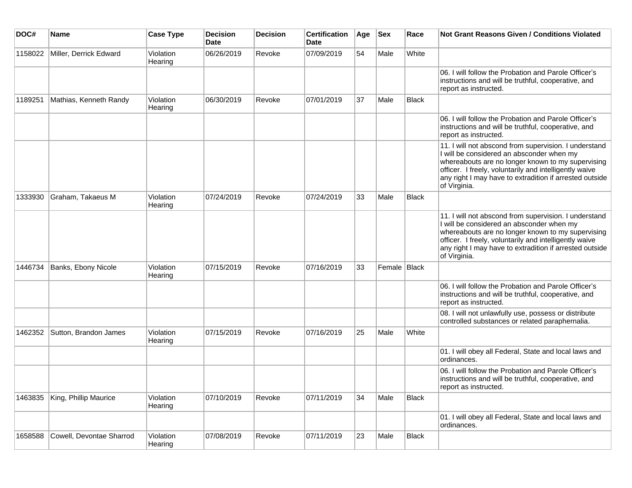| DOC#    | Name                     | <b>Case Type</b>     | <b>Decision</b><br><b>Date</b> | <b>Decision</b> | <b>Certification</b><br><b>Date</b> | Age | <b>Sex</b>   | Race  | <b>Not Grant Reasons Given / Conditions Violated</b>                                                                                                                                                                                                                                         |
|---------|--------------------------|----------------------|--------------------------------|-----------------|-------------------------------------|-----|--------------|-------|----------------------------------------------------------------------------------------------------------------------------------------------------------------------------------------------------------------------------------------------------------------------------------------------|
| 1158022 | Miller, Derrick Edward   | Violation<br>Hearing | 06/26/2019                     | Revoke          | 07/09/2019                          | 54  | Male         | White |                                                                                                                                                                                                                                                                                              |
|         |                          |                      |                                |                 |                                     |     |              |       | 06. I will follow the Probation and Parole Officer's<br>instructions and will be truthful, cooperative, and<br>report as instructed.                                                                                                                                                         |
| 1189251 | Mathias, Kenneth Randy   | Violation<br>Hearing | 06/30/2019                     | Revoke          | 07/01/2019                          | 37  | Male         | Black |                                                                                                                                                                                                                                                                                              |
|         |                          |                      |                                |                 |                                     |     |              |       | 06. I will follow the Probation and Parole Officer's<br>instructions and will be truthful, cooperative, and<br>report as instructed.                                                                                                                                                         |
|         |                          |                      |                                |                 |                                     |     |              |       | 11. I will not abscond from supervision. I understand<br>I will be considered an absconder when my<br>whereabouts are no longer known to my supervising<br>officer. I freely, voluntarily and intelligently waive<br>any right I may have to extradition if arrested outside<br>of Virginia. |
| 1333930 | Graham, Takaeus M        | Violation<br>Hearing | 07/24/2019                     | Revoke          | 07/24/2019                          | 33  | Male         | Black |                                                                                                                                                                                                                                                                                              |
|         |                          |                      |                                |                 |                                     |     |              |       | 11. I will not abscond from supervision. I understand<br>I will be considered an absconder when my<br>whereabouts are no longer known to my supervising<br>officer. I freely, voluntarily and intelligently waive<br>any right I may have to extradition if arrested outside<br>of Virginia. |
| 1446734 | Banks, Ebony Nicole      | Violation<br>Hearing | 07/15/2019                     | Revoke          | 07/16/2019                          | 33  | Female Black |       |                                                                                                                                                                                                                                                                                              |
|         |                          |                      |                                |                 |                                     |     |              |       | 06. I will follow the Probation and Parole Officer's<br>instructions and will be truthful, cooperative, and<br>report as instructed.                                                                                                                                                         |
|         |                          |                      |                                |                 |                                     |     |              |       | 08. I will not unlawfully use, possess or distribute<br>controlled substances or related paraphernalia.                                                                                                                                                                                      |
| 1462352 | Sutton, Brandon James    | Violation<br>Hearing | 07/15/2019                     | Revoke          | 07/16/2019                          | 25  | Male         | White |                                                                                                                                                                                                                                                                                              |
|         |                          |                      |                                |                 |                                     |     |              |       | 01. I will obey all Federal, State and local laws and<br>ordinances.                                                                                                                                                                                                                         |
|         |                          |                      |                                |                 |                                     |     |              |       | 06. I will follow the Probation and Parole Officer's<br>instructions and will be truthful, cooperative, and<br>report as instructed.                                                                                                                                                         |
| 1463835 | King, Phillip Maurice    | Violation<br>Hearing | 07/10/2019                     | Revoke          | 07/11/2019                          | 34  | Male         | Black |                                                                                                                                                                                                                                                                                              |
|         |                          |                      |                                |                 |                                     |     |              |       | 01. I will obey all Federal, State and local laws and<br>ordinances.                                                                                                                                                                                                                         |
| 1658588 | Cowell, Devontae Sharrod | Violation<br>Hearing | 07/08/2019                     | Revoke          | 07/11/2019                          | 23  | Male         | Black |                                                                                                                                                                                                                                                                                              |